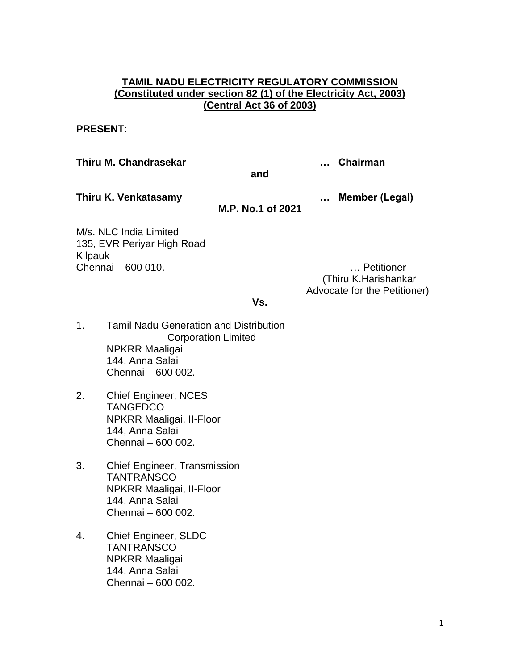## **TAMIL NADU ELECTRICITY REGULATORY COMMISSION (Constituted under section 82 (1) of the Electricity Act, 2003) (Central Act 36 of 2003)**

#### **PRESENT**:

#### **Thiru M. Chandrasekar … Chairman**

**and**

**Thiru K. Venkatasamy … Member (Legal)**

## **M.P. No.1 of 2021**

M/s. NLC India Limited 135, EVR Periyar High Road Kilpauk Chennai – 600 010. … Petitioner

(Thiru K.Harishankar Advocate for the Petitioner)

#### **Vs.**

- 1. Tamil Nadu Generation and Distribution Corporation Limited NPKRR Maaligai 144, Anna Salai Chennai – 600 002.
- 2. Chief Engineer, NCES **TANGEDCO** NPKRR Maaligai, II-Floor 144, Anna Salai Chennai – 600 002.
- 3. Chief Engineer, Transmission **TANTRANSCO** NPKRR Maaligai, II-Floor 144, Anna Salai Chennai – 600 002.
- 4. Chief Engineer, SLDC **TANTRANSCO** NPKRR Maaligai 144, Anna Salai Chennai – 600 002.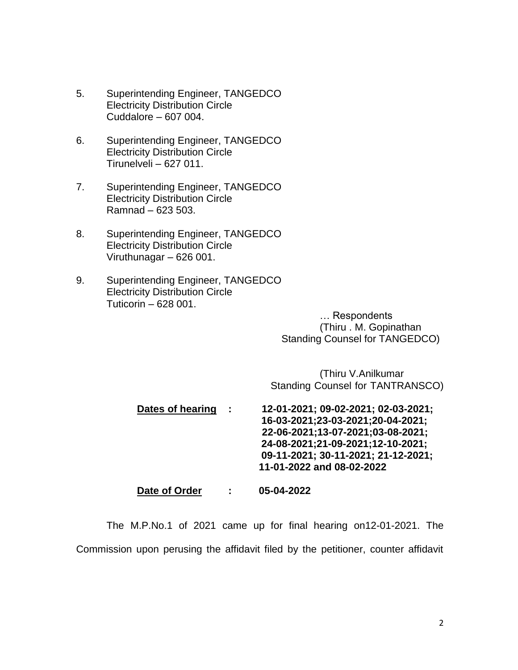- 5. Superintending Engineer, TANGEDCO Electricity Distribution Circle Cuddalore – 607 004.
- 6. Superintending Engineer, TANGEDCO Electricity Distribution Circle Tirunelveli – 627 011.
- 7. Superintending Engineer, TANGEDCO Electricity Distribution Circle Ramnad – 623 503.
- 8. Superintending Engineer, TANGEDCO Electricity Distribution Circle Viruthunagar – 626 001.
- 9. Superintending Engineer, TANGEDCO Electricity Distribution Circle Tuticorin – 628 001.

… Respondents (Thiru . M. Gopinathan Standing Counsel for TANGEDCO)

(Thiru V.Anilkumar Standing Counsel for TANTRANSCO)

**Dates of hearing : 12-01-2021; 09-02-2021; 02-03-2021; 16-03-2021;23-03-2021;20-04-2021; 22-06-2021;13-07-2021;03-08-2021; 24-08-2021;21-09-2021;12-10-2021; 09-11-2021; 30-11-2021; 21-12-2021; 11-01-2022 and 08-02-2022**

**Date of Order : 05-04-2022**

The M.P.No.1 of 2021 came up for final hearing on12-01-2021. The Commission upon perusing the affidavit filed by the petitioner, counter affidavit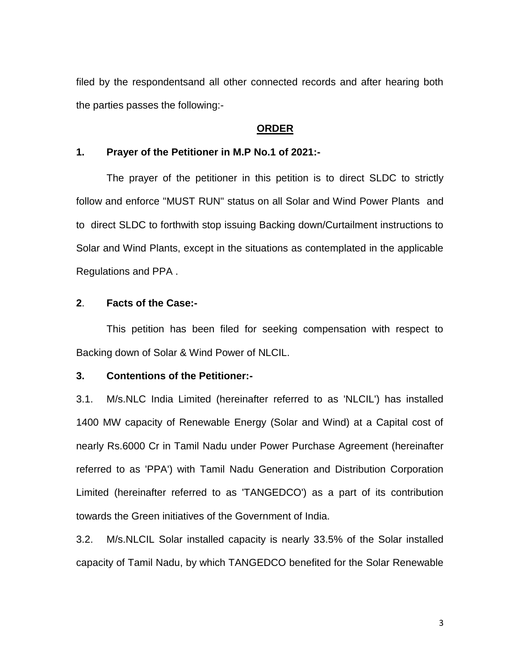filed by the respondentsand all other connected records and after hearing both the parties passes the following:-

#### **ORDER**

#### **1. Prayer of the Petitioner in M.P No.1 of 2021:-**

The prayer of the petitioner in this petition is to direct SLDC to strictly follow and enforce "MUST RUN" status on all Solar and Wind Power Plants and to direct SLDC to forthwith stop issuing Backing down/Curtailment instructions to Solar and Wind Plants, except in the situations as contemplated in the applicable Regulations and PPA .

## **2**. **Facts of the Case:-**

This petition has been filed for seeking compensation with respect to Backing down of Solar & Wind Power of NLCIL.

#### **3. Contentions of the Petitioner:-**

3.1. M/s.NLC India Limited (hereinafter referred to as 'NLCIL') has installed 1400 MW capacity of Renewable Energy (Solar and Wind) at a Capital cost of nearly Rs.6000 Cr in Tamil Nadu under Power Purchase Agreement (hereinafter referred to as 'PPA') with Tamil Nadu Generation and Distribution Corporation Limited (hereinafter referred to as 'TANGEDCO') as a part of its contribution towards the Green initiatives of the Government of India.

3.2. M/s.NLCIL Solar installed capacity is nearly 33.5% of the Solar installed capacity of Tamil Nadu, by which TANGEDCO benefited for the Solar Renewable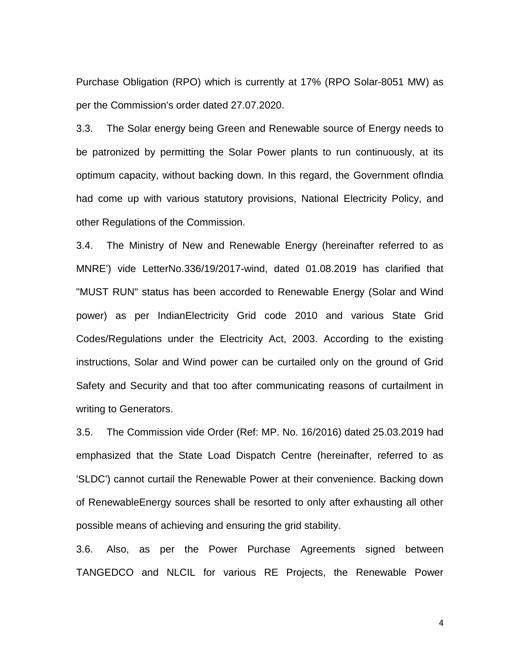Purchase Obligation (RPO) which is currently at 17% (RPO Solar-8051 MW) as per the Commission's order dated 27.07.2020.

3.3. The Solar energy being Green and Renewable source of Energy needs to be patronized by permitting the Solar Power plants to run continuously, at its optimum capacity, without backing down. In this regard, the Government ofIndia had come up with various statutory provisions, National Electricity Policy, and other Regulations of the Commission.

3.4. The Ministry of New and Renewable Energy (hereinafter referred to as MNRE') vide LetterNo.336/19/2017-wind, dated 01.08.2019 has clarified that "MUST RUN" status has been accorded to Renewable Energy (Solar and Wind power) as per IndianElectricity Grid code 2010 and various State Grid Codes/Regulations under the Electricity Act, 2003. According to the existing instructions, Solar and Wind power can be curtailed only on the ground of Grid Safety and Security and that too after communicating reasons of curtailment in writing to Generators.

3.5. The Commission vide Order (Ref: MP. No. 16/2016) dated 25.03.2019 had emphasized that the State Load Dispatch Centre (hereinafter, referred to as 'SLDC') cannot curtail the Renewable Power at their convenience. Backing down of RenewableEnergy sources shall be resorted to only after exhausting all other possible means of achieving and ensuring the grid stability.

3.6. Also, as per the Power Purchase Agreements signed between TANGEDCO and NLCIL for various RE Projects, the Renewable Power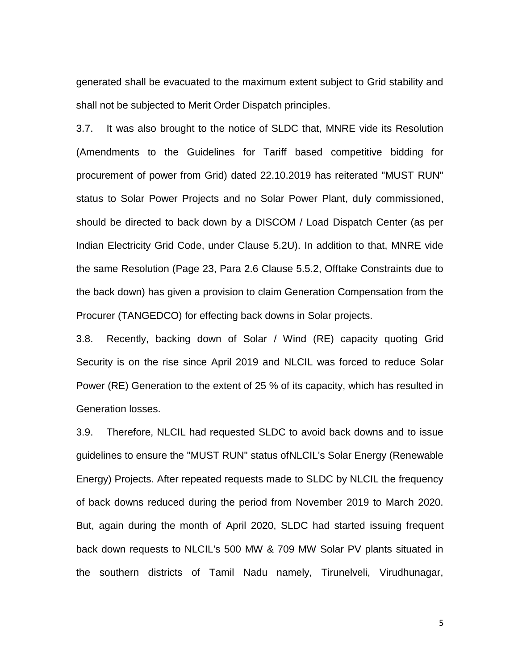generated shall be evacuated to the maximum extent subject to Grid stability and shall not be subjected to Merit Order Dispatch principles.

3.7. It was also brought to the notice of SLDC that, MNRE vide its Resolution (Amendments to the Guidelines for Tariff based competitive bidding for procurement of power from Grid) dated 22.10.2019 has reiterated "MUST RUN" status to Solar Power Projects and no Solar Power Plant, duly commissioned, should be directed to back down by a DISCOM / Load Dispatch Center (as per Indian Electricity Grid Code, under Clause 5.2U). In addition to that, MNRE vide the same Resolution (Page 23, Para 2.6 Clause 5.5.2, Offtake Constraints due to the back down) has given a provision to claim Generation Compensation from the Procurer (TANGEDCO) for effecting back downs in Solar projects.

3.8. Recently, backing down of Solar / Wind (RE) capacity quoting Grid Security is on the rise since April 2019 and NLCIL was forced to reduce Solar Power (RE) Generation to the extent of 25 % of its capacity, which has resulted in Generation losses.

3.9. Therefore, NLCIL had requested SLDC to avoid back downs and to issue guidelines to ensure the "MUST RUN" status ofNLCIL's Solar Energy (Renewable Energy) Projects. After repeated requests made to SLDC by NLCIL the frequency of back downs reduced during the period from November 2019 to March 2020. But, again during the month of April 2020, SLDC had started issuing frequent back down requests to NLCIL's 500 MW & 709 MW Solar PV plants situated in the southern districts of Tamil Nadu namely, Tirunelveli, Virudhunagar,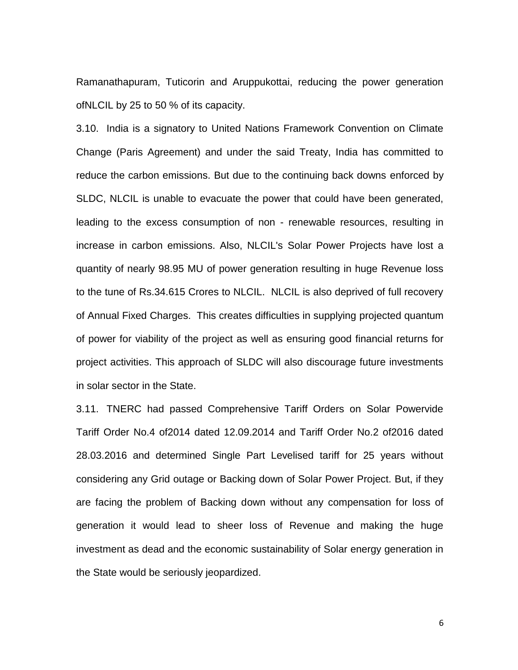Ramanathapuram, Tuticorin and Aruppukottai, reducing the power generation ofNLCIL by 25 to 50 % of its capacity.

3.10. India is a signatory to United Nations Framework Convention on Climate Change (Paris Agreement) and under the said Treaty, India has committed to reduce the carbon emissions. But due to the continuing back downs enforced by SLDC, NLCIL is unable to evacuate the power that could have been generated, leading to the excess consumption of non - renewable resources, resulting in increase in carbon emissions. Also, NLCIL's Solar Power Projects have lost a quantity of nearly 98.95 MU of power generation resulting in huge Revenue loss to the tune of Rs.34.615 Crores to NLCIL. NLCIL is also deprived of full recovery of Annual Fixed Charges. This creates difficulties in supplying projected quantum of power for viability of the project as well as ensuring good financial returns for project activities. This approach of SLDC will also discourage future investments in solar sector in the State.

3.11. TNERC had passed Comprehensive Tariff Orders on Solar Powervide Tariff Order No.4 of2014 dated 12.09.2014 and Tariff Order No.2 of2016 dated 28.03.2016 and determined Single Part Levelised tariff for 25 years without considering any Grid outage or Backing down of Solar Power Project. But, if they are facing the problem of Backing down without any compensation for loss of generation it would lead to sheer loss of Revenue and making the huge investment as dead and the economic sustainability of Solar energy generation in the State would be seriously jeopardized.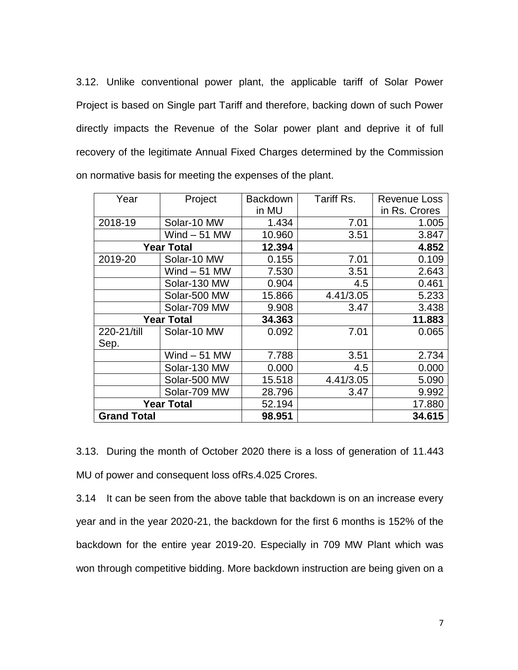3.12. Unlike conventional power plant, the applicable tariff of Solar Power Project is based on Single part Tariff and therefore, backing down of such Power directly impacts the Revenue of the Solar power plant and deprive it of full recovery of the legitimate Annual Fixed Charges determined by the Commission on normative basis for meeting the expenses of the plant.

| Year               | Project       | Backdown | Tariff Rs. | <b>Revenue Loss</b> |
|--------------------|---------------|----------|------------|---------------------|
|                    |               | in MU    |            | in Rs. Crores       |
| 2018-19            | Solar-10 MW   | 1.434    | 7.01       | 1.005               |
|                    | Wind $-51$ MW | 10.960   | 3.51       | 3.847               |
| <b>Year Total</b>  |               | 12.394   |            | 4.852               |
| 2019-20            | Solar-10 MW   | 0.155    | 7.01       | 0.109               |
|                    | Wind $-51$ MW | 7.530    | 3.51       | 2.643               |
|                    | Solar-130 MW  | 0.904    | 4.5        | 0.461               |
|                    | Solar-500 MW  | 15.866   | 4.41/3.05  | 5.233               |
|                    | Solar-709 MW  | 9.908    | 3.47       | 3.438               |
| <b>Year Total</b>  |               | 34.363   |            | 11.883              |
| 220-21/till        | Solar-10 MW   | 0.092    | 7.01       | 0.065               |
| Sep.               |               |          |            |                     |
|                    | Wind $-51$ MW | 7.788    | 3.51       | 2.734               |
|                    | Solar-130 MW  | 0.000    | 4.5        | 0.000               |
|                    | Solar-500 MW  | 15.518   | 4.41/3.05  | 5.090               |
|                    | Solar-709 MW  | 28.796   | 3.47       | 9.992               |
| <b>Year Total</b>  |               | 52.194   |            | 17.880              |
| <b>Grand Total</b> |               | 98.951   |            | 34.615              |

3.13. During the month of October 2020 there is a loss of generation of 11.443 MU of power and consequent loss ofRs.4.025 Crores.

3.14 It can be seen from the above table that backdown is on an increase every year and in the year 2020-21, the backdown for the first 6 months is 152% of the backdown for the entire year 2019-20. Especially in 709 MW Plant which was won through competitive bidding. More backdown instruction are being given on a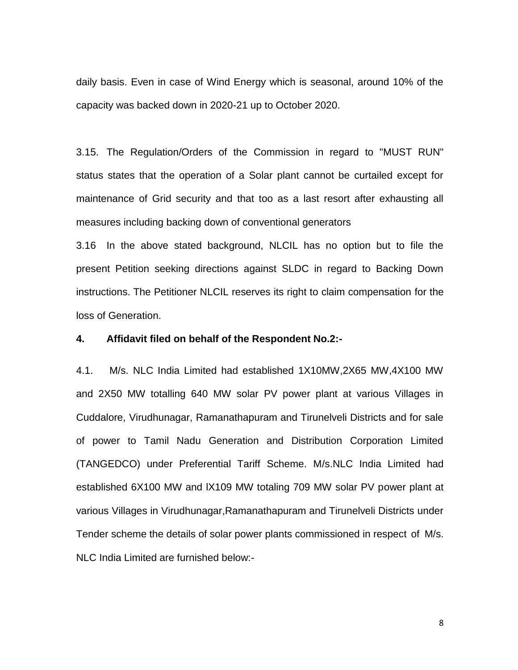daily basis. Even in case of Wind Energy which is seasonal, around 10% of the capacity was backed down in 2020-21 up to October 2020.

3.15. The Regulation/Orders of the Commission in regard to "MUST RUN" status states that the operation of a Solar plant cannot be curtailed except for maintenance of Grid security and that too as a last resort after exhausting all measures including backing down of conventional generators

3.16 In the above stated background, NLCIL has no option but to file the present Petition seeking directions against SLDC in regard to Backing Down instructions. The Petitioner NLCIL reserves its right to claim compensation for the loss of Generation.

## **4. Affidavit filed on behalf of the Respondent No.2:-**

4.1. M/s. NLC India Limited had established 1X10MW,2X65 MW,4X100 MW and 2X50 MW totalling 640 MW solar PV power plant at various Villages in Cuddalore, Virudhunagar, Ramanathapuram and Tirunelveli Districts and for sale of power to Tamil Nadu Generation and Distribution Corporation Limited (TANGEDCO) under Preferential Tariff Scheme. M/s.NLC India Limited had established 6X100 MW and lX109 MW totaling 709 MW solar PV power plant at various Villages in Virudhunagar,Ramanathapuram and Tirunelveli Districts under Tender scheme the details of solar power plants commissioned in respect of M/s. NLC India Limited are furnished below:-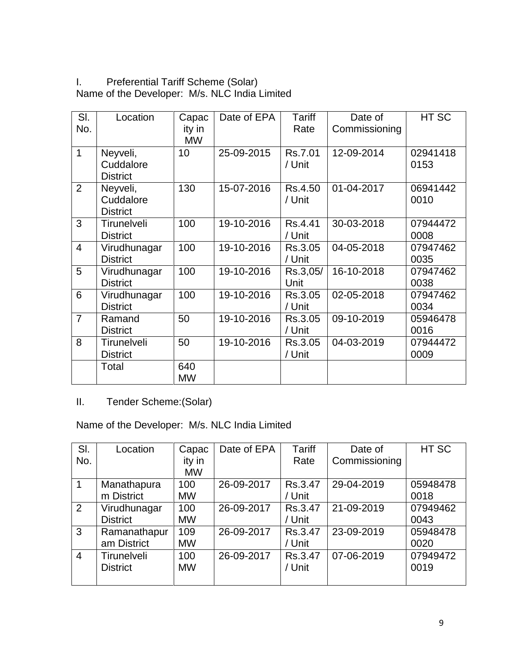# I. Preferential Tariff Scheme (Solar) Name of the Developer: M/s. NLC India Limited

| SI.            | Location                                 | Capac               | Date of EPA | <b>Tariff</b>     | Date of       | HT SC            |
|----------------|------------------------------------------|---------------------|-------------|-------------------|---------------|------------------|
| No.            |                                          | ity in<br><b>MW</b> |             | Rate              | Commissioning |                  |
| 1              | Neyveli,<br>Cuddalore<br><b>District</b> | 10                  | 25-09-2015  | Rs.7.01<br>/ Unit | 12-09-2014    | 02941418<br>0153 |
| $\overline{2}$ | Neyveli,<br>Cuddalore<br><b>District</b> | 130                 | 15-07-2016  | Rs.4.50<br>/ Unit | 01-04-2017    | 06941442<br>0010 |
| 3              | Tirunelveli<br><b>District</b>           | 100                 | 19-10-2016  | Rs.4.41<br>/ Unit | 30-03-2018    | 07944472<br>0008 |
| $\overline{4}$ | Virudhunagar<br><b>District</b>          | 100                 | 19-10-2016  | Rs.3.05<br>/ Unit | 04-05-2018    | 07947462<br>0035 |
| 5              | Virudhunagar<br><b>District</b>          | 100                 | 19-10-2016  | Rs.3,05/<br>Unit  | 16-10-2018    | 07947462<br>0038 |
| 6              | Virudhunagar<br><b>District</b>          | 100                 | 19-10-2016  | Rs.3.05<br>/ Unit | 02-05-2018    | 07947462<br>0034 |
| $\overline{7}$ | Ramand<br><b>District</b>                | 50                  | 19-10-2016  | Rs.3.05<br>/ Unit | 09-10-2019    | 05946478<br>0016 |
| 8              | Tirunelveli<br><b>District</b>           | 50                  | 19-10-2016  | Rs.3.05<br>/ Unit | 04-03-2019    | 07944472<br>0009 |
|                | Total                                    | 640<br><b>MW</b>    |             |                   |               |                  |

# II. Tender Scheme:(Solar)

Name of the Developer: M/s. NLC India Limited

| SI.            | Location           | Capac     | Date of EPA | Tariff  | Date of       | HT SC    |
|----------------|--------------------|-----------|-------------|---------|---------------|----------|
| No.            |                    | ity in    |             | Rate    | Commissioning |          |
|                |                    | <b>MW</b> |             |         |               |          |
| 1              | Manathapura        | 100       | 26-09-2017  | Rs.3.47 | 29-04-2019    | 05948478 |
|                | m District         | <b>MW</b> |             | / Unit  |               | 0018     |
| 2              | Virudhunagar       | 100       | 26-09-2017  | Rs.3.47 | 21-09-2019    | 07949462 |
|                | <b>District</b>    | <b>MW</b> |             | / Unit  |               | 0043     |
| 3              | Ramanathapur       | 109       | 26-09-2017  | Rs.3.47 | 23-09-2019    | 05948478 |
|                | am District        | <b>MW</b> |             | / Unit  |               | 0020     |
| $\overline{4}$ | <b>Tirunelveli</b> | 100       | 26-09-2017  | Rs.3.47 | 07-06-2019    | 07949472 |
|                | <b>District</b>    | <b>MW</b> |             | / Unit  |               | 0019     |
|                |                    |           |             |         |               |          |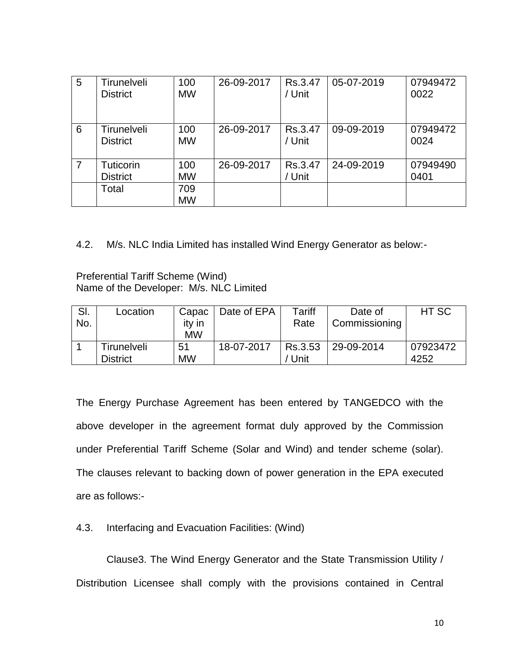| 5 | Tirunelveli<br><b>District</b> | 100<br><b>MW</b> | 26-09-2017 | Rs.3.47<br>/ Unit | 05-07-2019 | 07949472<br>0022 |
|---|--------------------------------|------------------|------------|-------------------|------------|------------------|
| 6 | Tirunelveli<br><b>District</b> | 100<br><b>MW</b> | 26-09-2017 | Rs.3.47<br>/ Unit | 09-09-2019 | 07949472<br>0024 |
| 7 | Tuticorin<br><b>District</b>   | 100<br><b>MW</b> | 26-09-2017 | Rs.3.47<br>/ Unit | 24-09-2019 | 07949490<br>0401 |
|   | Total                          | 709<br><b>MW</b> |            |                   |            |                  |

4.2. M/s. NLC India Limited has installed Wind Energy Generator as below:-

Preferential Tariff Scheme (Wind) Name of the Developer: M/s. NLC Limited

| SI. | Location        | Capac     | Date of EPA | Tariff  | Date of       | HT SC    |
|-----|-----------------|-----------|-------------|---------|---------------|----------|
| No. |                 | ity in    |             | Rate    | Commissioning |          |
|     |                 | <b>MW</b> |             |         |               |          |
|     | Tirunelveli     | 51        | 18-07-2017  | Rs.3.53 | 29-09-2014    | 07923472 |
|     | <b>District</b> | <b>MW</b> |             | Unit    |               | 4252     |

The Energy Purchase Agreement has been entered by TANGEDCO with the above developer in the agreement format duly approved by the Commission under Preferential Tariff Scheme (Solar and Wind) and tender scheme (solar). The clauses relevant to backing down of power generation in the EPA executed are as follows:-

# 4.3. Interfacing and Evacuation Facilities: (Wind)

Clause3. The Wind Energy Generator and the State Transmission Utility / Distribution Licensee shall comply with the provisions contained in Central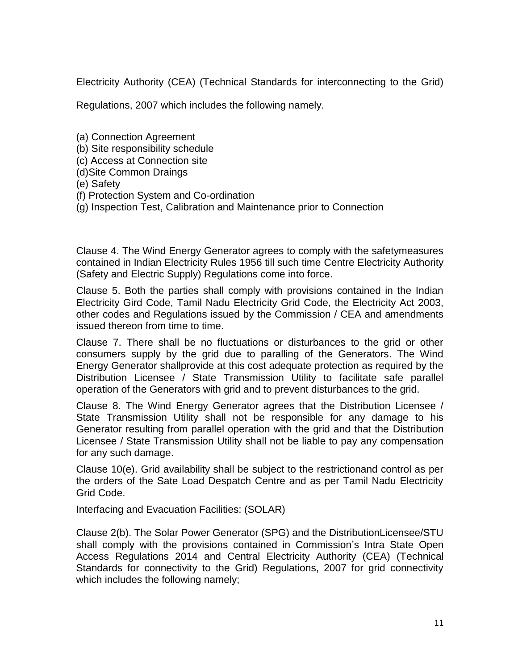Electricity Authority (CEA) (Technical Standards for interconnecting to the Grid)

Regulations, 2007 which includes the following namely.

- (a) Connection Agreement
- (b) Site responsibility schedule
- (c) Access at Connection site
- (d)Site Common Draings
- (e) Safety
- (f) Protection System and Co-ordination
- (g) Inspection Test, Calibration and Maintenance prior to Connection

Clause 4. The Wind Energy Generator agrees to comply with the safetymeasures contained in Indian Electricity Rules 1956 till such time Centre Electricity Authority (Safety and Electric Supply) Regulations come into force.

Clause 5. Both the parties shall comply with provisions contained in the Indian Electricity Gird Code, Tamil Nadu Electricity Grid Code, the Electricity Act 2003, other codes and Regulations issued by the Commission / CEA and amendments issued thereon from time to time.

Clause 7. There shall be no fluctuations or disturbances to the grid or other consumers supply by the grid due to paralling of the Generators. The Wind Energy Generator shallprovide at this cost adequate protection as required by the Distribution Licensee / State Transmission Utility to facilitate safe parallel operation of the Generators with grid and to prevent disturbances to the grid.

Clause 8. The Wind Energy Generator agrees that the Distribution Licensee / State Transmission Utility shall not be responsible for any damage to his Generator resulting from parallel operation with the grid and that the Distribution Licensee / State Transmission Utility shall not be liable to pay any compensation for any such damage.

Clause 10(e). Grid availability shall be subject to the restrictionand control as per the orders of the Sate Load Despatch Centre and as per Tamil Nadu Electricity Grid Code.

Interfacing and Evacuation Facilities: (SOLAR)

Clause 2(b). The Solar Power Generator (SPG) and the DistributionLicensee/STU shall comply with the provisions contained in Commission's Intra State Open Access Regulations 2014 and Central Electricity Authority (CEA) (Technical Standards for connectivity to the Grid) Regulations, 2007 for grid connectivity which includes the following namely;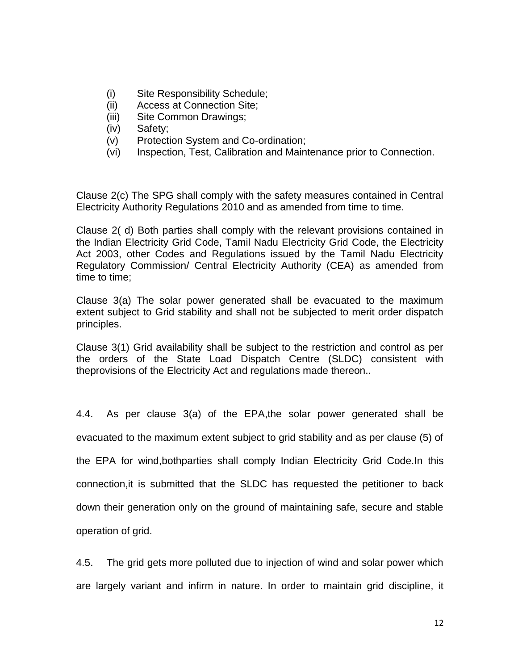- (i) Site Responsibility Schedule;
- (ii) Access at Connection Site;
- (iii) Site Common Drawings;
- (iv) Safety;
- (v) Protection System and Co-ordination;
- (vi) Inspection, Test, Calibration and Maintenance prior to Connection.

Clause 2(c) The SPG shall comply with the safety measures contained in Central Electricity Authority Regulations 2010 and as amended from time to time.

Clause 2( d) Both parties shall comply with the relevant provisions contained in the Indian Electricity Grid Code, Tamil Nadu Electricity Grid Code, the Electricity Act 2003, other Codes and Regulations issued by the Tamil Nadu Electricity Regulatory Commission/ Central Electricity Authority (CEA) as amended from time to time;

Clause 3(a) The solar power generated shall be evacuated to the maximum extent subject to Grid stability and shall not be subjected to merit order dispatch principles.

Clause 3(1) Grid availability shall be subject to the restriction and control as per the orders of the State Load Dispatch Centre (SLDC) consistent with theprovisions of the Electricity Act and regulations made thereon..

4.4. As per clause 3(a) of the EPA,the solar power generated shall be evacuated to the maximum extent subject to grid stability and as per clause (5) of the EPA for wind,bothparties shall comply Indian Electricity Grid Code.In this connection,it is submitted that the SLDC has requested the petitioner to back down their generation only on the ground of maintaining safe, secure and stable operation of grid.

4.5. The grid gets more polluted due to injection of wind and solar power which are largely variant and infirm in nature. In order to maintain grid discipline, it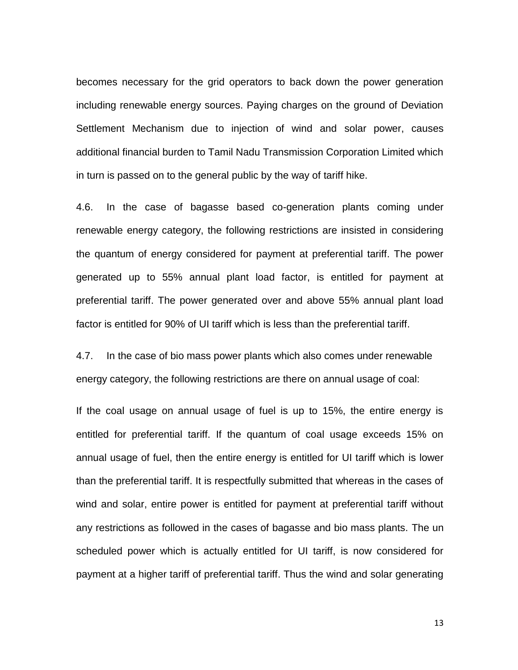becomes necessary for the grid operators to back down the power generation including renewable energy sources. Paying charges on the ground of Deviation Settlement Mechanism due to injection of wind and solar power, causes additional financial burden to Tamil Nadu Transmission Corporation Limited which in turn is passed on to the general public by the way of tariff hike.

4.6. In the case of bagasse based co-generation plants coming under renewable energy category, the following restrictions are insisted in considering the quantum of energy considered for payment at preferential tariff. The power generated up to 55% annual plant load factor, is entitled for payment at preferential tariff. The power generated over and above 55% annual plant load factor is entitled for 90% of UI tariff which is less than the preferential tariff.

4.7. In the case of bio mass power plants which also comes under renewable energy category, the following restrictions are there on annual usage of coal:

If the coal usage on annual usage of fuel is up to 15%, the entire energy is entitled for preferential tariff. If the quantum of coal usage exceeds 15% on annual usage of fuel, then the entire energy is entitled for UI tariff which is lower than the preferential tariff. It is respectfully submitted that whereas in the cases of wind and solar, entire power is entitled for payment at preferential tariff without any restrictions as followed in the cases of bagasse and bio mass plants. The un scheduled power which is actually entitled for UI tariff, is now considered for payment at a higher tariff of preferential tariff. Thus the wind and solar generating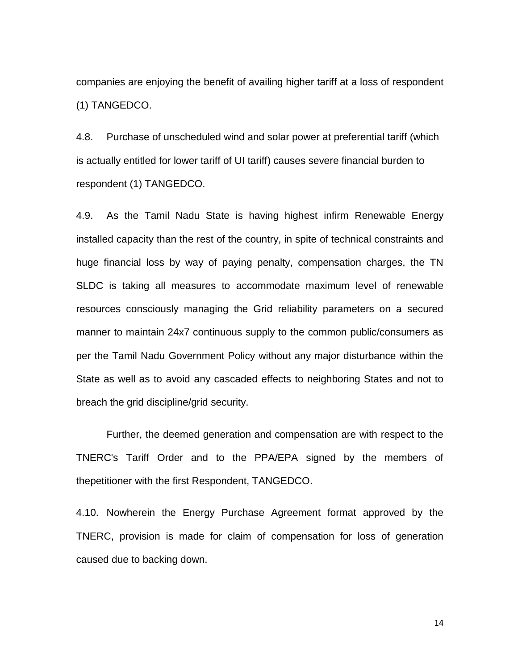companies are enjoying the benefit of availing higher tariff at a loss of respondent (1) TANGEDCO.

4.8. Purchase of unscheduled wind and solar power at preferential tariff (which is actually entitled for lower tariff of UI tariff) causes severe financial burden to respondent (1) TANGEDCO.

4.9. As the Tamil Nadu State is having highest infirm Renewable Energy installed capacity than the rest of the country, in spite of technical constraints and huge financial loss by way of paying penalty, compensation charges, the TN SLDC is taking all measures to accommodate maximum level of renewable resources consciously managing the Grid reliability parameters on a secured manner to maintain 24x7 continuous supply to the common public/consumers as per the Tamil Nadu Government Policy without any major disturbance within the State as well as to avoid any cascaded effects to neighboring States and not to breach the grid discipline/grid security.

Further, the deemed generation and compensation are with respect to the TNERC's Tariff Order and to the PPA/EPA signed by the members of thepetitioner with the first Respondent, TANGEDCO.

4.10. Nowherein the Energy Purchase Agreement format approved by the TNERC, provision is made for claim of compensation for loss of generation caused due to backing down.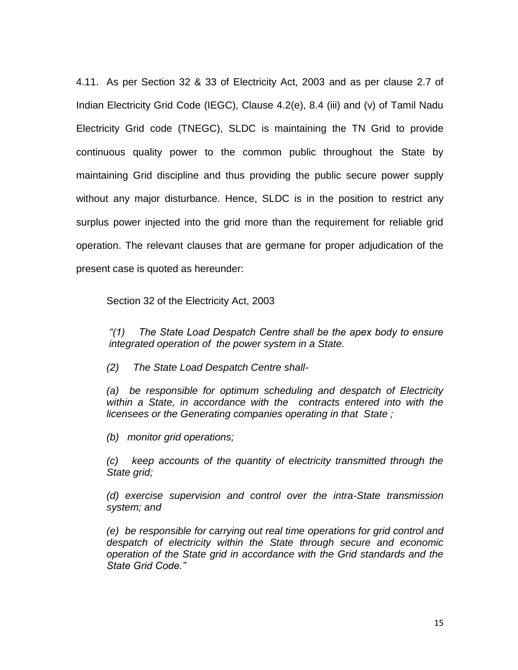4.11. As per Section 32 & 33 of Electricity Act, 2003 and as per clause 2.7 of Indian Electricity Grid Code (IEGC), Clause 4.2(e), 8.4 (iii) and (v) of Tamil Nadu Electricity Grid code (TNEGC), SLDC is maintaining the TN Grid to provide continuous quality power to the common public throughout the State by maintaining Grid discipline and thus providing the public secure power supply without any major disturbance. Hence, SLDC is in the position to restrict any surplus power injected into the grid more than the requirement for reliable grid operation. The relevant clauses that are germane for proper adjudication of the present case is quoted as hereunder:

Section 32 of the Electricity Act, 2003

*"(1) The State Load Despatch Centre shall be the apex body to ensure integrated operation of the power system in a State.*

*(2) The State Load Despatch Centre shall-*

*(a) be responsible for optimum scheduling and despatch of Electricity within a State, in accordance with the contracts entered into with the licensees or the Generating companies operating in that State ;*

*(b) monitor grid operations;*

*(c) keep accounts of the quantity of electricity transmitted through the State grid;*

*(d) exercise supervision and control over the intra-State transmission system; and*

*(e) be responsible for carrying out real time operations for grid control and despatch of electricity within the State through secure and economic operation of the State grid in accordance with the Grid standards and the State Grid Code."*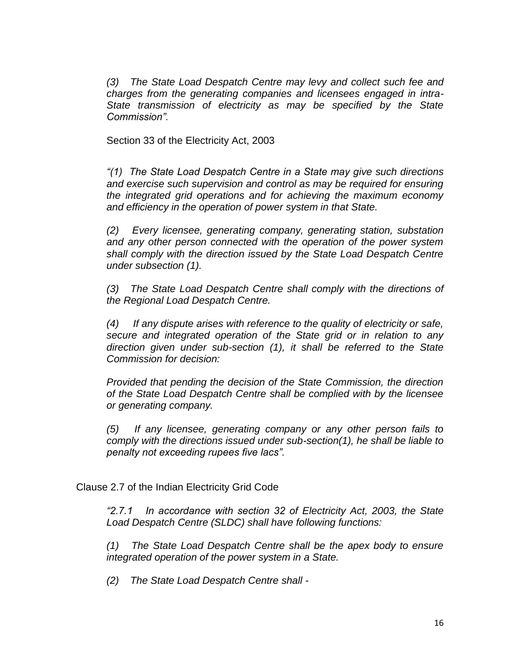*(3) The State Load Despatch Centre may levy and collect such fee and charges from the generating companies and licensees engaged in intra-State transmission of electricity as may be specified by the State Commission".*

Section 33 of the Electricity Act, 2003

*"(1) The State Load Despatch Centre in a State may give such directions and exercise such supervision and control as may be required for ensuring the integrated grid operations and for achieving the maximum economy and efficiency in the operation of power system in that State.*

*(2) Every licensee, generating company, generating station, substation and any other person connected with the operation of the power system shall comply with the direction issued by the State Load Despatch Centre under subsection (1).*

*(3) The State Load Despatch Centre shall comply with the directions of the Regional Load Despatch Centre.*

*(4) If any dispute arises with reference to the quality of electricity or safe, secure and integrated operation of the State grid or in relation to any direction given under sub-section (1), it shall be referred to the State Commission for decision:*

*Provided that pending the decision of the State Commission, the direction of the State Load Despatch Centre shall be complied with by the licensee or generating company.*

*(5) If any licensee, generating company or any other person fails to comply with the directions issued under sub-section(1), he shall be liable to penalty not exceeding rupees five lacs".*

Clause 2.7 of the Indian Electricity Grid Code

*"2.7.1 In accordance with section 32 of Electricity Act, 2003, the State Load Despatch Centre (SLDC) shall have following functions:*

*(1) The State Load Despatch Centre shall be the apex body to ensure integrated operation of the power system in a State.*

*(2) The State Load Despatch Centre shall -*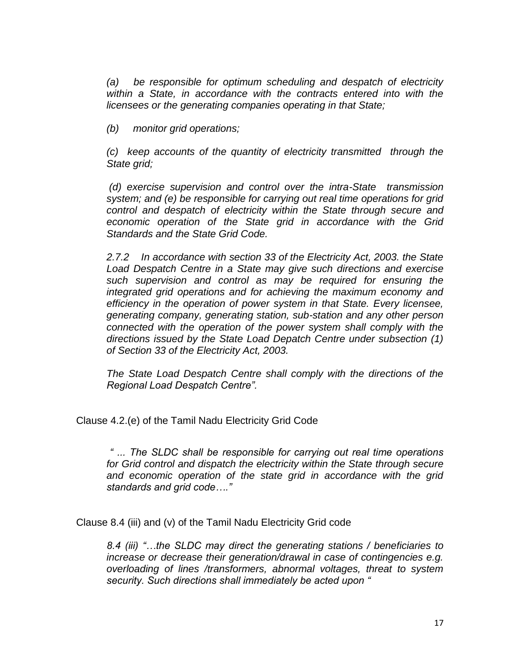*(a) be responsible for optimum scheduling and despatch of electricity within a State, in accordance with the contracts entered into with the licensees or the generating companies operating in that State;*

*(b) monitor grid operations;*

*(c) keep accounts of the quantity of electricity transmitted through the State grid;*

*(d) exercise supervision and control over the intra-State transmission system; and (e) be responsible for carrying out real time operations for grid control and despatch of electricity within the State through secure and economic operation of the State grid in accordance with the Grid Standards and the State Grid Code.*

*2.7.2 In accordance with section 33 of the Electricity Act, 2003. the State Load Despatch Centre in a State may give such directions and exercise such supervision and control as may be required for ensuring the integrated grid operations and for achieving the maximum economy and efficiency in the operation of power system in that State. Every licensee, generating company, generating station, sub-station and any other person connected with the operation of the power system shall comply with the directions issued by the State Load Depatch Centre under subsection (1) of Section 33 of the Electricity Act, 2003.*

*The State Load Despatch Centre shall comply with the directions of the Regional Load Despatch Centre".*

Clause 4.2.(e) of the Tamil Nadu Electricity Grid Code

*" ... The SLDC shall be responsible for carrying out real time operations for Grid control and dispatch the electricity within the State through secure and economic operation of the state grid in accordance with the grid standards and grid code…."*

Clause 8.4 (iii) and (v) of the Tamil Nadu Electricity Grid code

*8.4 (iii) "…the SLDC may direct the generating stations / beneficiaries to increase or decrease their generation/drawal in case of contingencies e.g. overloading of lines /transformers, abnormal voltages, threat to system security. Such directions shall immediately be acted upon "*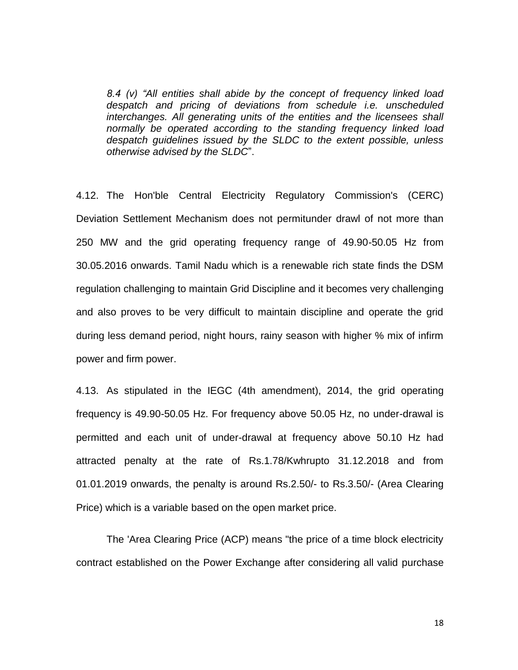*8.4 (v) "All entities shall abide by the concept of frequency linked load despatch and pricing of deviations from schedule i.e. unscheduled interchanges. All generating units of the entities and the licensees shall normally be operated according to the standing frequency linked load despatch guidelines issued by the SLDC to the extent possible, unless otherwise advised by the SLDC*".

4.12. The Hon'ble Central Electricity Regulatory Commission's (CERC) Deviation Settlement Mechanism does not permitunder drawl of not more than 250 MW and the grid operating frequency range of 49.90-50.05 Hz from 30.05.2016 onwards. Tamil Nadu which is a renewable rich state finds the DSM regulation challenging to maintain Grid Discipline and it becomes very challenging and also proves to be very difficult to maintain discipline and operate the grid during less demand period, night hours, rainy season with higher % mix of infirm power and firm power.

4.13. As stipulated in the IEGC (4th amendment), 2014, the grid operating frequency is 49.90-50.05 Hz. For frequency above 50.05 Hz, no under-drawal is permitted and each unit of under-drawal at frequency above 50.10 Hz had attracted penalty at the rate of Rs.1.78/Kwhrupto 31.12.2018 and from 01.01.2019 onwards, the penalty is around Rs.2.50/- to Rs.3.50/- (Area Clearing Price) which is a variable based on the open market price.

The 'Area Clearing Price (ACP) means "the price of a time block electricity contract established on the Power Exchange after considering all valid purchase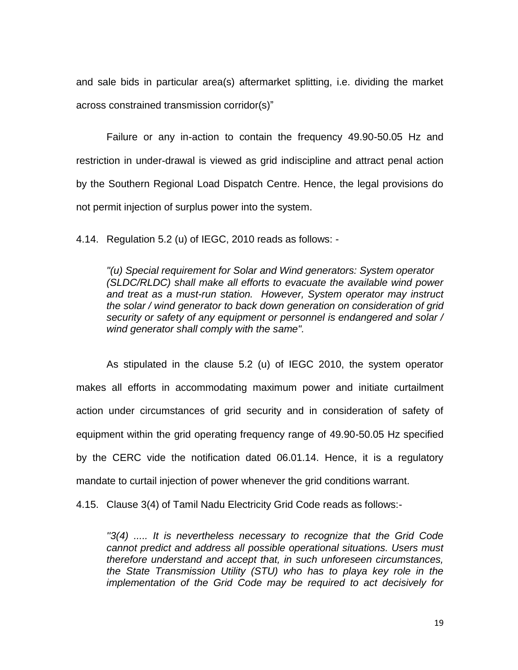and sale bids in particular area(s) aftermarket splitting, i.e. dividing the market across constrained transmission corridor(s)"

Failure or any in-action to contain the frequency 49.90-50.05 Hz and restriction in under-drawal is viewed as grid indiscipline and attract penal action by the Southern Regional Load Dispatch Centre. Hence, the legal provisions do not permit injection of surplus power into the system.

4.14. Regulation 5.2 (u) of IEGC, 2010 reads as follows: -

*"(u) Special requirement for Solar and Wind generators: System operator (SLDC/RLDC) shall make all efforts to evacuate the available wind power and treat as a must-run station. However, System operator may instruct the solar / wind generator to back down generation on consideration of grid security or safety of any equipment or personnel is endangered and solar / wind generator shall comply with the same".* 

As stipulated in the clause 5.2 (u) of IEGC 2010, the system operator makes all efforts in accommodating maximum power and initiate curtailment action under circumstances of grid security and in consideration of safety of equipment within the grid operating frequency range of 49.90-50.05 Hz specified by the CERC vide the notification dated 06.01.14. Hence, it is a regulatory mandate to curtail injection of power whenever the grid conditions warrant.

4.15. Clause 3(4) of Tamil Nadu Electricity Grid Code reads as follows:-

*''3(4) ..... It is nevertheless necessary to recognize that the Grid Code cannot predict and address all possible operational situations. Users must therefore understand and accept that, in such unforeseen circumstances, the State Transmission Utility (STU) who has to playa key role in the implementation of the Grid Code may be required to act decisively for*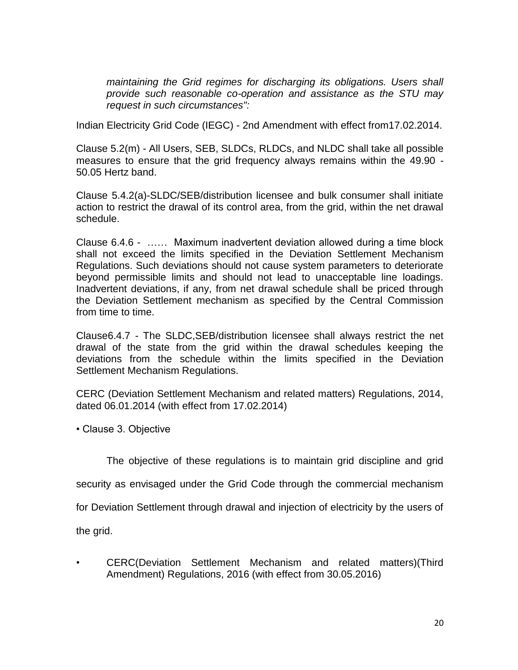*maintaining the Grid regimes for discharging its obligations. Users shall provide such reasonable co-operation and assistance as the STU may request in such circumstances":* 

Indian Electricity Grid Code (IEGC) - 2nd Amendment with effect from17.02.2014.

Clause 5.2(m) - All Users, SEB, SLDCs, RLDCs, and NLDC shall take all possible measures to ensure that the grid frequency always remains within the 49.90 - 50.05 Hertz band.

Clause 5.4.2(a)-SLDC/SEB/distribution licensee and bulk consumer shall initiate action to restrict the drawal of its control area, from the grid, within the net drawal schedule.

Clause 6.4.6 - …… Maximum inadvertent deviation allowed during a time block shall not exceed the limits specified in the Deviation Settlement Mechanism Regulations. Such deviations should not cause system parameters to deteriorate beyond permissible limits and should not lead to unacceptable line loadings. Inadvertent deviations, if any, from net drawal schedule shall be priced through the Deviation Settlement mechanism as specified by the Central Commission from time to time.

Clause6.4.7 - The SLDC,SEB/distribution licensee shall always restrict the net drawal of the state from the grid within the drawal schedules keeping the deviations from the schedule within the limits specified in the Deviation Settlement Mechanism Regulations.

CERC (Deviation Settlement Mechanism and related matters) Regulations, 2014, dated 06.01.2014 (with effect from 17.02.2014)

• Clause 3. Objective

The objective of these regulations is to maintain grid discipline and grid

security as envisaged under the Grid Code through the commercial mechanism

for Deviation Settlement through drawal and injection of electricity by the users of

the grid.

• CERC(Deviation Settlement Mechanism and related matters)(Third Amendment) Regulations, 2016 (with effect from 30.05.2016)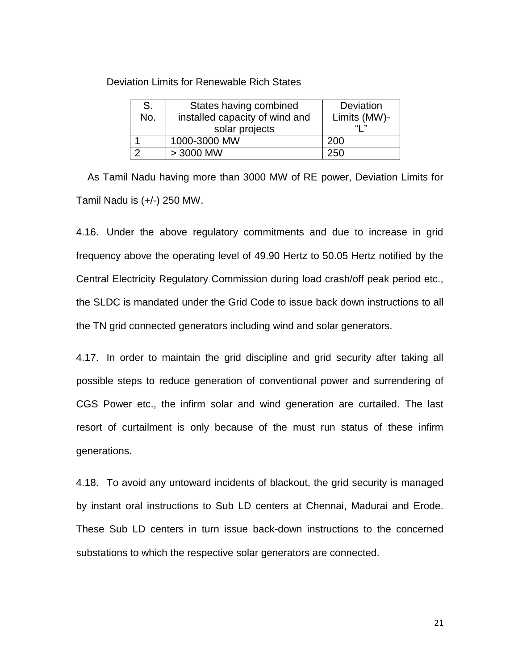Deviation Limits for Renewable Rich States

| S.  | States having combined         | Deviation    |
|-----|--------------------------------|--------------|
| No. | installed capacity of wind and | Limits (MW)- |
|     | solar projects                 | "!"          |
|     | 1000-3000 MW                   | 200          |
|     | $>$ 3000 MW                    | 250          |

 As Tamil Nadu having more than 3000 MW of RE power, Deviation Limits for Tamil Nadu is (+/-) 250 MW.

4.16. Under the above regulatory commitments and due to increase in grid frequency above the operating level of 49.90 Hertz to 50.05 Hertz notified by the Central Electricity Regulatory Commission during load crash/off peak period etc., the SLDC is mandated under the Grid Code to issue back down instructions to all the TN grid connected generators including wind and solar generators.

4.17. In order to maintain the grid discipline and grid security after taking all possible steps to reduce generation of conventional power and surrendering of CGS Power etc., the infirm solar and wind generation are curtailed. The last resort of curtailment is only because of the must run status of these infirm generations.

4.18. To avoid any untoward incidents of blackout, the grid security is managed by instant oral instructions to Sub LD centers at Chennai, Madurai and Erode. These Sub LD centers in turn issue back-down instructions to the concerned substations to which the respective solar generators are connected.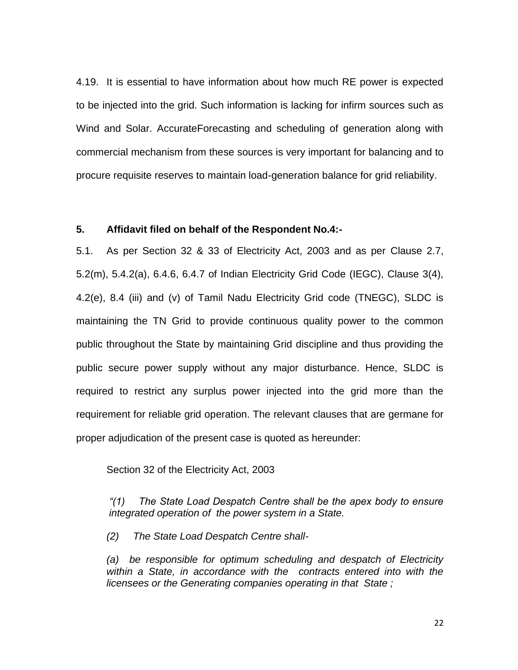4.19. It is essential to have information about how much RE power is expected to be injected into the grid. Such information is lacking for infirm sources such as Wind and Solar. AccurateForecasting and scheduling of generation along with commercial mechanism from these sources is very important for balancing and to procure requisite reserves to maintain load-generation balance for grid reliability.

#### **5. Affidavit filed on behalf of the Respondent No.4:-**

5.1. As per Section 32 & 33 of Electricity Act, 2003 and as per Clause 2.7, 5.2(m), 5.4.2(a), 6.4.6, 6.4.7 of Indian Electricity Grid Code (IEGC), Clause 3(4), 4.2(e), 8.4 (iii) and (v) of Tamil Nadu Electricity Grid code (TNEGC), SLDC is maintaining the TN Grid to provide continuous quality power to the common public throughout the State by maintaining Grid discipline and thus providing the public secure power supply without any major disturbance. Hence, SLDC is required to restrict any surplus power injected into the grid more than the requirement for reliable grid operation. The relevant clauses that are germane for proper adjudication of the present case is quoted as hereunder:

Section 32 of the Electricity Act, 2003

*"(1) The State Load Despatch Centre shall be the apex body to ensure integrated operation of the power system in a State.*

*(2) The State Load Despatch Centre shall-*

*(a) be responsible for optimum scheduling and despatch of Electricity within a State, in accordance with the contracts entered into with the licensees or the Generating companies operating in that State ;*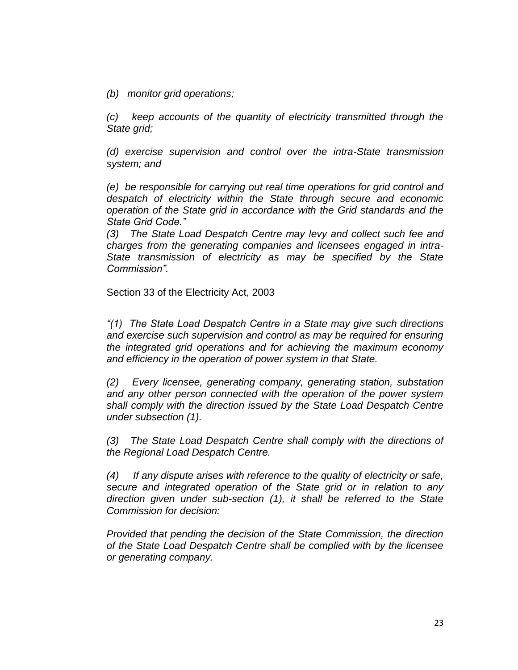*(b) monitor grid operations;*

*(c) keep accounts of the quantity of electricity transmitted through the State grid;*

*(d) exercise supervision and control over the intra-State transmission system; and*

*(e) be responsible for carrying out real time operations for grid control and despatch of electricity within the State through secure and economic operation of the State grid in accordance with the Grid standards and the State Grid Code."*

*(3) The State Load Despatch Centre may levy and collect such fee and charges from the generating companies and licensees engaged in intra-State transmission of electricity as may be specified by the State Commission".*

Section 33 of the Electricity Act, 2003

*"(1) The State Load Despatch Centre in a State may give such directions and exercise such supervision and control as may be required for ensuring the integrated grid operations and for achieving the maximum economy and efficiency in the operation of power system in that State.*

*(2) Every licensee, generating company, generating station, substation and any other person connected with the operation of the power system shall comply with the direction issued by the State Load Despatch Centre under subsection (1).*

*(3) The State Load Despatch Centre shall comply with the directions of the Regional Load Despatch Centre.*

*(4) If any dispute arises with reference to the quality of electricity or safe, secure and integrated operation of the State grid or in relation to any direction given under sub-section (1), it shall be referred to the State Commission for decision:*

*Provided that pending the decision of the State Commission, the direction of the State Load Despatch Centre shall be complied with by the licensee or generating company.*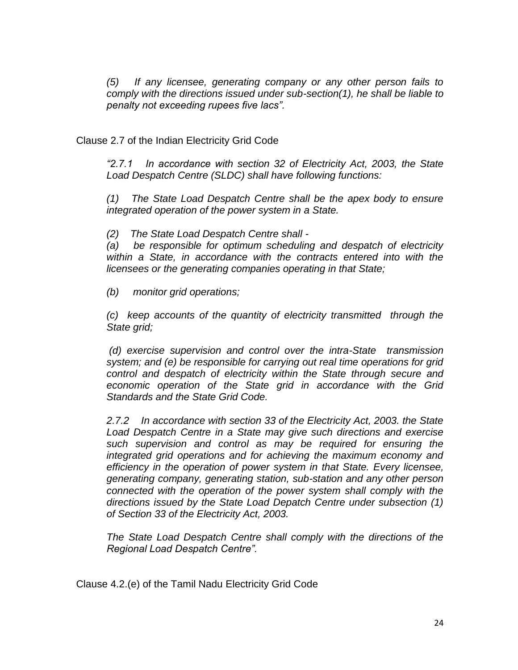*(5) If any licensee, generating company or any other person fails to comply with the directions issued under sub-section(1), he shall be liable to penalty not exceeding rupees five lacs".*

Clause 2.7 of the Indian Electricity Grid Code

*"2.7.1 In accordance with section 32 of Electricity Act, 2003, the State Load Despatch Centre (SLDC) shall have following functions:*

*(1) The State Load Despatch Centre shall be the apex body to ensure integrated operation of the power system in a State.*

*(2) The State Load Despatch Centre shall -*

*(a) be responsible for optimum scheduling and despatch of electricity within a State, in accordance with the contracts entered into with the licensees or the generating companies operating in that State;*

*(b) monitor grid operations;*

*(c) keep accounts of the quantity of electricity transmitted through the State grid;*

*(d) exercise supervision and control over the intra-State transmission system; and (e) be responsible for carrying out real time operations for grid control and despatch of electricity within the State through secure and economic operation of the State grid in accordance with the Grid Standards and the State Grid Code.*

*2.7.2 In accordance with section 33 of the Electricity Act, 2003. the State Load Despatch Centre in a State may give such directions and exercise such supervision and control as may be required for ensuring the integrated grid operations and for achieving the maximum economy and efficiency in the operation of power system in that State. Every licensee, generating company, generating station, sub-station and any other person connected with the operation of the power system shall comply with the directions issued by the State Load Depatch Centre under subsection (1) of Section 33 of the Electricity Act, 2003.*

*The State Load Despatch Centre shall comply with the directions of the Regional Load Despatch Centre".*

Clause 4.2.(e) of the Tamil Nadu Electricity Grid Code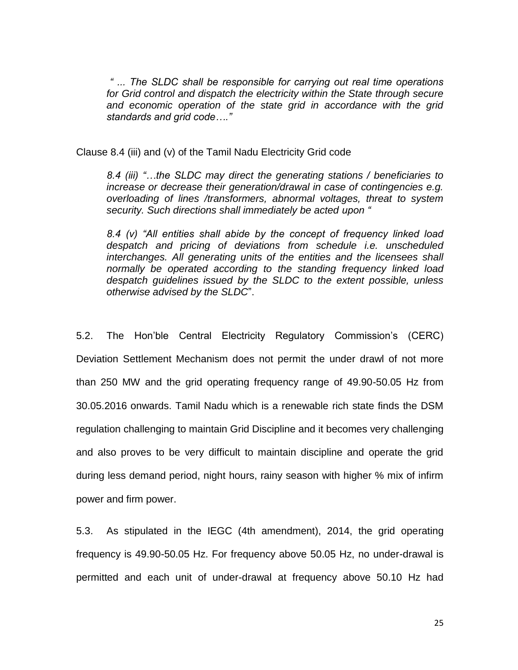*" ... The SLDC shall be responsible for carrying out real time operations for Grid control and dispatch the electricity within the State through secure and economic operation of the state grid in accordance with the grid standards and grid code…."*

Clause 8.4 (iii) and (v) of the Tamil Nadu Electricity Grid code

*8.4 (iii) "…the SLDC may direct the generating stations / beneficiaries to increase or decrease their generation/drawal in case of contingencies e.g. overloading of lines /transformers, abnormal voltages, threat to system security. Such directions shall immediately be acted upon "*

*8.4 (v) "All entities shall abide by the concept of frequency linked load despatch and pricing of deviations from schedule i.e. unscheduled interchanges. All generating units of the entities and the licensees shall normally be operated according to the standing frequency linked load despatch guidelines issued by the SLDC to the extent possible, unless otherwise advised by the SLDC*".

5.2. The Hon"ble Central Electricity Regulatory Commission"s (CERC) Deviation Settlement Mechanism does not permit the under drawl of not more than 250 MW and the grid operating frequency range of 49.90-50.05 Hz from 30.05.2016 onwards. Tamil Nadu which is a renewable rich state finds the DSM regulation challenging to maintain Grid Discipline and it becomes very challenging and also proves to be very difficult to maintain discipline and operate the grid during less demand period, night hours, rainy season with higher % mix of infirm power and firm power.

5.3. As stipulated in the IEGC (4th amendment), 2014, the grid operating frequency is 49.90-50.05 Hz. For frequency above 50.05 Hz, no under-drawal is permitted and each unit of under-drawal at frequency above 50.10 Hz had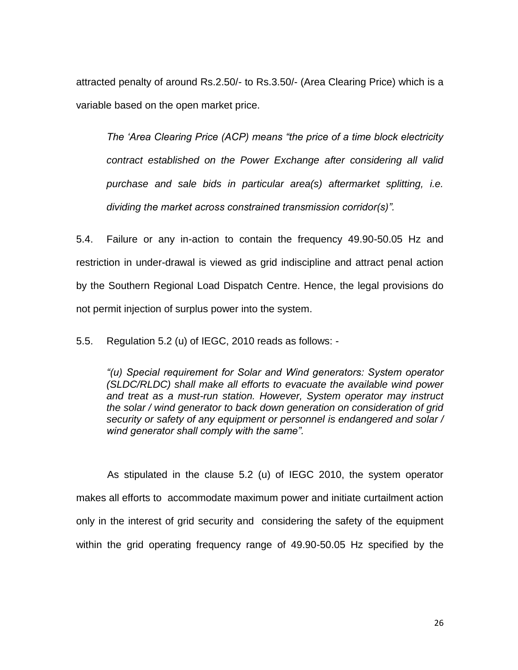attracted penalty of around Rs.2.50/- to Rs.3.50/- (Area Clearing Price) which is a variable based on the open market price.

*The "Area Clearing Price (ACP) means "the price of a time block electricity contract established on the Power Exchange after considering all valid purchase and sale bids in particular area(s) aftermarket splitting, i.e. dividing the market across constrained transmission corridor(s)".* 

5.4. Failure or any in-action to contain the frequency 49.90-50.05 Hz and restriction in under-drawal is viewed as grid indiscipline and attract penal action by the Southern Regional Load Dispatch Centre. Hence, the legal provisions do not permit injection of surplus power into the system.

5.5. Regulation 5.2 (u) of IEGC, 2010 reads as follows: -

*"(u) Special requirement for Solar and Wind generators: System operator (SLDC/RLDC) shall make all efforts to evacuate the available wind power and treat as a must-run station. However, System operator may instruct the solar / wind generator to back down generation on consideration of grid security or safety of any equipment or personnel is endangered and solar / wind generator shall comply with the same".*

 As stipulated in the clause 5.2 (u) of IEGC 2010, the system operator makes all efforts to accommodate maximum power and initiate curtailment action only in the interest of grid security and considering the safety of the equipment within the grid operating frequency range of 49.90-50.05 Hz specified by the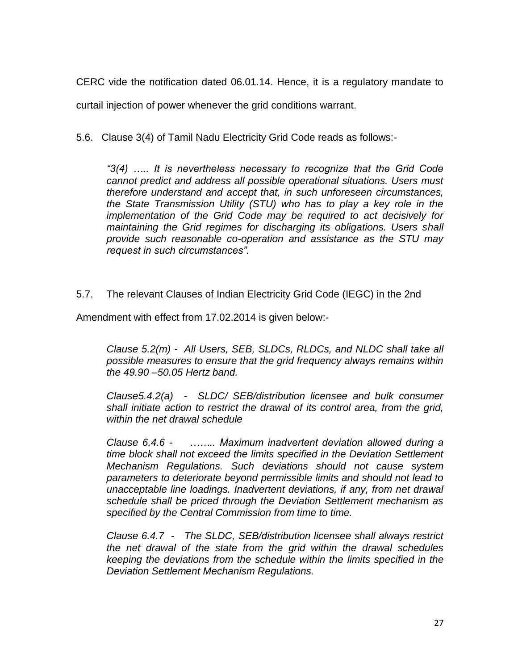CERC vide the notification dated 06.01.14. Hence, it is a regulatory mandate to

curtail injection of power whenever the grid conditions warrant.

5.6. Clause 3(4) of Tamil Nadu Electricity Grid Code reads as follows:-

*"3(4) ….. It is nevertheless necessary to recognize that the Grid Code cannot predict and address all possible operational situations. Users must therefore understand and accept that, in such unforeseen circumstances, the State Transmission Utility (STU) who has to play a key role in the implementation of the Grid Code may be required to act decisively for maintaining the Grid regimes for discharging its obligations. Users shall provide such reasonable co-operation and assistance as the STU may request in such circumstances".*

5.7. The relevant Clauses of Indian Electricity Grid Code (IEGC) in the 2nd

Amendment with effect from 17.02.2014 is given below:-

*Clause 5.2(m) - All Users, SEB, SLDCs, RLDCs, and NLDC shall take all possible measures to ensure that the grid frequency always remains within the 49.90 –50.05 Hertz band.*

*Clause5.4.2(a) - SLDC/ SEB/distribution licensee and bulk consumer shall initiate action to restrict the drawal of its control area, from the grid, within the net drawal schedule*

*Clause 6.4.6 - …….. Maximum inadvertent deviation allowed during a time block shall not exceed the limits specified in the Deviation Settlement Mechanism Regulations. Such deviations should not cause system parameters to deteriorate beyond permissible limits and should not lead to unacceptable line loadings. Inadvertent deviations, if any, from net drawal schedule shall be priced through the Deviation Settlement mechanism as specified by the Central Commission from time to time.* 

*Clause 6.4.7 - The SLDC, SEB/distribution licensee shall always restrict the net drawal of the state from the grid within the drawal schedules keeping the deviations from the schedule within the limits specified in the Deviation Settlement Mechanism Regulations.*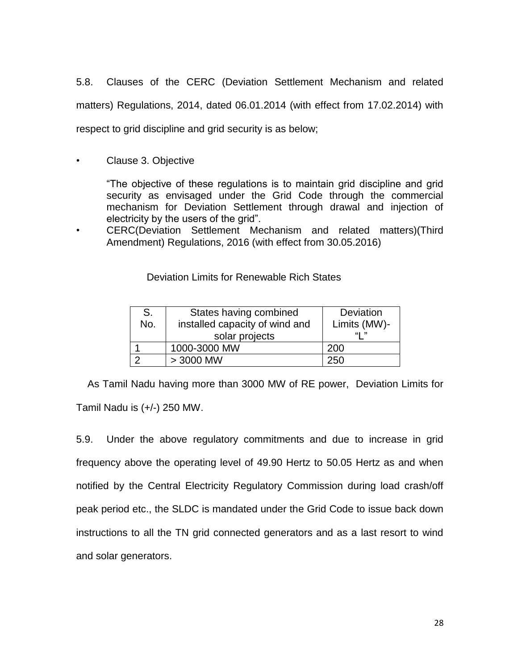5.8. Clauses of the CERC (Deviation Settlement Mechanism and related matters) Regulations, 2014, dated 06.01.2014 (with effect from 17.02.2014) with respect to grid discipline and grid security is as below;

• Clause 3. Objective

"The objective of these regulations is to maintain grid discipline and grid security as envisaged under the Grid Code through the commercial mechanism for Deviation Settlement through drawal and injection of electricity by the users of the grid".

• CERC(Deviation Settlement Mechanism and related matters)(Third Amendment) Regulations, 2016 (with effect from 30.05.2016)

Deviation Limits for Renewable Rich States

| S.<br>No. | States having combined<br>installed capacity of wind and<br>solar projects | Deviation<br>Limits (MW)-<br>"" |
|-----------|----------------------------------------------------------------------------|---------------------------------|
|           | 1000-3000 MW                                                               | 200                             |
|           | $> 3000$ MW                                                                | 250                             |

 As Tamil Nadu having more than 3000 MW of RE power, Deviation Limits for Tamil Nadu is (+/-) 250 MW.

5.9. Under the above regulatory commitments and due to increase in grid frequency above the operating level of 49.90 Hertz to 50.05 Hertz as and when notified by the Central Electricity Regulatory Commission during load crash/off peak period etc., the SLDC is mandated under the Grid Code to issue back down instructions to all the TN grid connected generators and as a last resort to wind and solar generators.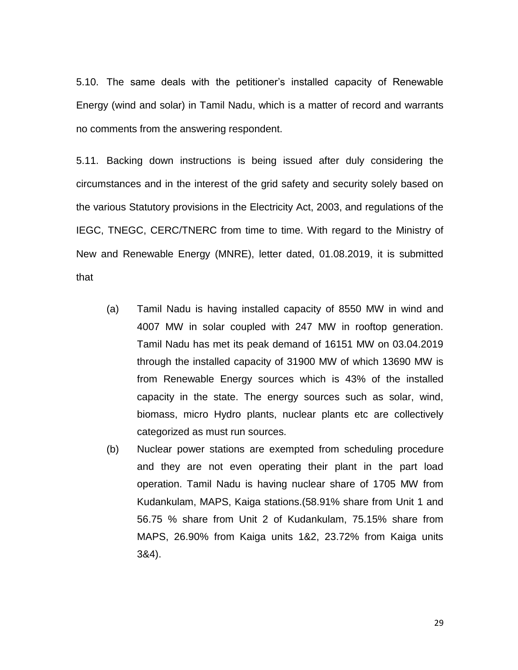5.10. The same deals with the petitioner"s installed capacity of Renewable Energy (wind and solar) in Tamil Nadu, which is a matter of record and warrants no comments from the answering respondent.

5.11. Backing down instructions is being issued after duly considering the circumstances and in the interest of the grid safety and security solely based on the various Statutory provisions in the Electricity Act, 2003, and regulations of the IEGC, TNEGC, CERC/TNERC from time to time. With regard to the Ministry of New and Renewable Energy (MNRE), letter dated, 01.08.2019, it is submitted that

- (a) Tamil Nadu is having installed capacity of 8550 MW in wind and 4007 MW in solar coupled with 247 MW in rooftop generation. Tamil Nadu has met its peak demand of 16151 MW on 03.04.2019 through the installed capacity of 31900 MW of which 13690 MW is from Renewable Energy sources which is 43% of the installed capacity in the state. The energy sources such as solar, wind, biomass, micro Hydro plants, nuclear plants etc are collectively categorized as must run sources.
- (b) Nuclear power stations are exempted from scheduling procedure and they are not even operating their plant in the part load operation. Tamil Nadu is having nuclear share of 1705 MW from Kudankulam, MAPS, Kaiga stations.(58.91% share from Unit 1 and 56.75 % share from Unit 2 of Kudankulam, 75.15% share from MAPS, 26.90% from Kaiga units 1&2, 23.72% from Kaiga units 3&4).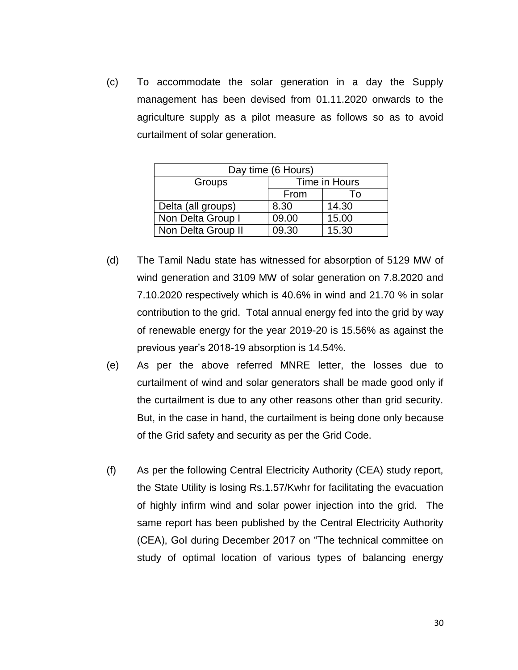(c) To accommodate the solar generation in a day the Supply management has been devised from 01.11.2020 onwards to the agriculture supply as a pilot measure as follows so as to avoid curtailment of solar generation.

| Day time (6 Hours) |               |       |  |  |
|--------------------|---------------|-------|--|--|
| Groups             | Time in Hours |       |  |  |
|                    | From          | Т٥    |  |  |
| Delta (all groups) | 8.30          | 14.30 |  |  |
| Non Delta Group I  | 09.00         | 15.00 |  |  |
| Non Delta Group II | 09.30         | 15.30 |  |  |

- (d) The Tamil Nadu state has witnessed for absorption of 5129 MW of wind generation and 3109 MW of solar generation on 7.8.2020 and 7.10.2020 respectively which is 40.6% in wind and 21.70 % in solar contribution to the grid. Total annual energy fed into the grid by way of renewable energy for the year 2019-20 is 15.56% as against the previous year"s 2018-19 absorption is 14.54%.
- (e) As per the above referred MNRE letter, the losses due to curtailment of wind and solar generators shall be made good only if the curtailment is due to any other reasons other than grid security. But, in the case in hand, the curtailment is being done only because of the Grid safety and security as per the Grid Code.
- (f) As per the following Central Electricity Authority (CEA) study report, the State Utility is losing Rs.1.57/Kwhr for facilitating the evacuation of highly infirm wind and solar power injection into the grid. The same report has been published by the Central Electricity Authority (CEA), GoI during December 2017 on "The technical committee on study of optimal location of various types of balancing energy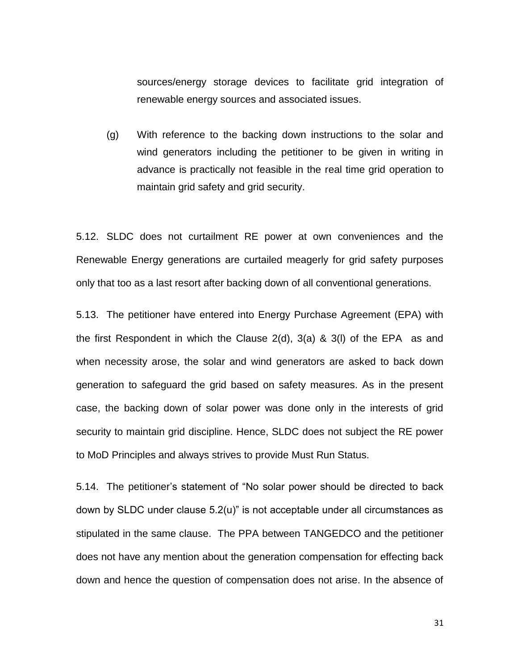sources/energy storage devices to facilitate grid integration of renewable energy sources and associated issues.

(g) With reference to the backing down instructions to the solar and wind generators including the petitioner to be given in writing in advance is practically not feasible in the real time grid operation to maintain grid safety and grid security.

5.12. SLDC does not curtailment RE power at own conveniences and the Renewable Energy generations are curtailed meagerly for grid safety purposes only that too as a last resort after backing down of all conventional generations.

5.13. The petitioner have entered into Energy Purchase Agreement (EPA) with the first Respondent in which the Clause 2(d), 3(a) & 3(l) of the EPA as and when necessity arose, the solar and wind generators are asked to back down generation to safeguard the grid based on safety measures. As in the present case, the backing down of solar power was done only in the interests of grid security to maintain grid discipline. Hence, SLDC does not subject the RE power to MoD Principles and always strives to provide Must Run Status.

5.14. The petitioner"s statement of "No solar power should be directed to back down by SLDC under clause 5.2(u)" is not acceptable under all circumstances as stipulated in the same clause. The PPA between TANGEDCO and the petitioner does not have any mention about the generation compensation for effecting back down and hence the question of compensation does not arise. In the absence of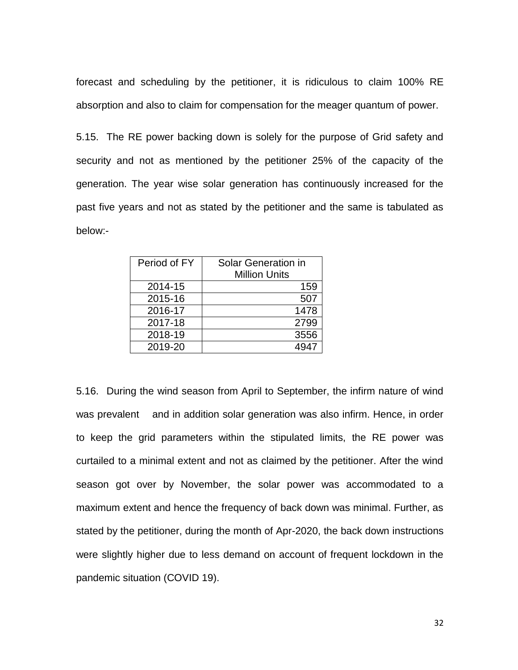forecast and scheduling by the petitioner, it is ridiculous to claim 100% RE absorption and also to claim for compensation for the meager quantum of power.

5.15. The RE power backing down is solely for the purpose of Grid safety and security and not as mentioned by the petitioner 25% of the capacity of the generation. The year wise solar generation has continuously increased for the past five years and not as stated by the petitioner and the same is tabulated as below:-

| Period of FY | Solar Generation in<br><b>Million Units</b> |
|--------------|---------------------------------------------|
| 2014-15      | 159                                         |
| 2015-16      | 507                                         |
| 2016-17      | 1478                                        |
| 2017-18      | 2799                                        |
| 2018-19      | 3556                                        |
| 2019-20      |                                             |

5.16. During the wind season from April to September, the infirm nature of wind was prevalent and in addition solar generation was also infirm. Hence, in order to keep the grid parameters within the stipulated limits, the RE power was curtailed to a minimal extent and not as claimed by the petitioner. After the wind season got over by November, the solar power was accommodated to a maximum extent and hence the frequency of back down was minimal. Further, as stated by the petitioner, during the month of Apr-2020, the back down instructions were slightly higher due to less demand on account of frequent lockdown in the pandemic situation (COVID 19).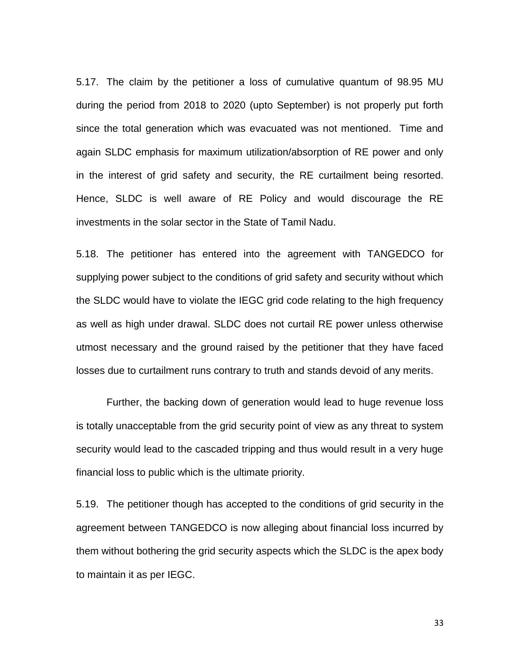5.17. The claim by the petitioner a loss of cumulative quantum of 98.95 MU during the period from 2018 to 2020 (upto September) is not properly put forth since the total generation which was evacuated was not mentioned. Time and again SLDC emphasis for maximum utilization/absorption of RE power and only in the interest of grid safety and security, the RE curtailment being resorted. Hence, SLDC is well aware of RE Policy and would discourage the RE investments in the solar sector in the State of Tamil Nadu.

5.18. The petitioner has entered into the agreement with TANGEDCO for supplying power subject to the conditions of grid safety and security without which the SLDC would have to violate the IEGC grid code relating to the high frequency as well as high under drawal. SLDC does not curtail RE power unless otherwise utmost necessary and the ground raised by the petitioner that they have faced losses due to curtailment runs contrary to truth and stands devoid of any merits.

Further, the backing down of generation would lead to huge revenue loss is totally unacceptable from the grid security point of view as any threat to system security would lead to the cascaded tripping and thus would result in a very huge financial loss to public which is the ultimate priority.

5.19. The petitioner though has accepted to the conditions of grid security in the agreement between TANGEDCO is now alleging about financial loss incurred by them without bothering the grid security aspects which the SLDC is the apex body to maintain it as per IEGC.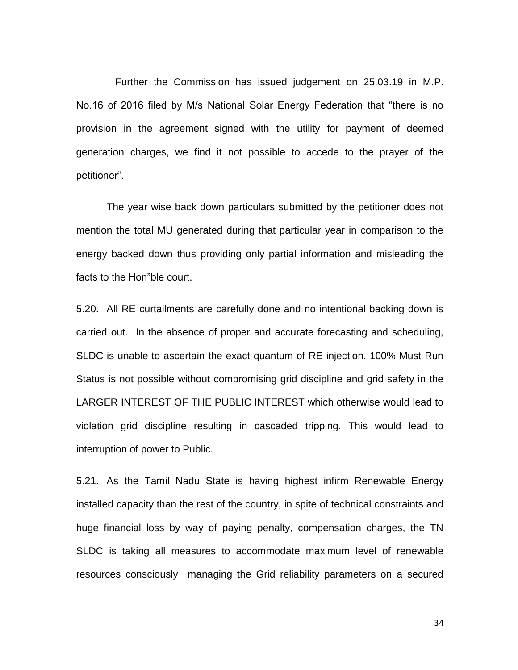Further the Commission has issued judgement on 25.03.19 in M.P. No.16 of 2016 filed by M/s National Solar Energy Federation that "there is no provision in the agreement signed with the utility for payment of deemed generation charges, we find it not possible to accede to the prayer of the petitioner".

The year wise back down particulars submitted by the petitioner does not mention the total MU generated during that particular year in comparison to the energy backed down thus providing only partial information and misleading the facts to the Hon"ble court.

5.20. All RE curtailments are carefully done and no intentional backing down is carried out. In the absence of proper and accurate forecasting and scheduling, SLDC is unable to ascertain the exact quantum of RE injection. 100% Must Run Status is not possible without compromising grid discipline and grid safety in the LARGER INTEREST OF THE PUBLIC INTEREST which otherwise would lead to violation grid discipline resulting in cascaded tripping. This would lead to interruption of power to Public.

5.21. As the Tamil Nadu State is having highest infirm Renewable Energy installed capacity than the rest of the country, in spite of technical constraints and huge financial loss by way of paying penalty, compensation charges, the TN SLDC is taking all measures to accommodate maximum level of renewable resources consciously managing the Grid reliability parameters on a secured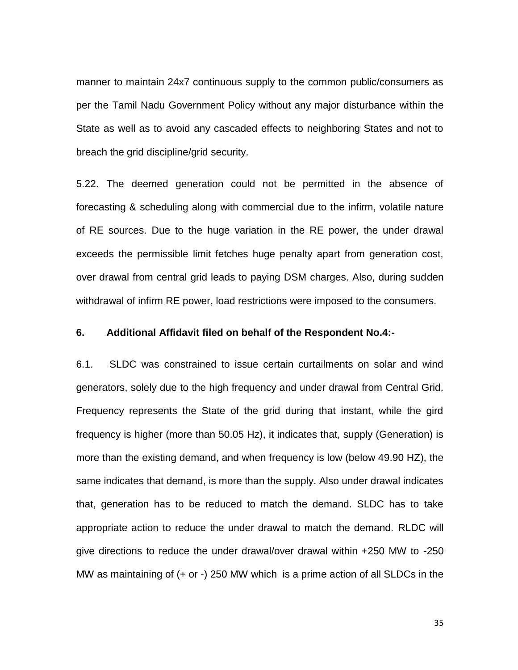manner to maintain 24x7 continuous supply to the common public/consumers as per the Tamil Nadu Government Policy without any major disturbance within the State as well as to avoid any cascaded effects to neighboring States and not to breach the grid discipline/grid security.

5.22. The deemed generation could not be permitted in the absence of forecasting & scheduling along with commercial due to the infirm, volatile nature of RE sources. Due to the huge variation in the RE power, the under drawal exceeds the permissible limit fetches huge penalty apart from generation cost, over drawal from central grid leads to paying DSM charges. Also, during sudden withdrawal of infirm RE power, load restrictions were imposed to the consumers.

#### **6. Additional Affidavit filed on behalf of the Respondent No.4:-**

6.1. SLDC was constrained to issue certain curtailments on solar and wind generators, solely due to the high frequency and under drawal from Central Grid. Frequency represents the State of the grid during that instant, while the gird frequency is higher (more than 50.05 Hz), it indicates that, supply (Generation) is more than the existing demand, and when frequency is low (below 49.90 HZ), the same indicates that demand, is more than the supply. Also under drawal indicates that, generation has to be reduced to match the demand. SLDC has to take appropriate action to reduce the under drawal to match the demand. RLDC will give directions to reduce the under drawal/over drawal within +250 MW to -250 MW as maintaining of (+ or -) 250 MW which is a prime action of all SLDCs in the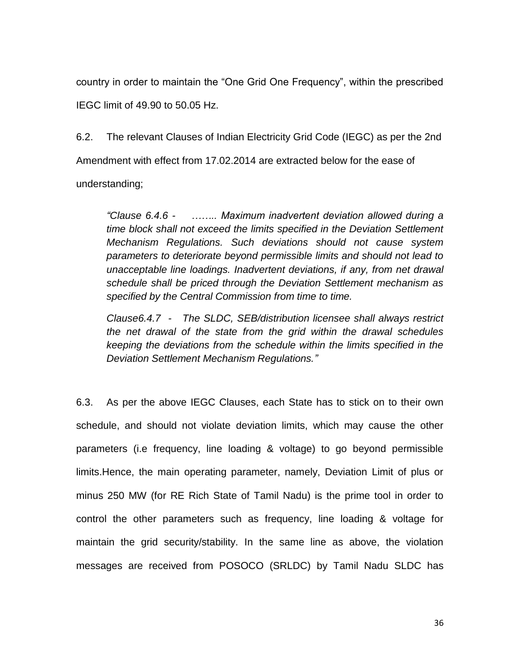country in order to maintain the "One Grid One Frequency", within the prescribed IEGC limit of 49.90 to 50.05 Hz.

6.2. The relevant Clauses of Indian Electricity Grid Code (IEGC) as per the 2nd Amendment with effect from 17.02.2014 are extracted below for the ease of understanding;

*"Clause 6.4.6 - …….. Maximum inadvertent deviation allowed during a time block shall not exceed the limits specified in the Deviation Settlement Mechanism Regulations. Such deviations should not cause system parameters to deteriorate beyond permissible limits and should not lead to unacceptable line loadings. Inadvertent deviations, if any, from net drawal schedule shall be priced through the Deviation Settlement mechanism as specified by the Central Commission from time to time.* 

*Clause6.4.7 - The SLDC, SEB/distribution licensee shall always restrict the net drawal of the state from the grid within the drawal schedules keeping the deviations from the schedule within the limits specified in the Deviation Settlement Mechanism Regulations."*

6.3. As per the above IEGC Clauses, each State has to stick on to their own schedule, and should not violate deviation limits, which may cause the other parameters (i.e frequency, line loading & voltage) to go beyond permissible limits.Hence, the main operating parameter, namely, Deviation Limit of plus or minus 250 MW (for RE Rich State of Tamil Nadu) is the prime tool in order to control the other parameters such as frequency, line loading & voltage for maintain the grid security/stability. In the same line as above, the violation messages are received from POSOCO (SRLDC) by Tamil Nadu SLDC has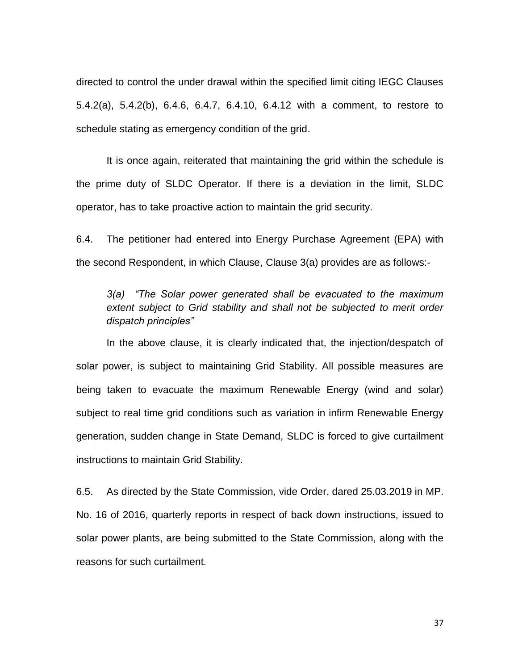directed to control the under drawal within the specified limit citing IEGC Clauses 5.4.2(a), 5.4.2(b), 6.4.6, 6.4.7, 6.4.10, 6.4.12 with a comment, to restore to schedule stating as emergency condition of the grid.

It is once again, reiterated that maintaining the grid within the schedule is the prime duty of SLDC Operator. If there is a deviation in the limit, SLDC operator, has to take proactive action to maintain the grid security.

6.4. The petitioner had entered into Energy Purchase Agreement (EPA) with the second Respondent, in which Clause, Clause 3(a) provides are as follows:-

*3(a) "The Solar power generated shall be evacuated to the maximum extent subject to Grid stability and shall not be subjected to merit order dispatch principles"*

In the above clause, it is clearly indicated that, the injection/despatch of solar power, is subject to maintaining Grid Stability. All possible measures are being taken to evacuate the maximum Renewable Energy (wind and solar) subject to real time grid conditions such as variation in infirm Renewable Energy generation, sudden change in State Demand, SLDC is forced to give curtailment instructions to maintain Grid Stability.

6.5. As directed by the State Commission, vide Order, dared 25.03.2019 in MP. No. 16 of 2016, quarterly reports in respect of back down instructions, issued to solar power plants, are being submitted to the State Commission, along with the reasons for such curtailment.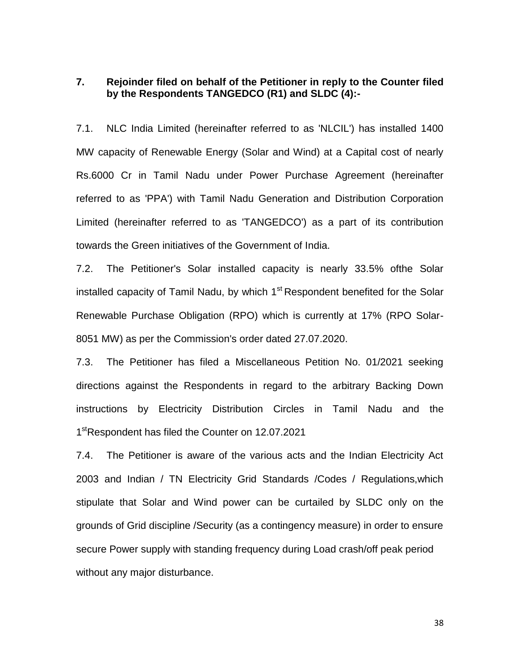## **7. Rejoinder filed on behalf of the Petitioner in reply to the Counter filed by the Respondents TANGEDCO (R1) and SLDC (4):-**

7.1. NLC India Limited (hereinafter referred to as 'NLCIL') has installed 1400 MW capacity of Renewable Energy (Solar and Wind) at a Capital cost of nearly Rs.6000 Cr in Tamil Nadu under Power Purchase Agreement (hereinafter referred to as 'PPA') with Tamil Nadu Generation and Distribution Corporation Limited (hereinafter referred to as 'TANGEDCO') as a part of its contribution towards the Green initiatives of the Government of India.

7.2. The Petitioner's Solar installed capacity is nearly 33.5% ofthe Solar installed capacity of Tamil Nadu, by which  $1<sup>st</sup>$  Respondent benefited for the Solar Renewable Purchase Obligation (RPO) which is currently at 17% (RPO Solar-8051 MW) as per the Commission's order dated 27.07.2020.

7.3. The Petitioner has filed a Miscellaneous Petition No. 01/2021 seeking directions against the Respondents in regard to the arbitrary Backing Down instructions by Electricity Distribution Circles in Tamil Nadu and the 1<sup>st</sup>Respondent has filed the Counter on 12.07.2021

7.4. The Petitioner is aware of the various acts and the Indian Electricity Act 2003 and Indian / TN Electricity Grid Standards /Codes / Regulations,which stipulate that Solar and Wind power can be curtailed by SLDC only on the grounds of Grid discipline /Security (as a contingency measure) in order to ensure secure Power supply with standing frequency during Load crash/off peak period without any major disturbance.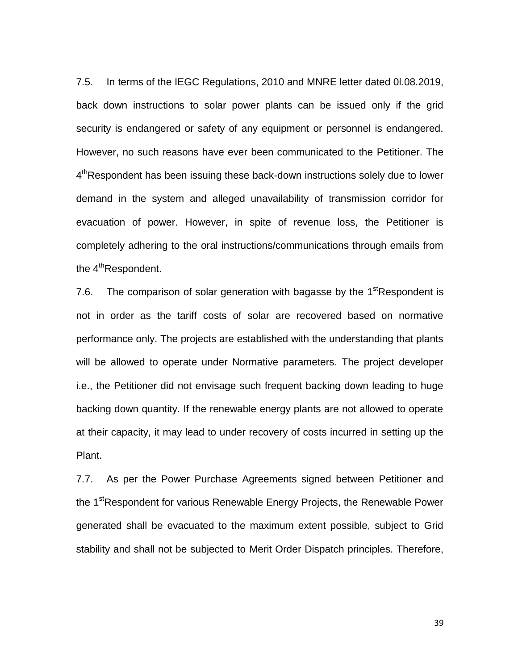7.5. In terms of the IEGC Regulations, 2010 and MNRE letter dated 0l.08.2019, back down instructions to solar power plants can be issued only if the grid security is endangered or safety of any equipment or personnel is endangered. However, no such reasons have ever been communicated to the Petitioner. The 4<sup>th</sup>Respondent has been issuing these back-down instructions solely due to lower demand in the system and alleged unavailability of transmission corridor for evacuation of power. However, in spite of revenue loss, the Petitioner is completely adhering to the oral instructions/communications through emails from the 4<sup>th</sup>Respondent.

7.6. The comparison of solar generation with bagasse by the  $1<sup>st</sup>$ Respondent is not in order as the tariff costs of solar are recovered based on normative performance only. The projects are established with the understanding that plants will be allowed to operate under Normative parameters. The project developer i.e., the Petitioner did not envisage such frequent backing down leading to huge backing down quantity. If the renewable energy plants are not allowed to operate at their capacity, it may lead to under recovery of costs incurred in setting up the Plant.

7.7. As per the Power Purchase Agreements signed between Petitioner and the 1<sup>st</sup>Respondent for various Renewable Energy Projects, the Renewable Power generated shall be evacuated to the maximum extent possible, subject to Grid stability and shall not be subjected to Merit Order Dispatch principles. Therefore,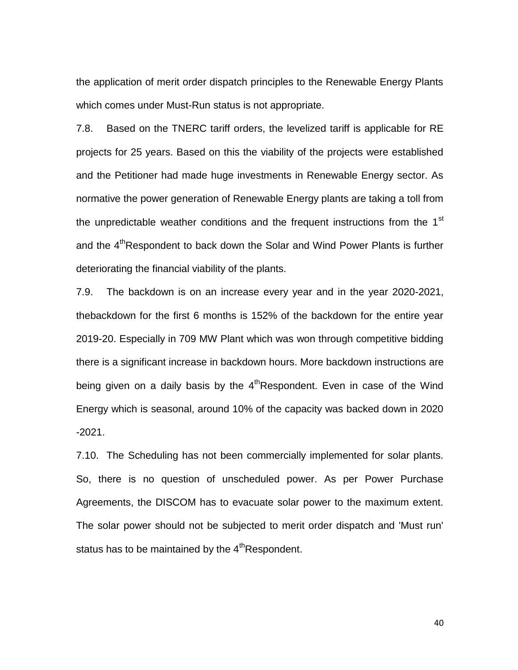the application of merit order dispatch principles to the Renewable Energy Plants which comes under Must-Run status is not appropriate.

7.8. Based on the TNERC tariff orders, the levelized tariff is applicable for RE projects for 25 years. Based on this the viability of the projects were established and the Petitioner had made huge investments in Renewable Energy sector. As normative the power generation of Renewable Energy plants are taking a toll from the unpredictable weather conditions and the frequent instructions from the  $1<sup>st</sup>$ and the 4<sup>th</sup>Respondent to back down the Solar and Wind Power Plants is further deteriorating the financial viability of the plants.

7.9. The backdown is on an increase every year and in the year 2020-2021, thebackdown for the first 6 months is 152% of the backdown for the entire year 2019-20. Especially in 709 MW Plant which was won through competitive bidding there is a significant increase in backdown hours. More backdown instructions are being given on a daily basis by the  $4<sup>th</sup>$ Respondent. Even in case of the Wind Energy which is seasonal, around 10% of the capacity was backed down in 2020 -2021.

7.10. The Scheduling has not been commercially implemented for solar plants. So, there is no question of unscheduled power. As per Power Purchase Agreements, the DISCOM has to evacuate solar power to the maximum extent. The solar power should not be subjected to merit order dispatch and 'Must run' status has to be maintained by the  $4<sup>th</sup>$ Respondent.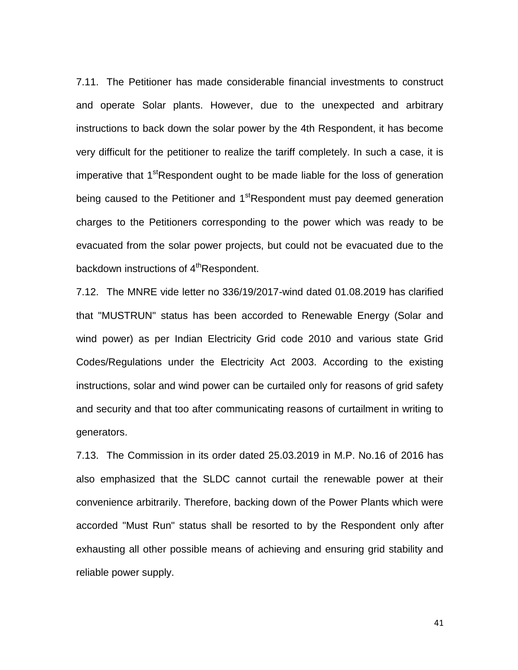7.11. The Petitioner has made considerable financial investments to construct and operate Solar plants. However, due to the unexpected and arbitrary instructions to back down the solar power by the 4th Respondent, it has become very difficult for the petitioner to realize the tariff completely. In such a case, it is imperative that 1<sup>st</sup>Respondent ought to be made liable for the loss of generation being caused to the Petitioner and 1<sup>st</sup>Respondent must pay deemed generation charges to the Petitioners corresponding to the power which was ready to be evacuated from the solar power projects, but could not be evacuated due to the backdown instructions of 4<sup>th</sup>Respondent.

7.12. The MNRE vide letter no 336/19/2017-wind dated 01.08.2019 has clarified that "MUSTRUN" status has been accorded to Renewable Energy (Solar and wind power) as per Indian Electricity Grid code 2010 and various state Grid Codes/Regulations under the Electricity Act 2003. According to the existing instructions, solar and wind power can be curtailed only for reasons of grid safety and security and that too after communicating reasons of curtailment in writing to generators.

7.13. The Commission in its order dated 25.03.2019 in M.P. No.16 of 2016 has also emphasized that the SLDC cannot curtail the renewable power at their convenience arbitrarily. Therefore, backing down of the Power Plants which were accorded "Must Run" status shall be resorted to by the Respondent only after exhausting all other possible means of achieving and ensuring grid stability and reliable power supply.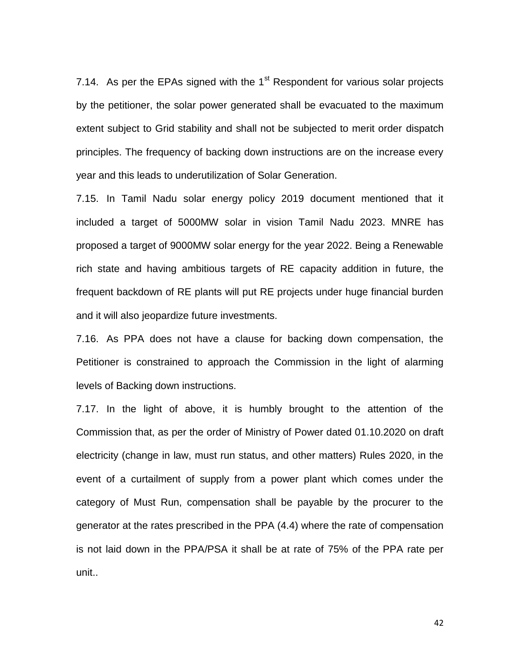7.14. As per the EPAs signed with the  $1<sup>st</sup>$  Respondent for various solar projects by the petitioner, the solar power generated shall be evacuated to the maximum extent subject to Grid stability and shall not be subjected to merit order dispatch principles. The frequency of backing down instructions are on the increase every year and this leads to underutilization of Solar Generation.

7.15. In Tamil Nadu solar energy policy 2019 document mentioned that it included a target of 5000MW solar in vision Tamil Nadu 2023. MNRE has proposed a target of 9000MW solar energy for the year 2022. Being a Renewable rich state and having ambitious targets of RE capacity addition in future, the frequent backdown of RE plants will put RE projects under huge financial burden and it will also jeopardize future investments.

7.16. As PPA does not have a clause for backing down compensation, the Petitioner is constrained to approach the Commission in the light of alarming levels of Backing down instructions.

7.17. In the light of above, it is humbly brought to the attention of the Commission that, as per the order of Ministry of Power dated 01.10.2020 on draft electricity (change in law, must run status, and other matters) Rules 2020, in the event of a curtailment of supply from a power plant which comes under the category of Must Run, compensation shall be payable by the procurer to the generator at the rates prescribed in the PPA (4.4) where the rate of compensation is not laid down in the PPA/PSA it shall be at rate of 75% of the PPA rate per unit..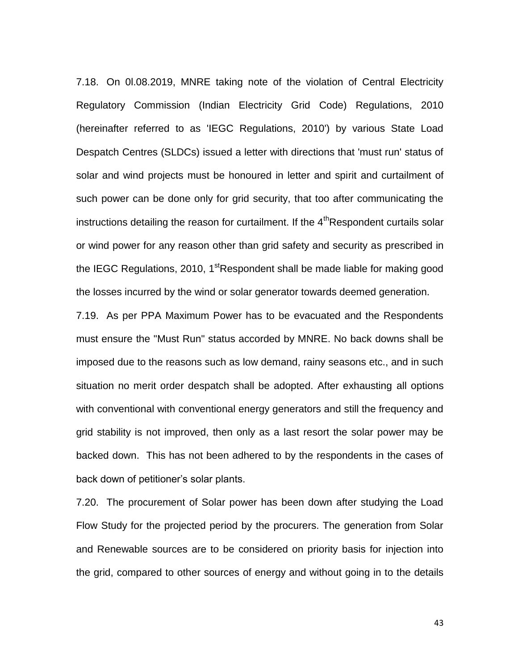7.18. On 0l.08.2019, MNRE taking note of the violation of Central Electricity Regulatory Commission (Indian Electricity Grid Code) Regulations, 2010 (hereinafter referred to as 'IEGC Regulations, 2010') by various State Load Despatch Centres (SLDCs) issued a letter with directions that 'must run' status of solar and wind projects must be honoured in letter and spirit and curtailment of such power can be done only for grid security, that too after communicating the instructions detailing the reason for curtailment. If the 4<sup>th</sup>Respondent curtails solar or wind power for any reason other than grid safety and security as prescribed in the IEGC Regulations, 2010, 1<sup>st</sup>Respondent shall be made liable for making good the losses incurred by the wind or solar generator towards deemed generation.

7.19. As per PPA Maximum Power has to be evacuated and the Respondents must ensure the "Must Run" status accorded by MNRE. No back downs shall be imposed due to the reasons such as low demand, rainy seasons etc., and in such situation no merit order despatch shall be adopted. After exhausting all options with conventional with conventional energy generators and still the frequency and grid stability is not improved, then only as a last resort the solar power may be backed down. This has not been adhered to by the respondents in the cases of back down of petitioner"s solar plants.

7.20. The procurement of Solar power has been down after studying the Load Flow Study for the projected period by the procurers. The generation from Solar and Renewable sources are to be considered on priority basis for injection into the grid, compared to other sources of energy and without going in to the details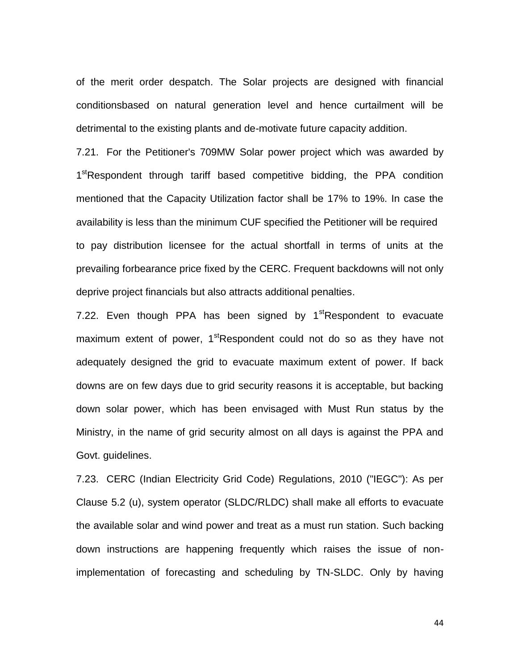of the merit order despatch. The Solar projects are designed with financial conditionsbased on natural generation level and hence curtailment will be detrimental to the existing plants and de-motivate future capacity addition.

7.21. For the Petitioner's 709MW Solar power project which was awarded by 1<sup>st</sup>Respondent through tariff based competitive bidding, the PPA condition mentioned that the Capacity Utilization factor shall be 17% to 19%. In case the availability is less than the minimum CUF specified the Petitioner will be required to pay distribution licensee for the actual shortfall in terms of units at the prevailing forbearance price fixed by the CERC. Frequent backdowns will not only deprive project financials but also attracts additional penalties.

7.22. Even though PPA has been signed by  $1<sup>st</sup>$ Respondent to evacuate maximum extent of power, 1<sup>st</sup>Respondent could not do so as they have not adequately designed the grid to evacuate maximum extent of power. If back downs are on few days due to grid security reasons it is acceptable, but backing down solar power, which has been envisaged with Must Run status by the Ministry, in the name of grid security almost on all days is against the PPA and Govt. guidelines.

7.23. CERC (Indian Electricity Grid Code) Regulations, 2010 ("IEGC"): As per Clause 5.2 (u), system operator (SLDC/RLDC) shall make all efforts to evacuate the available solar and wind power and treat as a must run station. Such backing down instructions are happening frequently which raises the issue of nonimplementation of forecasting and scheduling by TN-SLDC. Only by having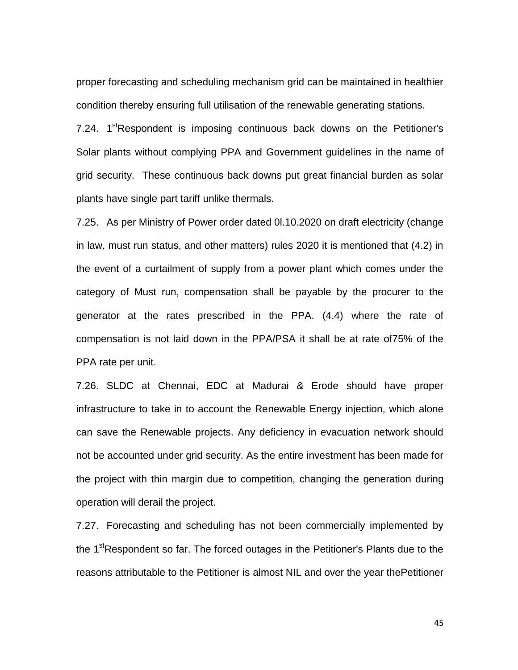proper forecasting and scheduling mechanism grid can be maintained in healthier condition thereby ensuring full utilisation of the renewable generating stations.

7.24. 1<sup>st</sup>Respondent is imposing continuous back downs on the Petitioner's Solar plants without complying PPA and Government guidelines in the name of grid security. These continuous back downs put great financial burden as solar plants have single part tariff unlike thermals.

7.25. As per Ministry of Power order dated 0l.10.2020 on draft electricity (change in law, must run status, and other matters) rules 2020 it is mentioned that (4.2) in the event of a curtailment of supply from a power plant which comes under the category of Must run, compensation shall be payable by the procurer to the generator at the rates prescribed in the PPA. (4.4) where the rate of compensation is not laid down in the PPA/PSA it shall be at rate of75% of the PPA rate per unit.

7.26. SLDC at Chennai, EDC at Madurai & Erode should have proper infrastructure to take in to account the Renewable Energy injection, which alone can save the Renewable projects. Any deficiency in evacuation network should not be accounted under grid security. As the entire investment has been made for the project with thin margin due to competition, changing the generation during operation will derail the project.

7.27. Forecasting and scheduling has not been commercially implemented by the 1<sup>st</sup>Respondent so far. The forced outages in the Petitioner's Plants due to the reasons attributable to the Petitioner is almost NIL and over the year thePetitioner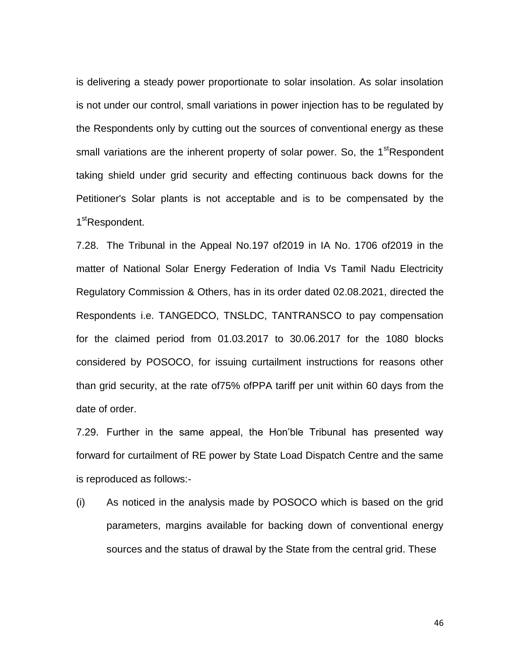is delivering a steady power proportionate to solar insolation. As solar insolation is not under our control, small variations in power injection has to be regulated by the Respondents only by cutting out the sources of conventional energy as these small variations are the inherent property of solar power. So, the 1<sup>st</sup>Respondent taking shield under grid security and effecting continuous back downs for the Petitioner's Solar plants is not acceptable and is to be compensated by the 1<sup>st</sup>Respondent.

7.28. The Tribunal in the Appeal No.197 of2019 in IA No. 1706 of2019 in the matter of National Solar Energy Federation of India Vs Tamil Nadu Electricity Regulatory Commission & Others, has in its order dated 02.08.2021, directed the Respondents i.e. TANGEDCO, TNSLDC, TANTRANSCO to pay compensation for the claimed period from 01.03.2017 to 30.06.2017 for the 1080 blocks considered by POSOCO, for issuing curtailment instructions for reasons other than grid security, at the rate of75% ofPPA tariff per unit within 60 days from the date of order.

7.29. Further in the same appeal, the Hon"ble Tribunal has presented way forward for curtailment of RE power by State Load Dispatch Centre and the same is reproduced as follows:-

(i) As noticed in the analysis made by POSOCO which is based on the grid parameters, margins available for backing down of conventional energy sources and the status of drawal by the State from the central grid. These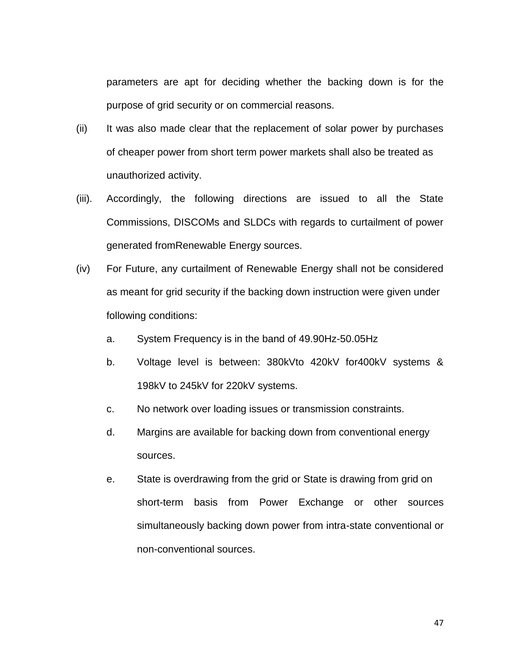parameters are apt for deciding whether the backing down is for the purpose of grid security or on commercial reasons.

- (ii) It was also made clear that the replacement of solar power by purchases of cheaper power from short term power markets shall also be treated as unauthorized activity.
- (iii). Accordingly, the following directions are issued to all the State Commissions, DISCOMs and SLDCs with regards to curtailment of power generated fromRenewable Energy sources.
- (iv) For Future, any curtailment of Renewable Energy shall not be considered as meant for grid security if the backing down instruction were given under following conditions:
	- a. System Frequency is in the band of 49.90Hz-50.05Hz
	- b. Voltage level is between: 380kVto 420kV for400kV systems & 198kV to 245kV for 220kV systems.
	- c. No network over loading issues or transmission constraints.
	- d. Margins are available for backing down from conventional energy sources.
	- e. State is overdrawing from the grid or State is drawing from grid on short-term basis from Power Exchange or other sources simultaneously backing down power from intra-state conventional or non-conventional sources.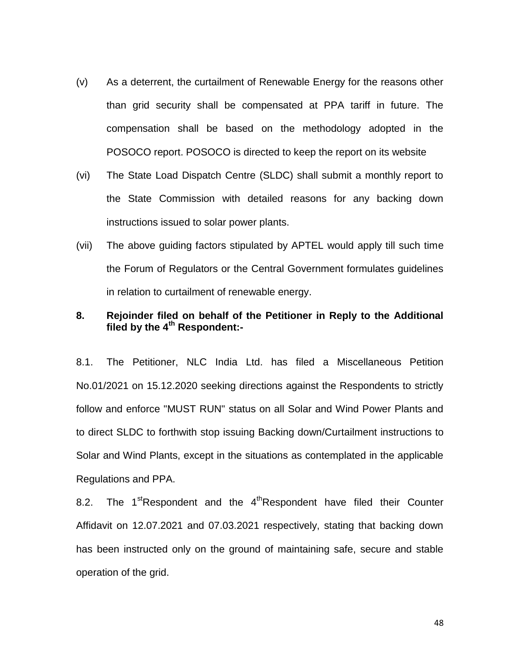- (v) As a deterrent, the curtailment of Renewable Energy for the reasons other than grid security shall be compensated at PPA tariff in future. The compensation shall be based on the methodology adopted in the POSOCO report. POSOCO is directed to keep the report on its website
- (vi) The State Load Dispatch Centre (SLDC) shall submit a monthly report to the State Commission with detailed reasons for any backing down instructions issued to solar power plants.
- (vii) The above guiding factors stipulated by APTEL would apply till such time the Forum of Regulators or the Central Government formulates guidelines in relation to curtailment of renewable energy.

## **8. Rejoinder filed on behalf of the Petitioner in Reply to the Additional filed by the 4th Respondent:-**

8.1. The Petitioner, NLC India Ltd. has filed a Miscellaneous Petition No.01/2021 on 15.12.2020 seeking directions against the Respondents to strictly follow and enforce "MUST RUN" status on all Solar and Wind Power Plants and to direct SLDC to forthwith stop issuing Backing down/Curtailment instructions to Solar and Wind Plants, except in the situations as contemplated in the applicable Regulations and PPA.

8.2. The  $1<sup>st</sup>$ Respondent and the  $4<sup>th</sup>$ Respondent have filed their Counter Affidavit on 12.07.2021 and 07.03.2021 respectively, stating that backing down has been instructed only on the ground of maintaining safe, secure and stable operation of the grid.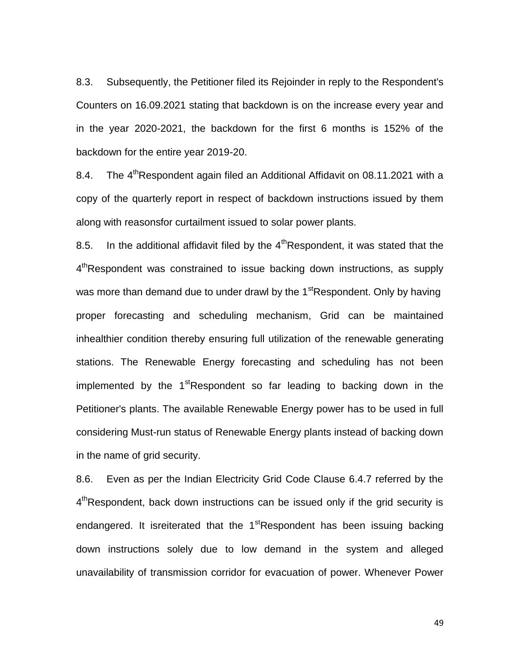8.3. Subsequently, the Petitioner filed its Rejoinder in reply to the Respondent's Counters on 16.09.2021 stating that backdown is on the increase every year and in the year 2020-2021, the backdown for the first 6 months is 152% of the backdown for the entire year 2019-20.

8.4. The  $4^{th}$ Respondent again filed an Additional Affidavit on 08.11.2021 with a copy of the quarterly report in respect of backdown instructions issued by them along with reasonsfor curtailment issued to solar power plants.

8.5. In the additional affidavit filed by the  $4<sup>th</sup>$ Respondent, it was stated that the 4<sup>th</sup>Respondent was constrained to issue backing down instructions, as supply was more than demand due to under drawl by the  $1<sup>st</sup>$ Respondent. Only by having proper forecasting and scheduling mechanism, Grid can be maintained inhealthier condition thereby ensuring full utilization of the renewable generating stations. The Renewable Energy forecasting and scheduling has not been implemented by the  $1<sup>st</sup>$ Respondent so far leading to backing down in the Petitioner's plants. The available Renewable Energy power has to be used in full considering Must-run status of Renewable Energy plants instead of backing down in the name of grid security.

8.6. Even as per the Indian Electricity Grid Code Clause 6.4.7 referred by the 4<sup>th</sup>Respondent, back down instructions can be issued only if the grid security is endangered. It isreiterated that the  $1<sup>st</sup>$ Respondent has been issuing backing down instructions solely due to low demand in the system and alleged unavailability of transmission corridor for evacuation of power. Whenever Power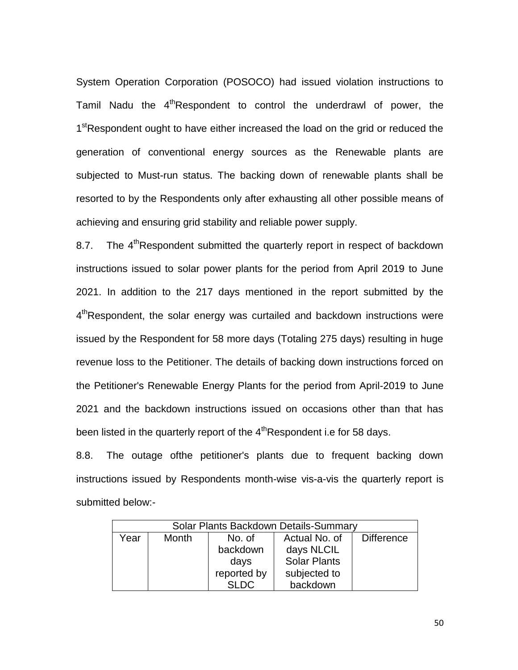System Operation Corporation (POSOCO) had issued violation instructions to Tamil Nadu the  $4<sup>th</sup>$ Respondent to control the underdrawl of power, the 1<sup>st</sup>Respondent ought to have either increased the load on the grid or reduced the generation of conventional energy sources as the Renewable plants are subjected to Must-run status. The backing down of renewable plants shall be resorted to by the Respondents only after exhausting all other possible means of achieving and ensuring grid stability and reliable power supply.

8.7. The  $4^{th}$ Respondent submitted the quarterly report in respect of backdown instructions issued to solar power plants for the period from April 2019 to June 2021. In addition to the 217 days mentioned in the report submitted by the 4<sup>th</sup>Respondent, the solar energy was curtailed and backdown instructions were issued by the Respondent for 58 more days (Totaling 275 days) resulting in huge revenue loss to the Petitioner. The details of backing down instructions forced on the Petitioner's Renewable Energy Plants for the period from April-2019 to June 2021 and the backdown instructions issued on occasions other than that has been listed in the quarterly report of the 4<sup>th</sup>Respondent i.e for 58 days.

8.8. The outage ofthe petitioner's plants due to frequent backing down instructions issued by Respondents month-wise vis-a-vis the quarterly report is submitted below:-

| Solar Plants Backdown Details-Summary |                 |             |                     |                   |  |
|---------------------------------------|-----------------|-------------|---------------------|-------------------|--|
| Year                                  | Month<br>No. of |             | Actual No. of       | <b>Difference</b> |  |
|                                       |                 | backdown    | days NLCIL          |                   |  |
|                                       |                 | days        | <b>Solar Plants</b> |                   |  |
|                                       |                 | reported by | subjected to        |                   |  |
|                                       |                 | SLDC.       | backdown            |                   |  |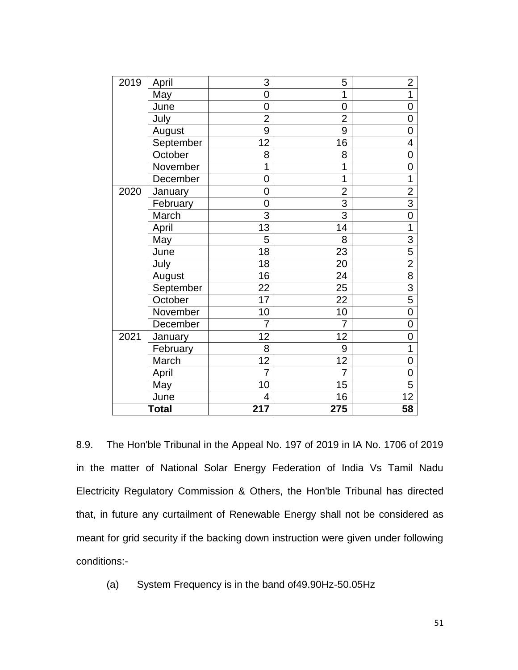| 2019         | April     | 3               | 5               | $\overline{2}$  |
|--------------|-----------|-----------------|-----------------|-----------------|
|              | May       | 0               | 1               | $\overline{1}$  |
|              | June      | 0               | 0               | $\mathbf 0$     |
|              | July      | $\overline{2}$  | $\overline{2}$  | $\mathbf 0$     |
|              | August    | 9               | 9               | $\overline{0}$  |
|              | September | 12              | 16              | 4               |
|              | October   | 8               | 8               | $\overline{0}$  |
|              | November  | 1               | 1               | $\overline{0}$  |
|              | December  | 0               | $\overline{1}$  | $\overline{1}$  |
| 2020         | January   | 0               | $\overline{c}$  | $\overline{2}$  |
|              | February  | 0               | $\overline{3}$  | $\overline{3}$  |
|              | March     | $\overline{3}$  | $\overline{3}$  | $\overline{0}$  |
|              | April     | 13              | 14              | 1               |
|              | May       | 5               | 8               | $\overline{3}$  |
|              | June      | $\overline{18}$ | 23              | 5               |
|              | July      | 18              | 20              | $\overline{2}$  |
|              | August    | 16              | 24              | $\overline{8}$  |
|              | September | 22              | 25              | $\overline{3}$  |
|              | October   | 17              | 22              | $\overline{5}$  |
|              | November  | 10              | 10              | $\overline{0}$  |
|              | December  | $\overline{7}$  | $\overline{7}$  | $\overline{0}$  |
| 2021         | January   | 12              | 12              | $\overline{0}$  |
|              | February  | 8               | 9               | $\overline{1}$  |
|              | March     | 12              | $\overline{12}$ | $\overline{0}$  |
|              | April     | $\overline{7}$  | $\overline{7}$  | $\mathbf 0$     |
|              | May       | 10              | 15              | $\overline{5}$  |
|              | June      | 4               | 16              | $\overline{12}$ |
| <b>Total</b> |           | 217             | 275             | 58              |

8.9. The Hon'ble Tribunal in the Appeal No. 197 of 2019 in IA No. 1706 of 2019 in the matter of National Solar Energy Federation of India Vs Tamil Nadu Electricity Regulatory Commission & Others, the Hon'ble Tribunal has directed that, in future any curtailment of Renewable Energy shall not be considered as meant for grid security if the backing down instruction were given under following conditions:-

(a) System Frequency is in the band of49.90Hz-50.05Hz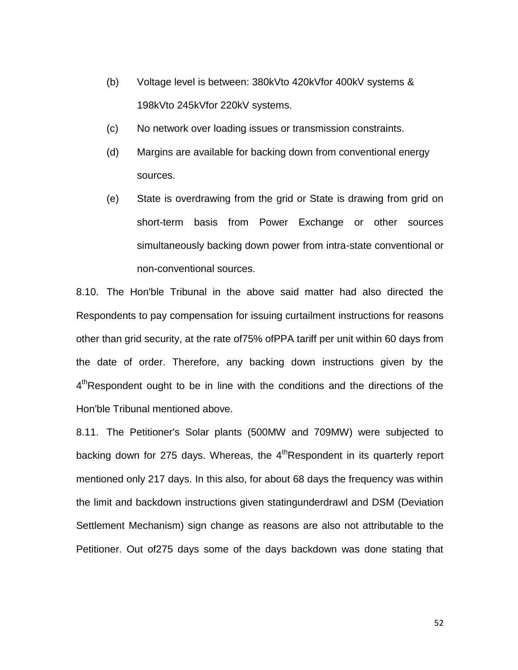- (b) Voltage level is between: 380kVto 420kVfor 400kV systems & 198kVto 245kVfor 220kV systems.
- (c) No network over loading issues or transmission constraints.
- (d) Margins are available for backing down from conventional energy sources.
- (e) State is overdrawing from the grid or State is drawing from grid on short-term basis from Power Exchange or other sources simultaneously backing down power from intra-state conventional or non-conventional sources.

8.10. The Hon'ble Tribunal in the above said matter had also directed the Respondents to pay compensation for issuing curtailment instructions for reasons other than grid security, at the rate of75% ofPPA tariff per unit within 60 days from the date of order. Therefore, any backing down instructions given by the 4<sup>th</sup>Respondent ought to be in line with the conditions and the directions of the Hon'ble Tribunal mentioned above.

8.11. The Petitioner's Solar plants (500MW and 709MW) were subjected to backing down for 275 days. Whereas, the  $4<sup>th</sup>$ Respondent in its quarterly report mentioned only 217 days. In this also, for about 68 days the frequency was within the limit and backdown instructions given statingunderdrawl and DSM (Deviation Settlement Mechanism) sign change as reasons are also not attributable to the Petitioner. Out of275 days some of the days backdown was done stating that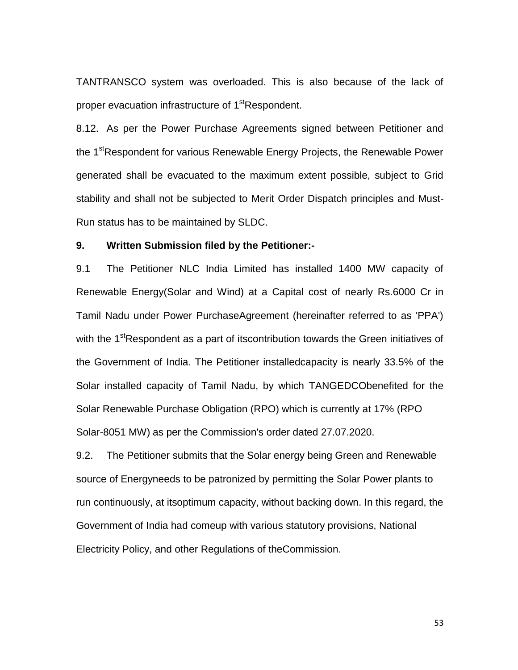TANTRANSCO system was overloaded. This is also because of the lack of proper evacuation infrastructure of 1<sup>st</sup>Respondent.

8.12. As per the Power Purchase Agreements signed between Petitioner and the 1<sup>st</sup>Respondent for various Renewable Energy Projects, the Renewable Power generated shall be evacuated to the maximum extent possible, subject to Grid stability and shall not be subjected to Merit Order Dispatch principles and Must-Run status has to be maintained by SLDC.

## **9. Written Submission filed by the Petitioner:-**

9.1 The Petitioner NLC India Limited has installed 1400 MW capacity of Renewable Energy(Solar and Wind) at a Capital cost of nearly Rs.6000 Cr in Tamil Nadu under Power PurchaseAgreement (hereinafter referred to as 'PPA') with the 1<sup>st</sup>Respondent as a part of itscontribution towards the Green initiatives of the Government of India. The Petitioner installedcapacity is nearly 33.5% of the Solar installed capacity of Tamil Nadu, by which TANGEDCObenefited for the Solar Renewable Purchase Obligation (RPO) which is currently at 17% (RPO Solar-8051 MW) as per the Commission's order dated 27.07.2020.

9.2. The Petitioner submits that the Solar energy being Green and Renewable source of Energyneeds to be patronized by permitting the Solar Power plants to run continuously, at itsoptimum capacity, without backing down. In this regard, the Government of India had comeup with various statutory provisions, National Electricity Policy, and other Regulations of theCommission.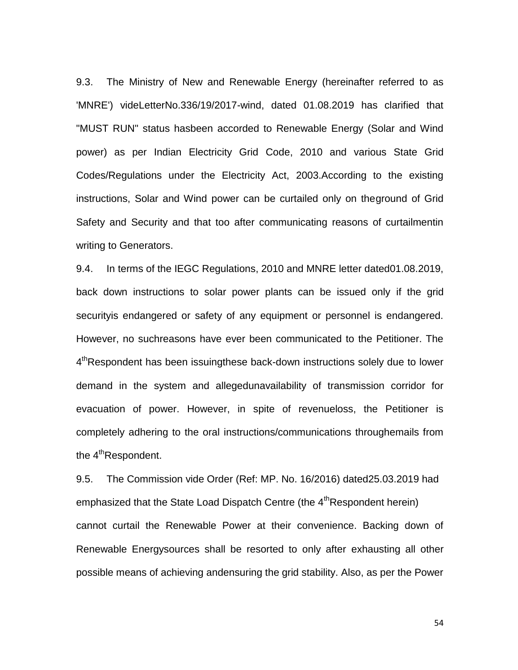9.3. The Ministry of New and Renewable Energy (hereinafter referred to as 'MNRE') videLetterNo.336/19/2017-wind, dated 01.08.2019 has clarified that "MUST RUN" status hasbeen accorded to Renewable Energy (Solar and Wind power) as per Indian Electricity Grid Code, 2010 and various State Grid Codes/Regulations under the Electricity Act, 2003.According to the existing instructions, Solar and Wind power can be curtailed only on theground of Grid Safety and Security and that too after communicating reasons of curtailmentin writing to Generators.

9.4. In terms of the IEGC Regulations, 2010 and MNRE letter dated01.08.2019, back down instructions to solar power plants can be issued only if the grid securityis endangered or safety of any equipment or personnel is endangered. However, no suchreasons have ever been communicated to the Petitioner. The 4<sup>th</sup>Respondent has been issuingthese back-down instructions solely due to lower demand in the system and allegedunavailability of transmission corridor for evacuation of power. However, in spite of revenueloss, the Petitioner is completely adhering to the oral instructions/communications throughemails from the 4<sup>th</sup>Respondent.

9.5. The Commission vide Order (Ref: MP. No. 16/2016) dated25.03.2019 had emphasized that the State Load Dispatch Centre (the 4<sup>th</sup> Respondent herein) cannot curtail the Renewable Power at their convenience. Backing down of Renewable Energysources shall be resorted to only after exhausting all other possible means of achieving andensuring the grid stability. Also, as per the Power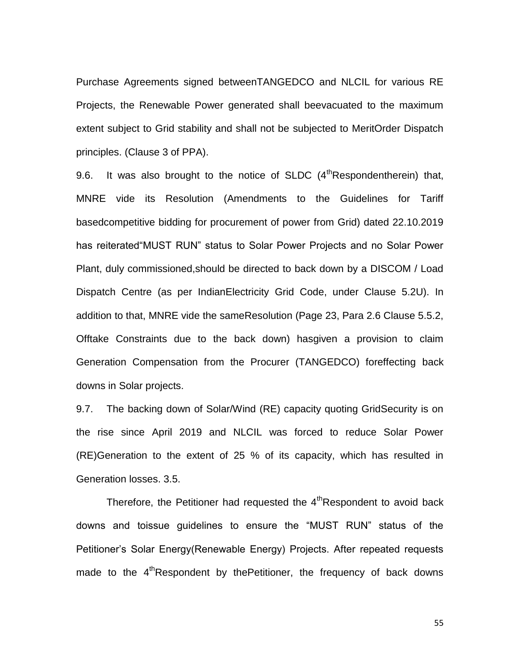Purchase Agreements signed betweenTANGEDCO and NLCIL for various RE Projects, the Renewable Power generated shall beevacuated to the maximum extent subject to Grid stability and shall not be subjected to MeritOrder Dispatch principles. (Clause 3 of PPA).

9.6. It was also brought to the notice of SLDC  $(4<sup>th</sup>$ Respondentherein) that, MNRE vide its Resolution (Amendments to the Guidelines for Tariff basedcompetitive bidding for procurement of power from Grid) dated 22.10.2019 has reiterated"MUST RUN" status to Solar Power Projects and no Solar Power Plant, duly commissioned,should be directed to back down by a DISCOM / Load Dispatch Centre (as per IndianElectricity Grid Code, under Clause 5.2U). In addition to that, MNRE vide the sameResolution (Page 23, Para 2.6 Clause 5.5.2, Offtake Constraints due to the back down) hasgiven a provision to claim Generation Compensation from the Procurer (TANGEDCO) foreffecting back downs in Solar projects.

9.7. The backing down of Solar/Wind (RE) capacity quoting GridSecurity is on the rise since April 2019 and NLCIL was forced to reduce Solar Power (RE)Generation to the extent of 25 % of its capacity, which has resulted in Generation losses. 3.5.

Therefore, the Petitioner had requested the  $4<sup>th</sup>$ Respondent to avoid back downs and toissue guidelines to ensure the "MUST RUN" status of the Petitioner"s Solar Energy(Renewable Energy) Projects. After repeated requests made to the  $4<sup>th</sup>$ Respondent by thePetitioner, the frequency of back downs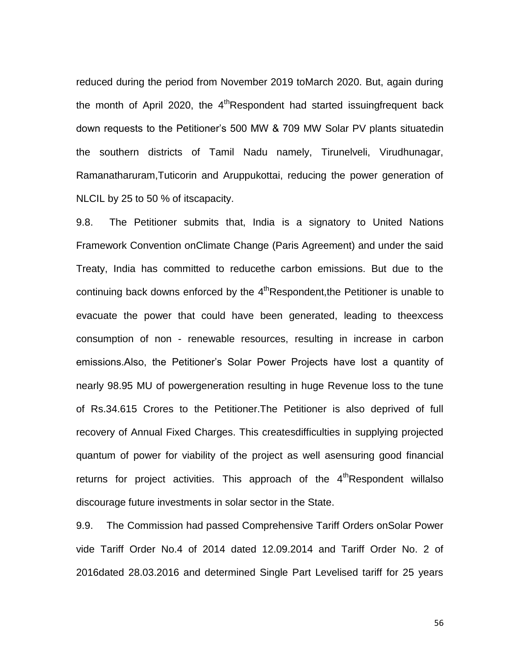reduced during the period from November 2019 toMarch 2020. But, again during the month of April 2020, the  $4<sup>th</sup>$ Respondent had started issuingfrequent back down requests to the Petitioner"s 500 MW & 709 MW Solar PV plants situatedin the southern districts of Tamil Nadu namely, Tirunelveli, Virudhunagar, Ramanatharuram,Tuticorin and Aruppukottai, reducing the power generation of NLCIL by 25 to 50 % of itscapacity.

9.8. The Petitioner submits that, India is a signatory to United Nations Framework Convention onClimate Change (Paris Agreement) and under the said Treaty, India has committed to reducethe carbon emissions. But due to the continuing back downs enforced by the  $4<sup>th</sup>$ Respondent,the Petitioner is unable to evacuate the power that could have been generated, leading to theexcess consumption of non - renewable resources, resulting in increase in carbon emissions.Also, the Petitioner"s Solar Power Projects have lost a quantity of nearly 98.95 MU of powergeneration resulting in huge Revenue loss to the tune of Rs.34.615 Crores to the Petitioner.The Petitioner is also deprived of full recovery of Annual Fixed Charges. This createsdifficulties in supplying projected quantum of power for viability of the project as well asensuring good financial returns for project activities. This approach of the  $4<sup>th</sup>$ Respondent willalso discourage future investments in solar sector in the State.

9.9. The Commission had passed Comprehensive Tariff Orders onSolar Power vide Tariff Order No.4 of 2014 dated 12.09.2014 and Tariff Order No. 2 of 2016dated 28.03.2016 and determined Single Part Levelised tariff for 25 years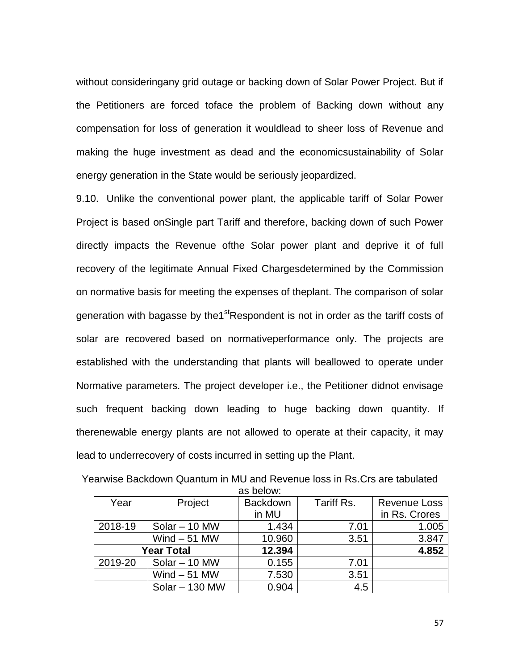without consideringany grid outage or backing down of Solar Power Project. But if the Petitioners are forced toface the problem of Backing down without any compensation for loss of generation it wouldlead to sheer loss of Revenue and making the huge investment as dead and the economicsustainability of Solar energy generation in the State would be seriously jeopardized.

9.10. Unlike the conventional power plant, the applicable tariff of Solar Power Project is based onSingle part Tariff and therefore, backing down of such Power directly impacts the Revenue ofthe Solar power plant and deprive it of full recovery of the legitimate Annual Fixed Chargesdetermined by the Commission on normative basis for meeting the expenses of theplant. The comparison of solar generation with bagasse by the1<sup>st</sup>Respondent is not in order as the tariff costs of solar are recovered based on normativeperformance only. The projects are established with the understanding that plants will beallowed to operate under Normative parameters. The project developer i.e., the Petitioner didnot envisage such frequent backing down leading to huge backing down quantity. If therenewable energy plants are not allowed to operate at their capacity, it may lead to underrecovery of costs incurred in setting up the Plant.

| Year              | Project          | <b>Backdown</b> | Tariff Rs. | <b>Revenue Loss</b> |
|-------------------|------------------|-----------------|------------|---------------------|
|                   |                  | in MU           |            | in Rs. Crores       |
| 2018-19           | $Solar - 10 MW$  | 1.434           | 7.01       | 1.005               |
|                   | Wind $-51$ MW    | 10.960          | 3.51       | 3.847               |
| <b>Year Total</b> |                  | 12.394          |            | 4.852               |
| 2019-20           | $Solar - 10 MW$  | 0.155           | 7.01       |                     |
|                   | Wind $-51$ MW    | 7.530           | 3.51       |                     |
|                   | $Solar - 130$ MW | 0.904           | 4.5        |                     |

Yearwise Backdown Quantum in MU and Revenue loss in Rs.Crs are tabulated as below: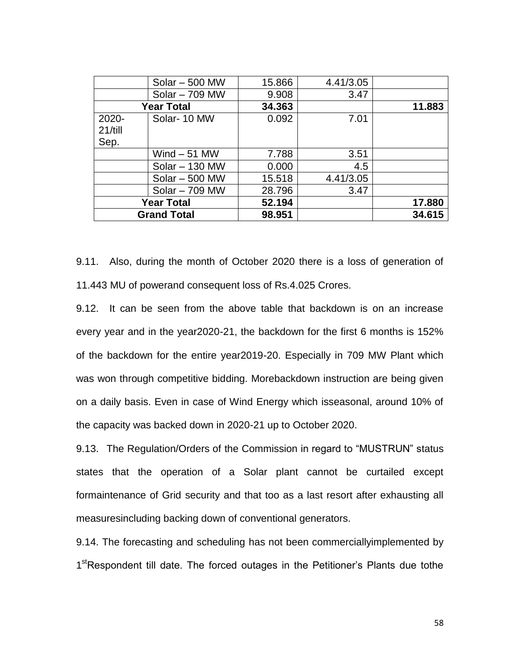|                    | $Solar - 500$ MW | 15.866 | 4.41/3.05 |        |
|--------------------|------------------|--------|-----------|--------|
|                    | Solar - 709 MW   | 9.908  | 3.47      |        |
| <b>Year Total</b>  |                  | 34.363 |           | 11.883 |
| 2020-              | Solar-10 MW      | 0.092  | 7.01      |        |
| 21/till            |                  |        |           |        |
| Sep.               |                  |        |           |        |
|                    | Wind $-51$ MW    | 7.788  | 3.51      |        |
|                    | $Solar - 130$ MW | 0.000  | 4.5       |        |
|                    | $Solar - 500$ MW | 15.518 | 4.41/3.05 |        |
|                    | Solar - 709 MW   | 28.796 | 3.47      |        |
| <b>Year Total</b>  |                  | 52.194 |           | 17.880 |
| <b>Grand Total</b> |                  | 98.951 |           | 34.615 |

9.11. Also, during the month of October 2020 there is a loss of generation of 11.443 MU of powerand consequent loss of Rs.4.025 Crores.

9.12. It can be seen from the above table that backdown is on an increase every year and in the year2020-21, the backdown for the first 6 months is 152% of the backdown for the entire year2019-20. Especially in 709 MW Plant which was won through competitive bidding. Morebackdown instruction are being given on a daily basis. Even in case of Wind Energy which isseasonal, around 10% of the capacity was backed down in 2020-21 up to October 2020.

9.13. The Regulation/Orders of the Commission in regard to "MUSTRUN" status states that the operation of a Solar plant cannot be curtailed except formaintenance of Grid security and that too as a last resort after exhausting all measuresincluding backing down of conventional generators.

9.14. The forecasting and scheduling has not been commerciallyimplemented by 1<sup>st</sup>Respondent till date. The forced outages in the Petitioner's Plants due tothe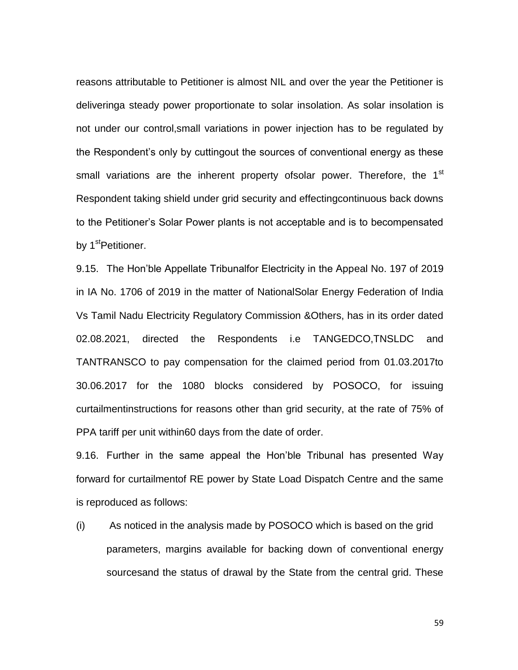reasons attributable to Petitioner is almost NIL and over the year the Petitioner is deliveringa steady power proportionate to solar insolation. As solar insolation is not under our control,small variations in power injection has to be regulated by the Respondent"s only by cuttingout the sources of conventional energy as these small variations are the inherent property of solar power. Therefore, the  $1<sup>st</sup>$ Respondent taking shield under grid security and effectingcontinuous back downs to the Petitioner"s Solar Power plants is not acceptable and is to becompensated by 1<sup>st</sup>Petitioner.

9.15. The Hon"ble Appellate Tribunalfor Electricity in the Appeal No. 197 of 2019 in IA No. 1706 of 2019 in the matter of NationalSolar Energy Federation of India Vs Tamil Nadu Electricity Regulatory Commission &Others, has in its order dated 02.08.2021, directed the Respondents i.e TANGEDCO,TNSLDC and TANTRANSCO to pay compensation for the claimed period from 01.03.2017to 30.06.2017 for the 1080 blocks considered by POSOCO, for issuing curtailmentinstructions for reasons other than grid security, at the rate of 75% of PPA tariff per unit within60 days from the date of order.

9.16. Further in the same appeal the Hon"ble Tribunal has presented Way forward for curtailmentof RE power by State Load Dispatch Centre and the same is reproduced as follows:

(i) As noticed in the analysis made by POSOCO which is based on the grid parameters, margins available for backing down of conventional energy sourcesand the status of drawal by the State from the central grid. These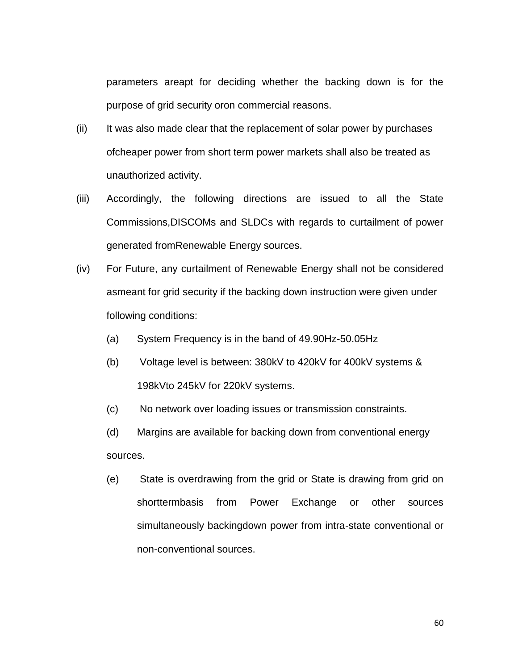parameters areapt for deciding whether the backing down is for the purpose of grid security oron commercial reasons.

- (ii) It was also made clear that the replacement of solar power by purchases ofcheaper power from short term power markets shall also be treated as unauthorized activity.
- (iii) Accordingly, the following directions are issued to all the State Commissions,DISCOMs and SLDCs with regards to curtailment of power generated fromRenewable Energy sources.
- (iv) For Future, any curtailment of Renewable Energy shall not be considered asmeant for grid security if the backing down instruction were given under following conditions:
	- (a) System Frequency is in the band of 49.90Hz-50.05Hz
	- (b) Voltage level is between: 380kV to 420kV for 400kV systems & 198kVto 245kV for 220kV systems.
	- (c) No network over loading issues or transmission constraints.
	- (d) Margins are available for backing down from conventional energy sources.
	- (e) State is overdrawing from the grid or State is drawing from grid on shorttermbasis from Power Exchange or other sources simultaneously backingdown power from intra-state conventional or non-conventional sources.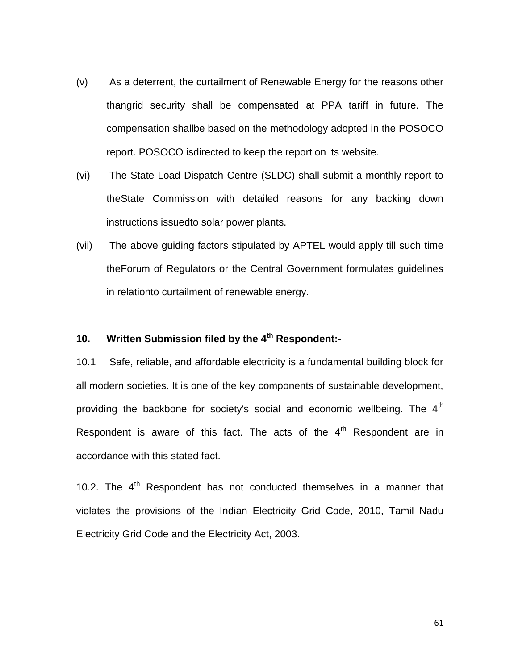- (v) As a deterrent, the curtailment of Renewable Energy for the reasons other thangrid security shall be compensated at PPA tariff in future. The compensation shallbe based on the methodology adopted in the POSOCO report. POSOCO isdirected to keep the report on its website.
- (vi) The State Load Dispatch Centre (SLDC) shall submit a monthly report to theState Commission with detailed reasons for any backing down instructions issuedto solar power plants.
- (vii) The above guiding factors stipulated by APTEL would apply till such time theForum of Regulators or the Central Government formulates guidelines in relationto curtailment of renewable energy.

## **10. Written Submission filed by the 4th Respondent:-**

10.1 Safe, reliable, and affordable electricity is a fundamental building block for all modern societies. It is one of the key components of sustainable development, providing the backbone for society's social and economic wellbeing. The  $4<sup>th</sup>$ Respondent is aware of this fact. The acts of the  $4<sup>th</sup>$  Respondent are in accordance with this stated fact.

10.2. The  $4<sup>th</sup>$  Respondent has not conducted themselves in a manner that violates the provisions of the Indian Electricity Grid Code, 2010, Tamil Nadu Electricity Grid Code and the Electricity Act, 2003.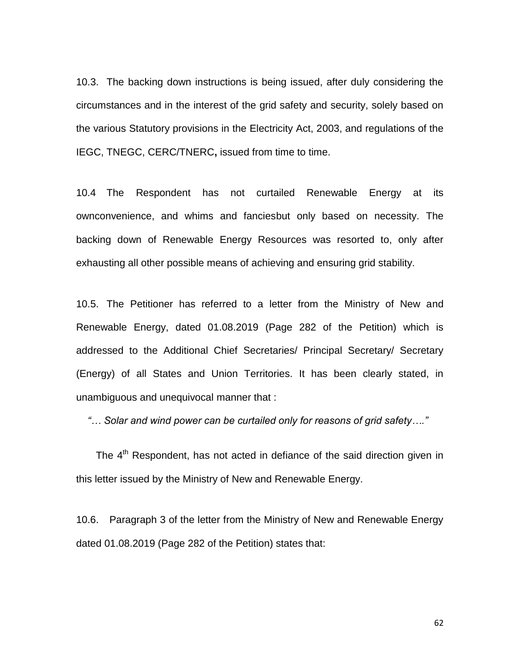10.3. The backing down instructions is being issued, after duly considering the circumstances and in the interest of the grid safety and security, solely based on the various Statutory provisions in the Electricity Act, 2003, and regulations of the IEGC, TNEGC, CERC/TNERC**,** issued from time to time.

10.4 The Respondent has not curtailed Renewable Energy at its ownconvenience, and whims and fanciesbut only based on necessity. The backing down of Renewable Energy Resources was resorted to, only after exhausting all other possible means of achieving and ensuring grid stability.

10.5. The Petitioner has referred to a letter from the Ministry of New and Renewable Energy, dated 01.08.2019 (Page 282 of the Petition) which is addressed to the Additional Chief Secretaries/ Principal Secretary/ Secretary (Energy) of all States and Union Territories. It has been clearly stated, in unambiguous and unequivocal manner that :

 *"… Solar and wind power can be curtailed only for reasons of grid safety…."*

The 4<sup>th</sup> Respondent, has not acted in defiance of the said direction given in this letter issued by the Ministry of New and Renewable Energy.

10.6. Paragraph 3 of the letter from the Ministry of New and Renewable Energy dated 01.08.2019 (Page 282 of the Petition) states that: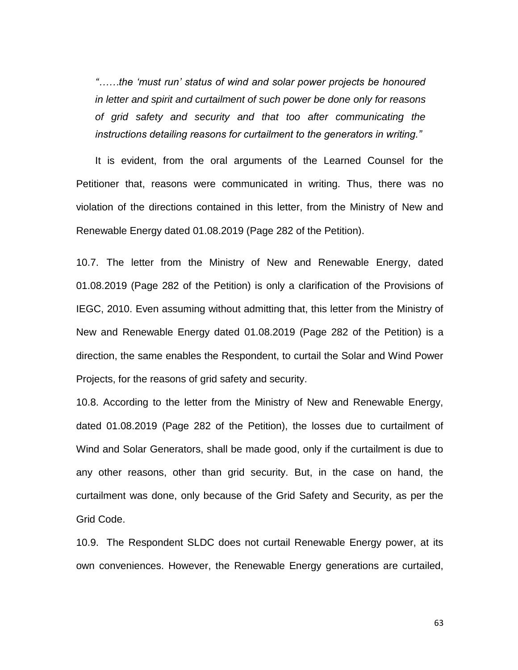*"……the "must run" status of wind and solar power projects be honoured in letter and spirit and curtailment of such power be done only for reasons of grid safety and security and that too after communicating the instructions detailing reasons for curtailment to the generators in writing."* 

It is evident, from the oral arguments of the Learned Counsel for the Petitioner that, reasons were communicated in writing. Thus, there was no violation of the directions contained in this letter, from the Ministry of New and Renewable Energy dated 01.08.2019 (Page 282 of the Petition).

10.7. The letter from the Ministry of New and Renewable Energy, dated 01.08.2019 (Page 282 of the Petition) is only a clarification of the Provisions of IEGC, 2010. Even assuming without admitting that, this letter from the Ministry of New and Renewable Energy dated 01.08.2019 (Page 282 of the Petition) is a direction, the same enables the Respondent, to curtail the Solar and Wind Power Projects, for the reasons of grid safety and security.

10.8. According to the letter from the Ministry of New and Renewable Energy, dated 01.08.2019 (Page 282 of the Petition), the losses due to curtailment of Wind and Solar Generators, shall be made good, only if the curtailment is due to any other reasons, other than grid security. But, in the case on hand, the curtailment was done, only because of the Grid Safety and Security, as per the Grid Code.

10.9. The Respondent SLDC does not curtail Renewable Energy power, at its own conveniences. However, the Renewable Energy generations are curtailed,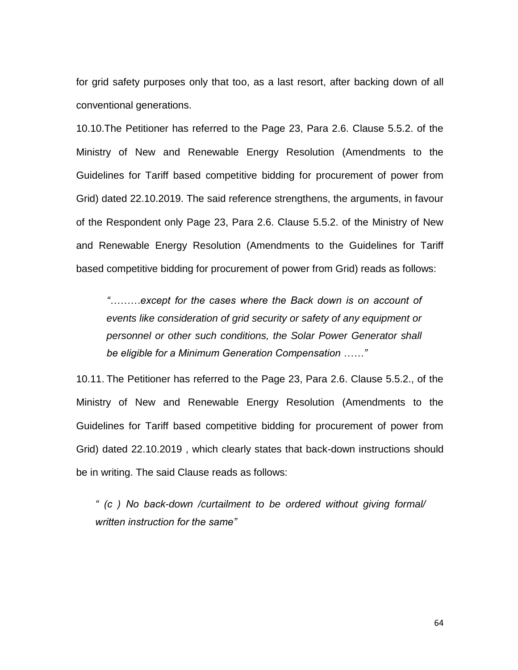for grid safety purposes only that too, as a last resort, after backing down of all conventional generations.

10.10.The Petitioner has referred to the Page 23, Para 2.6. Clause 5.5.2. of the Ministry of New and Renewable Energy Resolution (Amendments to the Guidelines for Tariff based competitive bidding for procurement of power from Grid) dated 22.10.2019. The said reference strengthens, the arguments, in favour of the Respondent only Page 23, Para 2.6. Clause 5.5.2. of the Ministry of New and Renewable Energy Resolution (Amendments to the Guidelines for Tariff based competitive bidding for procurement of power from Grid) reads as follows:

*"………except for the cases where the Back down is on account of events like consideration of grid security or safety of any equipment or personnel or other such conditions, the Solar Power Generator shall be eligible for a Minimum Generation Compensation ……"*

10.11. The Petitioner has referred to the Page 23, Para 2.6. Clause 5.5.2., of the Ministry of New and Renewable Energy Resolution (Amendments to the Guidelines for Tariff based competitive bidding for procurement of power from Grid) dated 22.10.2019 , which clearly states that back-down instructions should be in writing. The said Clause reads as follows:

*" (c ) No back-down /curtailment to be ordered without giving formal/ written instruction for the same"*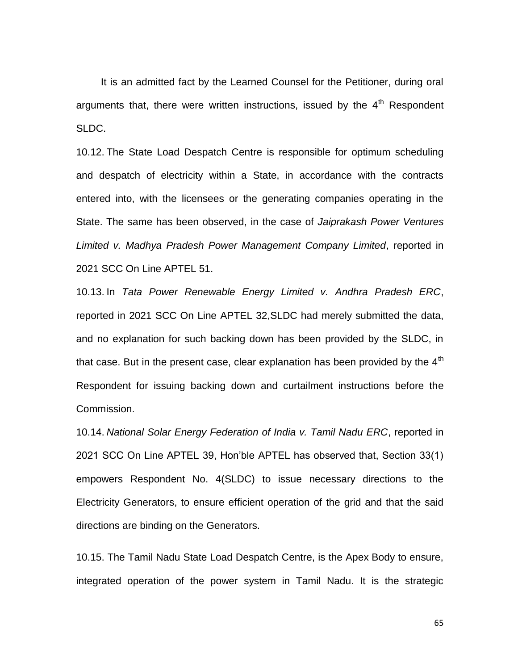It is an admitted fact by the Learned Counsel for the Petitioner, during oral arguments that, there were written instructions, issued by the  $4<sup>th</sup>$  Respondent SLDC.

10.12. The State Load Despatch Centre is responsible for optimum scheduling and despatch of electricity within a State, in accordance with the contracts entered into, with the licensees or the generating companies operating in the State. The same has been observed, in the case of *Jaiprakash Power Ventures Limited v. Madhya Pradesh Power Management Company Limited*, reported in 2021 SCC On Line APTEL 51.

10.13. In *Tata Power Renewable Energy Limited v. Andhra Pradesh ERC*, reported in 2021 SCC On Line APTEL 32,SLDC had merely submitted the data, and no explanation for such backing down has been provided by the SLDC, in that case. But in the present case, clear explanation has been provided by the  $4<sup>th</sup>$ Respondent for issuing backing down and curtailment instructions before the Commission.

10.14. *National Solar Energy Federation of India v. Tamil Nadu ERC*, reported in 2021 SCC On Line APTEL 39, Hon"ble APTEL has observed that, Section 33(1) empowers Respondent No. 4(SLDC) to issue necessary directions to the Electricity Generators, to ensure efficient operation of the grid and that the said directions are binding on the Generators.

10.15. The Tamil Nadu State Load Despatch Centre, is the Apex Body to ensure, integrated operation of the power system in Tamil Nadu. It is the strategic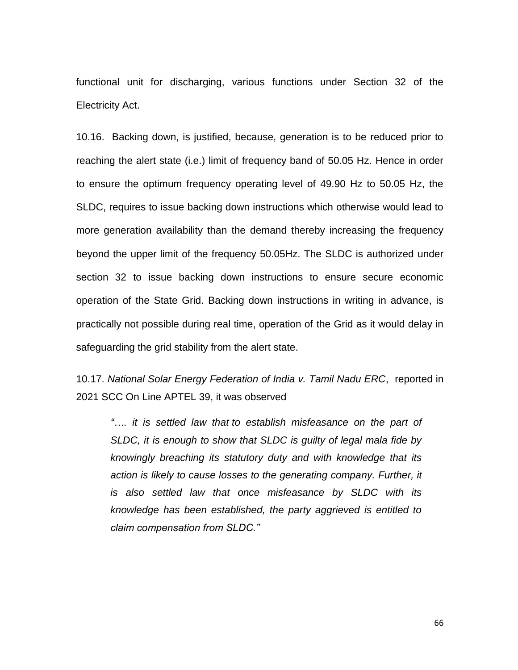functional unit for discharging, various functions under Section 32 of the Electricity Act.

10.16. Backing down, is justified, because, generation is to be reduced prior to reaching the alert state (i.e.) limit of frequency band of 50.05 Hz. Hence in order to ensure the optimum frequency operating level of 49.90 Hz to 50.05 Hz, the SLDC, requires to issue backing down instructions which otherwise would lead to more generation availability than the demand thereby increasing the frequency beyond the upper limit of the frequency 50.05Hz. The SLDC is authorized under section 32 to issue backing down instructions to ensure secure economic operation of the State Grid. Backing down instructions in writing in advance, is practically not possible during real time, operation of the Grid as it would delay in safeguarding the grid stability from the alert state.

10.17. *National Solar Energy Federation of India v. Tamil Nadu ERC*, reported in 2021 SCC On Line APTEL 39, it was observed

*"…. it is settled law that to establish misfeasance on the part of SLDC, it is enough to show that SLDC is guilty of legal mala fide by knowingly breaching its statutory duty and with knowledge that its*  action is likely to cause losses to the generating company. Further, it *is also settled law that once misfeasance by SLDC with its knowledge has been established, the party aggrieved is entitled to claim compensation from SLDC."*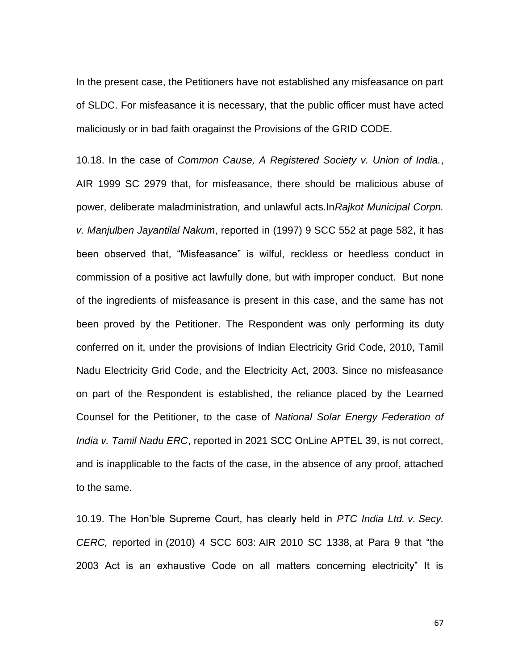In the present case, the Petitioners have not established any misfeasance on part of SLDC. For misfeasance it is necessary, that the public officer must have acted maliciously or in bad faith oragainst the Provisions of the GRID CODE.

10.18. In the case of *Common Cause, A Registered Society v. Union of India.*, AIR 1999 SC 2979 that, for misfeasance, there should be malicious abuse of power, deliberate maladministration, and unlawful acts.In*Rajkot Municipal Corpn. v. Manjulben Jayantilal Nakum*, reported in (1997) 9 SCC 552 at page 582, it has been observed that, "Misfeasance" is wilful, reckless or heedless conduct in commission of a positive act lawfully done, but with improper conduct. But none of the ingredients of misfeasance is present in this case, and the same has not been proved by the Petitioner. The Respondent was only performing its duty conferred on it, under the provisions of Indian Electricity Grid Code, 2010, Tamil Nadu Electricity Grid Code, and the Electricity Act, 2003. Since no misfeasance on part of the Respondent is established, the reliance placed by the Learned Counsel for the Petitioner, to the case of *National Solar Energy Federation of India v. Tamil Nadu ERC*, reported in 2021 SCC OnLine APTEL 39, is not correct, and is inapplicable to the facts of the case, in the absence of any proof, attached to the same.

10.19. The Hon"ble Supreme Court, has clearly held in *PTC India Ltd. v. Secy. CERC,* reported in (2010) 4 SCC 603: AIR 2010 SC 1338, at Para 9 that "the 2003 Act is an exhaustive Code on all matters concerning electricity" It is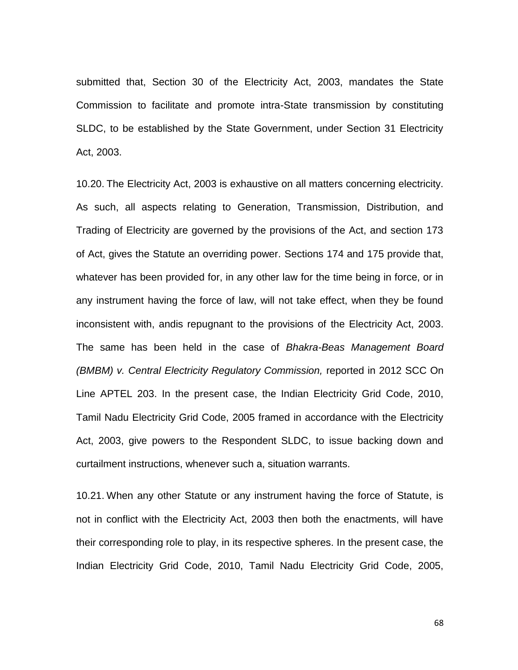submitted that, Section 30 of the Electricity Act, 2003, mandates the State Commission to facilitate and promote intra-State transmission by constituting SLDC, to be established by the State Government, under Section 31 Electricity Act, 2003.

10.20. The Electricity Act, 2003 is exhaustive on all matters concerning electricity. As such, all aspects relating to Generation, Transmission, Distribution, and Trading of Electricity are governed by the provisions of the Act, and section 173 of Act, gives the Statute an overriding power. Sections 174 and 175 provide that, whatever has been provided for, in any other law for the time being in force, or in any instrument having the force of law, will not take effect, when they be found inconsistent with, andis repugnant to the provisions of the Electricity Act, 2003. The same has been held in the case of *Bhakra-Beas Management Board (BMBM) v. Central Electricity Regulatory Commission, reported in 2012 SCC On* Line APTEL 203. In the present case, the Indian Electricity Grid Code, 2010, Tamil Nadu Electricity Grid Code, 2005 framed in accordance with the Electricity Act, 2003, give powers to the Respondent SLDC, to issue backing down and curtailment instructions, whenever such a, situation warrants.

10.21. When any other Statute or any instrument having the force of Statute, is not in conflict with the Electricity Act, 2003 then both the enactments, will have their corresponding role to play, in its respective spheres. In the present case, the Indian Electricity Grid Code, 2010, Tamil Nadu Electricity Grid Code, 2005,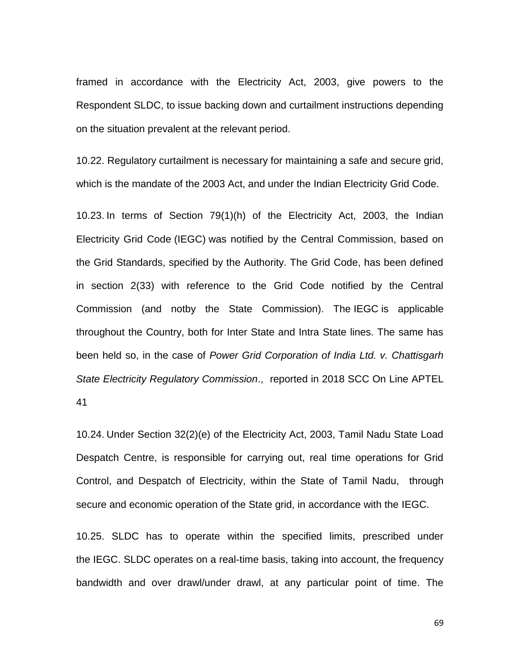framed in accordance with the Electricity Act, 2003, give powers to the Respondent SLDC, to issue backing down and curtailment instructions depending on the situation prevalent at the relevant period.

10.22. Regulatory curtailment is necessary for maintaining a safe and secure grid, which is the mandate of the 2003 Act, and under the Indian Electricity Grid Code.

10.23. In terms of Section 79(1)(h) of the Electricity Act, 2003, the Indian Electricity Grid Code (IEGC) was notified by the Central Commission, based on the Grid Standards, specified by the Authority. The Grid Code, has been defined in section 2(33) with reference to the Grid Code notified by the Central Commission (and notby the State Commission). The IEGC is applicable throughout the Country, both for Inter State and Intra State lines. The same has been held so, in the case of *Power Grid Corporation of India Ltd. v. Chattisgarh State Electricity Regulatory Commission*., reported in 2018 SCC On Line APTEL 41

10.24. Under Section 32(2)(e) of the Electricity Act, 2003, Tamil Nadu State Load Despatch Centre, is responsible for carrying out, real time operations for Grid Control, and Despatch of Electricity, within the State of Tamil Nadu, through secure and economic operation of the State grid, in accordance with the IEGC.

10.25. SLDC has to operate within the specified limits, prescribed under the IEGC. SLDC operates on a real-time basis, taking into account, the frequency bandwidth and over drawl/under drawl, at any particular point of time. The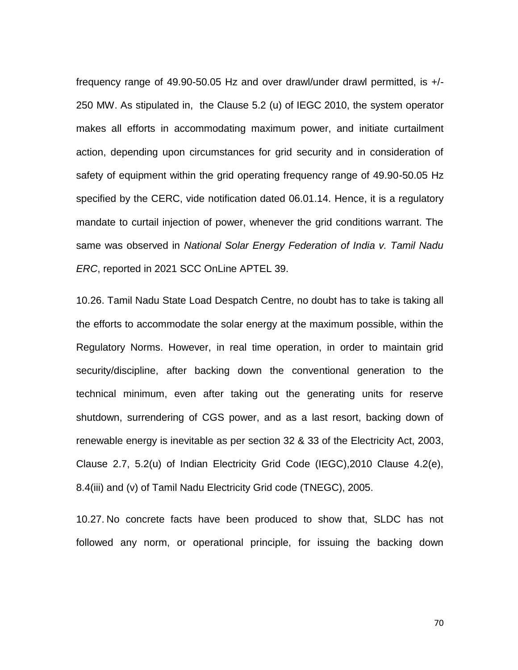frequency range of 49.90-50.05 Hz and over drawl/under drawl permitted, is +/- 250 MW. As stipulated in, the Clause 5.2 (u) of IEGC 2010, the system operator makes all efforts in accommodating maximum power, and initiate curtailment action, depending upon circumstances for grid security and in consideration of safety of equipment within the grid operating frequency range of 49.90-50.05 Hz specified by the CERC, vide notification dated 06.01.14. Hence, it is a regulatory mandate to curtail injection of power, whenever the grid conditions warrant. The same was observed in *National Solar Energy Federation of India v. Tamil Nadu ERC*, reported in 2021 SCC OnLine APTEL 39.

10.26. Tamil Nadu State Load Despatch Centre, no doubt has to take is taking all the efforts to accommodate the solar energy at the maximum possible, within the Regulatory Norms. However, in real time operation, in order to maintain grid security/discipline, after backing down the conventional generation to the technical minimum, even after taking out the generating units for reserve shutdown, surrendering of CGS power, and as a last resort, backing down of renewable energy is inevitable as per section 32 & 33 of the Electricity Act, 2003, Clause 2.7, 5.2(u) of Indian Electricity Grid Code (IEGC),2010 Clause 4.2(e), 8.4(iii) and (v) of Tamil Nadu Electricity Grid code (TNEGC), 2005.

10.27. No concrete facts have been produced to show that, SLDC has not followed any norm, or operational principle, for issuing the backing down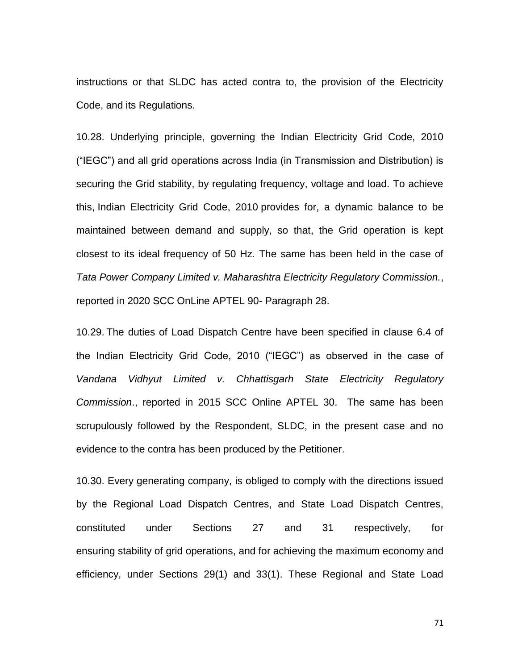instructions or that SLDC has acted contra to, the provision of the Electricity Code, and its Regulations.

10.28. Underlying principle, governing the Indian Electricity Grid Code, 2010 ("IEGC") and all grid operations across India (in Transmission and Distribution) is securing the Grid stability, by regulating frequency, voltage and load. To achieve this, Indian Electricity Grid Code, 2010 provides for, a dynamic balance to be maintained between demand and supply, so that, the Grid operation is kept closest to its ideal frequency of 50 Hz. The same has been held in the case of *Tata Power Company Limited v. Maharashtra Electricity Regulatory Commission.*, reported in 2020 SCC OnLine APTEL 90- Paragraph 28.

10.29. The duties of Load Dispatch Centre have been specified in clause 6.4 of the Indian Electricity Grid Code, 2010 ("IEGC") as observed in the case of *Vandana Vidhyut Limited v. Chhattisgarh State Electricity Regulatory Commission*., reported in 2015 SCC Online APTEL 30. The same has been scrupulously followed by the Respondent, SLDC, in the present case and no evidence to the contra has been produced by the Petitioner.

10.30. Every generating company, is obliged to comply with the directions issued by the Regional Load Dispatch Centres, and State Load Dispatch Centres, constituted under Sections 27 and 31 respectively, for ensuring stability of grid operations, and for achieving the maximum economy and efficiency, under Sections 29(1) and 33(1). These Regional and State Load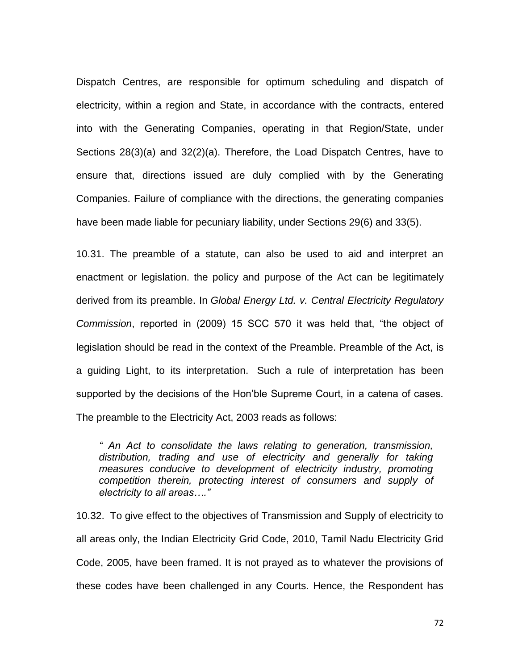Dispatch Centres, are responsible for optimum scheduling and dispatch of electricity, within a region and State, in accordance with the contracts, entered into with the Generating Companies, operating in that Region/State, under Sections 28(3)(a) and 32(2)(a). Therefore, the Load Dispatch Centres, have to ensure that, directions issued are duly complied with by the Generating Companies. Failure of compliance with the directions, the generating companies have been made liable for pecuniary liability, under Sections 29(6) and 33(5).

10.31. The preamble of a statute, can also be used to aid and interpret an enactment or legislation. the policy and purpose of the Act can be legitimately derived from its preamble. In *Global Energy Ltd. v. Central Electricity Regulatory Commission*, reported in (2009) 15 SCC 570 it was held that, "the object of legislation should be read in the context of the Preamble. Preamble of the Act, is a guiding Light, to its interpretation. Such a rule of interpretation has been supported by the decisions of the Hon"ble Supreme Court, in a catena of cases. The preamble to the Electricity Act, 2003 reads as follows:

*" An Act to consolidate the laws relating to generation, transmission, distribution, trading and use of electricity and generally for taking measures conducive to development of electricity industry, promoting competition therein, protecting interest of consumers and supply of electricity to all areas…."*

10.32. To give effect to the objectives of Transmission and Supply of electricity to all areas only, the Indian Electricity Grid Code, 2010, Tamil Nadu Electricity Grid Code, 2005, have been framed. It is not prayed as to whatever the provisions of these codes have been challenged in any Courts. Hence, the Respondent has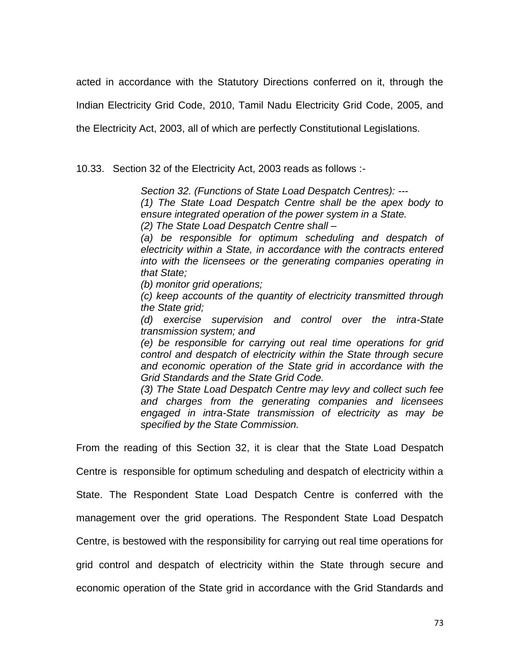acted in accordance with the Statutory Directions conferred on it, through the

Indian Electricity Grid Code, 2010, Tamil Nadu Electricity Grid Code, 2005, and

the Electricity Act, 2003, all of which are perfectly Constitutional Legislations.

10.33. Section 32 of the Electricity Act, 2003 reads as follows :-

*Section 32. (Functions of State Load Despatch Centres): ---*

*(1) The State Load Despatch Centre shall be the apex body to ensure integrated operation of the power system in a State.* 

*(2) The State Load Despatch Centre shall –*

*(a) be responsible for optimum scheduling and despatch of electricity within a State, in accordance with the contracts entered into with the licensees or the generating companies operating in that State;*

*(b) monitor grid operations;*

*(c) keep accounts of the quantity of electricity transmitted through the State grid;*

*(d) exercise supervision and control over the intra-State transmission system; and* 

*(e) be responsible for carrying out real time operations for grid control and despatch of electricity within the State through secure and economic operation of the State grid in accordance with the Grid Standards and the State Grid Code.* 

*(3) The State Load Despatch Centre may levy and collect such fee and charges from the generating companies and licensees engaged in intra-State transmission of electricity as may be specified by the State Commission.*

From the reading of this Section 32, it is clear that the State Load Despatch

Centre is responsible for optimum scheduling and despatch of electricity within a

State. The Respondent State Load Despatch Centre is conferred with the

management over the grid operations. The Respondent State Load Despatch

Centre, is bestowed with the responsibility for carrying out real time operations for

grid control and despatch of electricity within the State through secure and

economic operation of the State grid in accordance with the Grid Standards and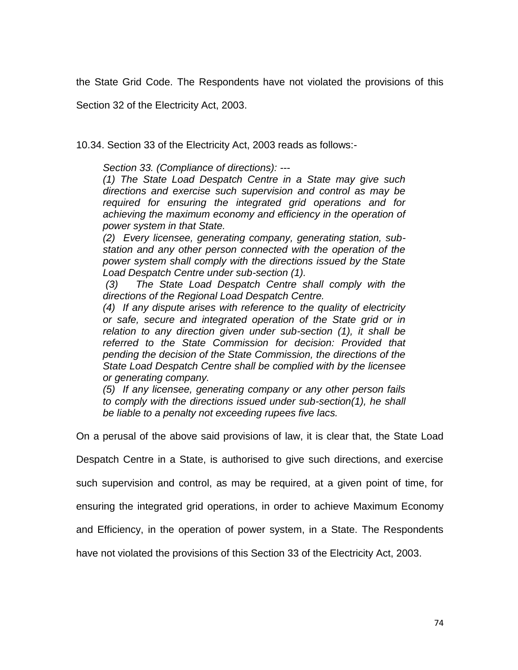the State Grid Code. The Respondents have not violated the provisions of this

Section 32 of the Electricity Act, 2003.

10.34. Section 33 of the Electricity Act, 2003 reads as follows:-

*Section 33. (Compliance of directions): ---*

*(1) The State Load Despatch Centre in a State may give such directions and exercise such supervision and control as may be required for ensuring the integrated grid operations and for achieving the maximum economy and efficiency in the operation of power system in that State.* 

*(2) Every licensee, generating company, generating station, substation and any other person connected with the operation of the power system shall comply with the directions issued by the State Load Despatch Centre under sub-section (1).*

*(3) The State Load Despatch Centre shall comply with the directions of the Regional Load Despatch Centre.* 

*(4) If any dispute arises with reference to the quality of electricity or safe, secure and integrated operation of the State grid or in relation to any direction given under sub-section (1), it shall be referred to the State Commission for decision: Provided that pending the decision of the State Commission, the directions of the State Load Despatch Centre shall be complied with by the licensee or generating company.* 

*(5) If any licensee, generating company or any other person fails to comply with the directions issued under sub-section(1), he shall be liable to a penalty not exceeding rupees five lacs.*

On a perusal of the above said provisions of law, it is clear that, the State Load

Despatch Centre in a State, is authorised to give such directions, and exercise

such supervision and control, as may be required, at a given point of time, for

ensuring the integrated grid operations, in order to achieve Maximum Economy

and Efficiency, in the operation of power system, in a State. The Respondents

have not violated the provisions of this Section 33 of the Electricity Act, 2003.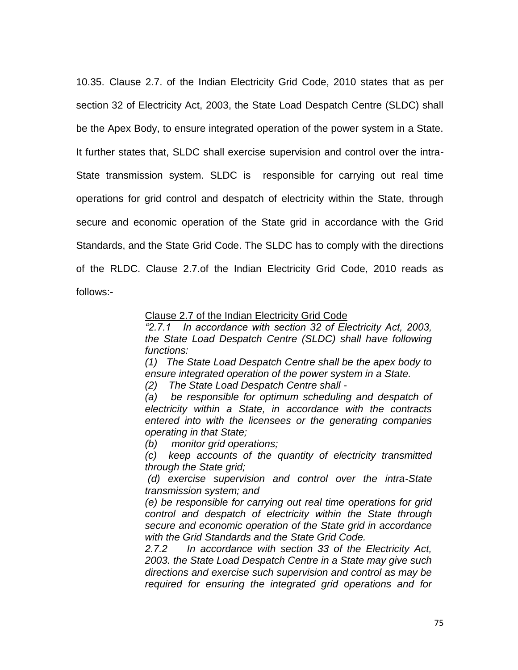10.35. Clause 2.7. of the Indian Electricity Grid Code, 2010 states that as per section 32 of Electricity Act, 2003, the State Load Despatch Centre (SLDC) shall be the Apex Body, to ensure integrated operation of the power system in a State. It further states that, SLDC shall exercise supervision and control over the intra-State transmission system. SLDC is responsible for carrying out real time operations for grid control and despatch of electricity within the State, through secure and economic operation of the State grid in accordance with the Grid Standards, and the State Grid Code. The SLDC has to comply with the directions of the RLDC. Clause 2.7.of the Indian Electricity Grid Code, 2010 reads as follows:-

Clause 2.7 of the Indian Electricity Grid Code

*"2.7.1 In accordance with section 32 of Electricity Act, 2003, the State Load Despatch Centre (SLDC) shall have following functions:*

*(1) The State Load Despatch Centre shall be the apex body to ensure integrated operation of the power system in a State.*

*(2) The State Load Despatch Centre shall -*

*(a) be responsible for optimum scheduling and despatch of electricity within a State, in accordance with the contracts entered into with the licensees or the generating companies operating in that State;*

*(b) monitor grid operations;*

*(c) keep accounts of the quantity of electricity transmitted through the State grid;*

*(d) exercise supervision and control over the intra-State transmission system; and* 

*(e) be responsible for carrying out real time operations for grid control and despatch of electricity within the State through secure and economic operation of the State grid in accordance with the Grid Standards and the State Grid Code.*

*2.7.2 In accordance with section 33 of the Electricity Act, 2003. the State Load Despatch Centre in a State may give such directions and exercise such supervision and control as may be required for ensuring the integrated grid operations and for*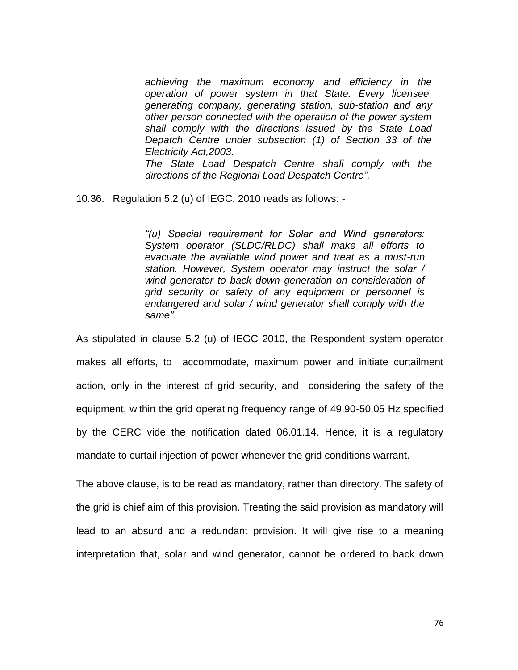*achieving the maximum economy and efficiency in the operation of power system in that State. Every licensee, generating company, generating station, sub-station and any other person connected with the operation of the power system shall comply with the directions issued by the State Load Depatch Centre under subsection (1) of Section 33 of the Electricity Act,2003. The State Load Despatch Centre shall comply with the* 

*directions of the Regional Load Despatch Centre".*

10.36. Regulation 5.2 (u) of IEGC, 2010 reads as follows: -

*"(u) Special requirement for Solar and Wind generators: System operator (SLDC/RLDC) shall make all efforts to evacuate the available wind power and treat as a must-run station. However, System operator may instruct the solar / wind generator to back down generation on consideration of grid security or safety of any equipment or personnel is endangered and solar / wind generator shall comply with the same".*

As stipulated in clause 5.2 (u) of IEGC 2010, the Respondent system operator makes all efforts, to accommodate, maximum power and initiate curtailment action, only in the interest of grid security, and considering the safety of the equipment, within the grid operating frequency range of 49.90-50.05 Hz specified by the CERC vide the notification dated 06.01.14. Hence, it is a regulatory mandate to curtail injection of power whenever the grid conditions warrant.

The above clause, is to be read as mandatory, rather than directory. The safety of the grid is chief aim of this provision. Treating the said provision as mandatory will lead to an absurd and a redundant provision. It will give rise to a meaning interpretation that, solar and wind generator, cannot be ordered to back down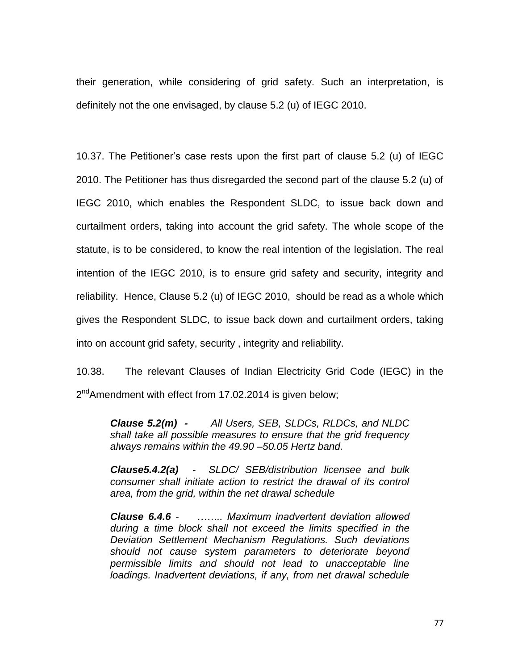their generation, while considering of grid safety. Such an interpretation, is definitely not the one envisaged, by clause 5.2 (u) of IEGC 2010.

10.37. The Petitioner"s case rests upon the first part of clause 5.2 (u) of IEGC 2010. The Petitioner has thus disregarded the second part of the clause 5.2 (u) of IEGC 2010, which enables the Respondent SLDC, to issue back down and curtailment orders, taking into account the grid safety. The whole scope of the statute, is to be considered, to know the real intention of the legislation. The real intention of the IEGC 2010, is to ensure grid safety and security, integrity and reliability. Hence, Clause 5.2 (u) of IEGC 2010, should be read as a whole which gives the Respondent SLDC, to issue back down and curtailment orders, taking into on account grid safety, security , integrity and reliability.

10.38. The relevant Clauses of Indian Electricity Grid Code (IEGC) in the 2<sup>nd</sup>Amendment with effect from 17.02.2014 is given below;

*Clause 5.2(m) - All Users, SEB, SLDCs, RLDCs, and NLDC shall take all possible measures to ensure that the grid frequency always remains within the 49.90 –50.05 Hertz band.*

*Clause5.4.2(a) - SLDC/ SEB/distribution licensee and bulk consumer shall initiate action to restrict the drawal of its control area, from the grid, within the net drawal schedule*

*Clause 6.4.6 - …….. Maximum inadvertent deviation allowed during a time block shall not exceed the limits specified in the Deviation Settlement Mechanism Regulations. Such deviations should not cause system parameters to deteriorate beyond permissible limits and should not lead to unacceptable line loadings. Inadvertent deviations, if any, from net drawal schedule*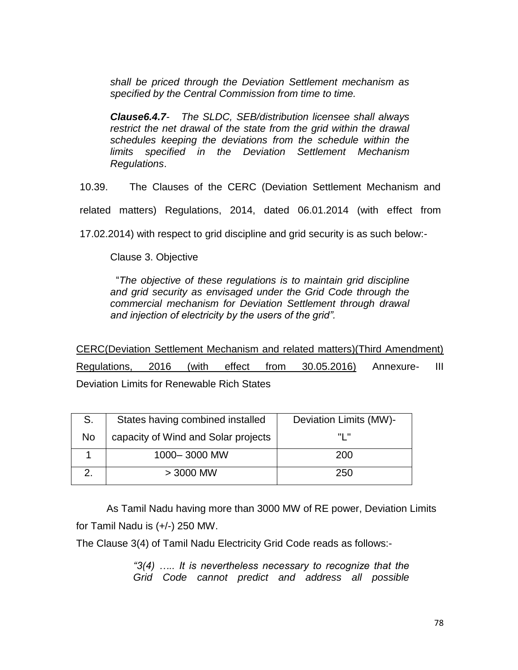*shall be priced through the Deviation Settlement mechanism as specified by the Central Commission from time to time.* 

*Clause6.4.7- The SLDC, SEB/distribution licensee shall always restrict the net drawal of the state from the grid within the drawal schedules keeping the deviations from the schedule within the limits specified in the Deviation Settlement Mechanism Regulations*.

10.39. The Clauses of the CERC (Deviation Settlement Mechanism and

related matters) Regulations, 2014, dated 06.01.2014 (with effect from

17.02.2014) with respect to grid discipline and grid security is as such below:-

Clause 3. Objective

 "*The objective of these regulations is to maintain grid discipline and grid security as envisaged under the Grid Code through the commercial mechanism for Deviation Settlement through drawal and injection of electricity by the users of the grid".*

CERC(Deviation Settlement Mechanism and related matters)(Third Amendment) Regulations, 2016 (with effect from 30.05.2016) Annexure- III Deviation Limits for Renewable Rich States

| S.  | States having combined installed    | Deviation Limits (MW)- |
|-----|-------------------------------------|------------------------|
| No. | capacity of Wind and Solar projects | "I "                   |
|     | 1000-3000 MW                        | 200                    |
|     | $>$ 3000 MW                         | 250                    |

As Tamil Nadu having more than 3000 MW of RE power, Deviation Limits for Tamil Nadu is (+/-) 250 MW.

The Clause 3(4) of Tamil Nadu Electricity Grid Code reads as follows:-

*"3(4) ….. It is nevertheless necessary to recognize that the Grid Code cannot predict and address all possible*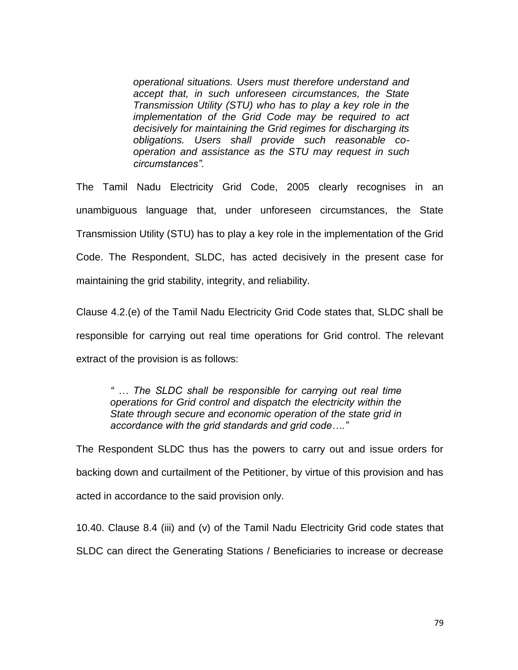*operational situations. Users must therefore understand and accept that, in such unforeseen circumstances, the State Transmission Utility (STU) who has to play a key role in the implementation of the Grid Code may be required to act decisively for maintaining the Grid regimes for discharging its obligations. Users shall provide such reasonable cooperation and assistance as the STU may request in such circumstances".*

The Tamil Nadu Electricity Grid Code, 2005 clearly recognises in an unambiguous language that, under unforeseen circumstances, the State Transmission Utility (STU) has to play a key role in the implementation of the Grid Code. The Respondent, SLDC, has acted decisively in the present case for maintaining the grid stability, integrity, and reliability.

Clause 4.2.(e) of the Tamil Nadu Electricity Grid Code states that, SLDC shall be responsible for carrying out real time operations for Grid control. The relevant extract of the provision is as follows:

*" … The SLDC shall be responsible for carrying out real time operations for Grid control and dispatch the electricity within the State through secure and economic operation of the state grid in accordance with the grid standards and grid code…."*

The Respondent SLDC thus has the powers to carry out and issue orders for backing down and curtailment of the Petitioner, by virtue of this provision and has acted in accordance to the said provision only.

10.40. Clause 8.4 (iii) and (v) of the Tamil Nadu Electricity Grid code states that SLDC can direct the Generating Stations / Beneficiaries to increase or decrease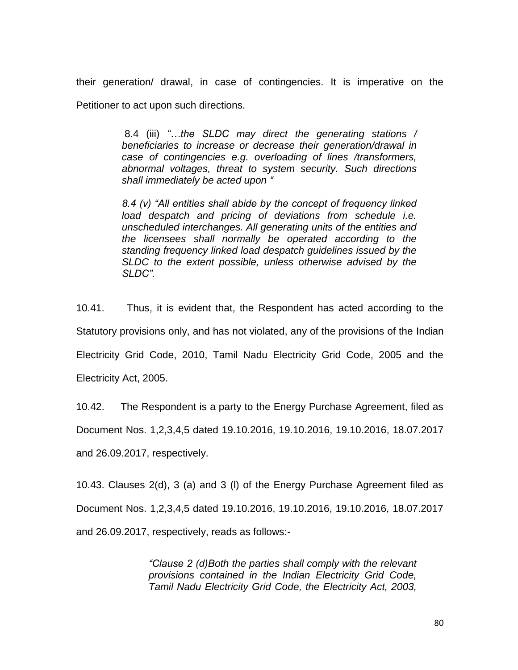their generation/ drawal, in case of contingencies. It is imperative on the Petitioner to act upon such directions.

> 8.4 (iii) *"…the SLDC may direct the generating stations / beneficiaries to increase or decrease their generation/drawal in case of contingencies e.g. overloading of lines /transformers, abnormal voltages, threat to system security. Such directions shall immediately be acted upon "*

> *8.4 (v) "All entities shall abide by the concept of frequency linked load despatch and pricing of deviations from schedule i.e. unscheduled interchanges. All generating units of the entities and the licensees shall normally be operated according to the standing frequency linked load despatch guidelines issued by the SLDC to the extent possible, unless otherwise advised by the SLDC".*

10.41. Thus, it is evident that, the Respondent has acted according to the Statutory provisions only, and has not violated, any of the provisions of the Indian Electricity Grid Code, 2010, Tamil Nadu Electricity Grid Code, 2005 and the Electricity Act, 2005.

10.42. The Respondent is a party to the Energy Purchase Agreement, filed as

Document Nos. 1,2,3,4,5 dated 19.10.2016, 19.10.2016, 19.10.2016, 18.07.2017

and 26.09.2017, respectively.

10.43. Clauses 2(d), 3 (a) and 3 (l) of the Energy Purchase Agreement filed as Document Nos. 1,2,3,4,5 dated 19.10.2016, 19.10.2016, 19.10.2016, 18.07.2017 and 26.09.2017, respectively, reads as follows:-

> *"Clause 2 (d)Both the parties shall comply with the relevant provisions contained in the Indian Electricity Grid Code, Tamil Nadu Electricity Grid Code, the Electricity Act, 2003,*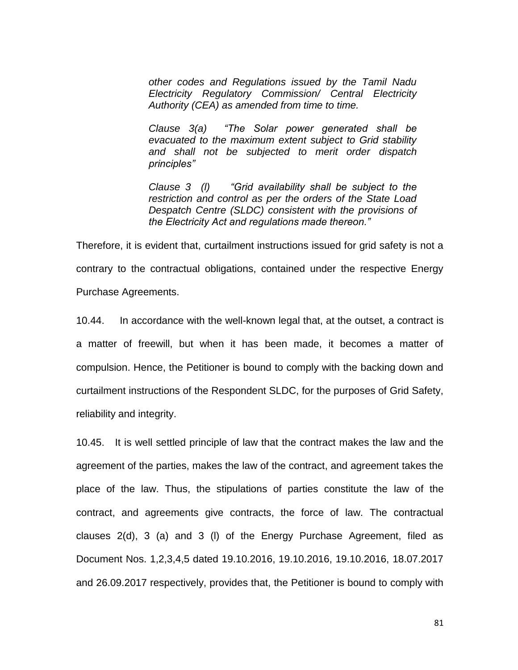*other codes and Regulations issued by the Tamil Nadu Electricity Regulatory Commission/ Central Electricity Authority (CEA) as amended from time to time.* 

*Clause 3(a) "The Solar power generated shall be evacuated to the maximum extent subject to Grid stability and shall not be subjected to merit order dispatch principles"*

*Clause 3 (l) "Grid availability shall be subject to the restriction and control as per the orders of the State Load Despatch Centre (SLDC) consistent with the provisions of the Electricity Act and regulations made thereon."*

Therefore, it is evident that, curtailment instructions issued for grid safety is not a contrary to the contractual obligations, contained under the respective Energy Purchase Agreements.

10.44. In accordance with the well-known legal that, at the outset, a contract is a matter of freewill, but when it has been made, it becomes a matter of compulsion. Hence, the Petitioner is bound to comply with the backing down and curtailment instructions of the Respondent SLDC, for the purposes of Grid Safety, reliability and integrity.

10.45. It is well settled principle of law that the contract makes the law and the agreement of the parties, makes the law of the contract, and agreement takes the place of the law. Thus, the stipulations of parties constitute the law of the contract, and agreements give contracts, the force of law. The contractual clauses 2(d), 3 (a) and 3 (l) of the Energy Purchase Agreement, filed as Document Nos. 1,2,3,4,5 dated 19.10.2016, 19.10.2016, 19.10.2016, 18.07.2017 and 26.09.2017 respectively, provides that, the Petitioner is bound to comply with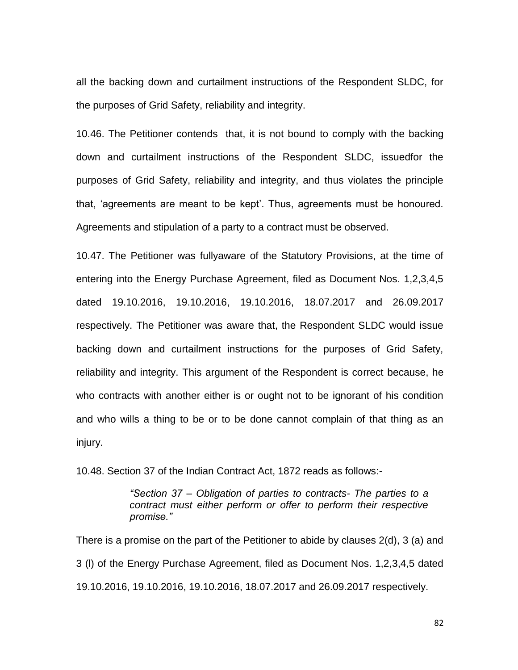all the backing down and curtailment instructions of the Respondent SLDC, for the purposes of Grid Safety, reliability and integrity.

10.46. The Petitioner contends that, it is not bound to comply with the backing down and curtailment instructions of the Respondent SLDC, issuedfor the purposes of Grid Safety, reliability and integrity, and thus violates the principle that, "agreements are meant to be kept". Thus, agreements must be honoured. Agreements and stipulation of a party to a contract must be observed.

10.47. The Petitioner was fullyaware of the Statutory Provisions, at the time of entering into the Energy Purchase Agreement, filed as Document Nos. 1,2,3,4,5 dated 19.10.2016, 19.10.2016, 19.10.2016, 18.07.2017 and 26.09.2017 respectively. The Petitioner was aware that, the Respondent SLDC would issue backing down and curtailment instructions for the purposes of Grid Safety, reliability and integrity. This argument of the Respondent is correct because, he who contracts with another either is or ought not to be ignorant of his condition and who wills a thing to be or to be done cannot complain of that thing as an injury.

10.48. Section 37 of the Indian Contract Act, 1872 reads as follows:-

*"Section 37 – Obligation of parties to contracts- The parties to a contract must either perform or offer to perform their respective promise."* 

There is a promise on the part of the Petitioner to abide by clauses 2(d), 3 (a) and 3 (l) of the Energy Purchase Agreement, filed as Document Nos. 1,2,3,4,5 dated 19.10.2016, 19.10.2016, 19.10.2016, 18.07.2017 and 26.09.2017 respectively.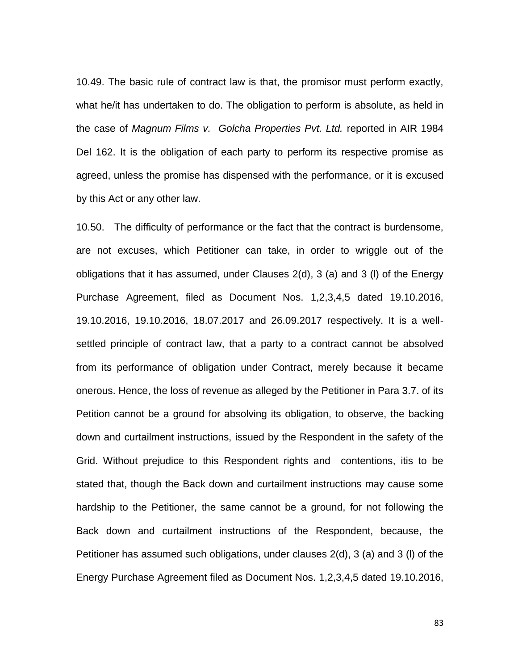10.49. The basic rule of contract law is that, the promisor must perform exactly, what he/it has undertaken to do. The obligation to perform is absolute, as held in the case of *Magnum Films v. Golcha Properties Pvt. Ltd.* reported in AIR 1984 Del 162. It is the obligation of each party to perform its respective promise as agreed, unless the promise has dispensed with the performance, or it is excused by this Act or any other law.

10.50. The difficulty of performance or the fact that the contract is burdensome, are not excuses, which Petitioner can take, in order to wriggle out of the obligations that it has assumed, under Clauses 2(d), 3 (a) and 3 (l) of the Energy Purchase Agreement, filed as Document Nos. 1,2,3,4,5 dated 19.10.2016, 19.10.2016, 19.10.2016, 18.07.2017 and 26.09.2017 respectively. It is a wellsettled principle of contract law, that a party to a contract cannot be absolved from its performance of obligation under Contract, merely because it became onerous. Hence, the loss of revenue as alleged by the Petitioner in Para 3.7. of its Petition cannot be a ground for absolving its obligation, to observe, the backing down and curtailment instructions, issued by the Respondent in the safety of the Grid. Without prejudice to this Respondent rights and contentions, itis to be stated that, though the Back down and curtailment instructions may cause some hardship to the Petitioner, the same cannot be a ground, for not following the Back down and curtailment instructions of the Respondent, because, the Petitioner has assumed such obligations, under clauses 2(d), 3 (a) and 3 (l) of the Energy Purchase Agreement filed as Document Nos. 1,2,3,4,5 dated 19.10.2016,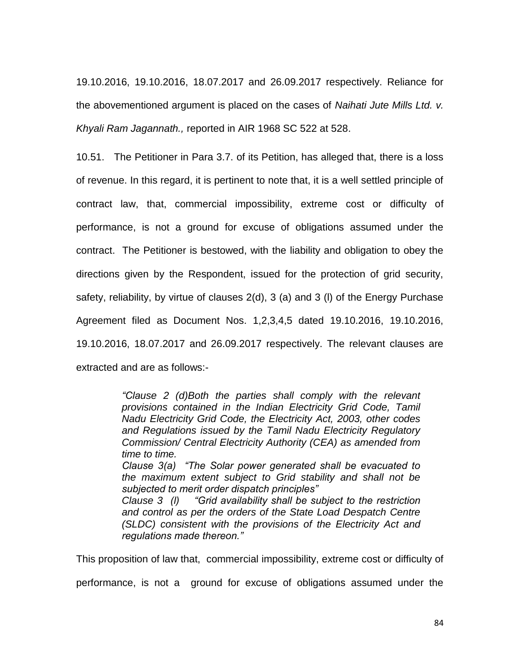19.10.2016, 19.10.2016, 18.07.2017 and 26.09.2017 respectively. Reliance for the abovementioned argument is placed on the cases of *Naihati Jute Mills Ltd. v. Khyali Ram Jagannath.,* reported in AIR 1968 SC 522 at 528.

10.51. The Petitioner in Para 3.7. of its Petition, has alleged that, there is a loss of revenue. In this regard, it is pertinent to note that, it is a well settled principle of contract law, that, commercial impossibility, extreme cost or difficulty of performance, is not a ground for excuse of obligations assumed under the contract. The Petitioner is bestowed, with the liability and obligation to obey the directions given by the Respondent, issued for the protection of grid security, safety, reliability, by virtue of clauses 2(d), 3 (a) and 3 (l) of the Energy Purchase Agreement filed as Document Nos. 1,2,3,4,5 dated 19.10.2016, 19.10.2016, 19.10.2016, 18.07.2017 and 26.09.2017 respectively. The relevant clauses are extracted and are as follows:-

> *"Clause 2 (d)Both the parties shall comply with the relevant provisions contained in the Indian Electricity Grid Code, Tamil Nadu Electricity Grid Code, the Electricity Act, 2003, other codes and Regulations issued by the Tamil Nadu Electricity Regulatory Commission/ Central Electricity Authority (CEA) as amended from time to time. Clause 3(a) "The Solar power generated shall be evacuated to the maximum extent subject to Grid stability and shall not be subjected to merit order dispatch principles" Clause 3 (l) "Grid availability shall be subject to the restriction and control as per the orders of the State Load Despatch Centre*

> *(SLDC) consistent with the provisions of the Electricity Act and*

*regulations made thereon."* This proposition of law that, commercial impossibility, extreme cost or difficulty of

performance, is not a ground for excuse of obligations assumed under the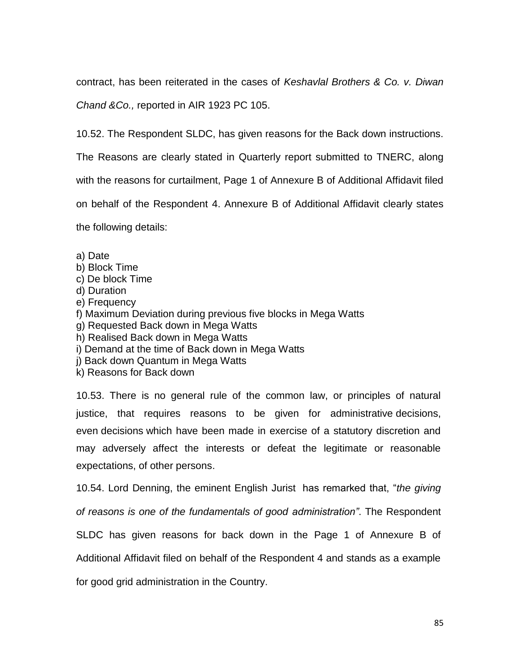contract, has been reiterated in the cases of *Keshavlal Brothers & Co. v. Diwan* 

*Chand &Co.,* reported in AIR 1923 PC 105.

10.52. The Respondent SLDC, has given reasons for the Back down instructions.

The Reasons are clearly stated in Quarterly report submitted to TNERC, along

with the reasons for curtailment, Page 1 of Annexure B of Additional Affidavit filed

on behalf of the Respondent 4. Annexure B of Additional Affidavit clearly states

the following details:

a) Date

- b) Block Time
- c) De block Time
- d) Duration
- e) Frequency
- f) Maximum Deviation during previous five blocks in Mega Watts
- g) Requested Back down in Mega Watts
- h) Realised Back down in Mega Watts
- i) Demand at the time of Back down in Mega Watts
- j) Back down Quantum in Mega Watts
- k) Reasons for Back down

10.53. There is no general rule of the common law, or principles of natural justice, that requires reasons to be given for administrative decisions, even decisions which have been made in exercise of a statutory discretion and may adversely affect the interests or defeat the legitimate or reasonable expectations, of other persons.

10.54. Lord Denning, the eminent English Jurist has remarked that, "*the giving* 

*of reasons is one of the fundamentals of good administration"*. The Respondent

SLDC has given reasons for back down in the Page 1 of Annexure B of

Additional Affidavit filed on behalf of the Respondent 4 and stands as a example

for good grid administration in the Country.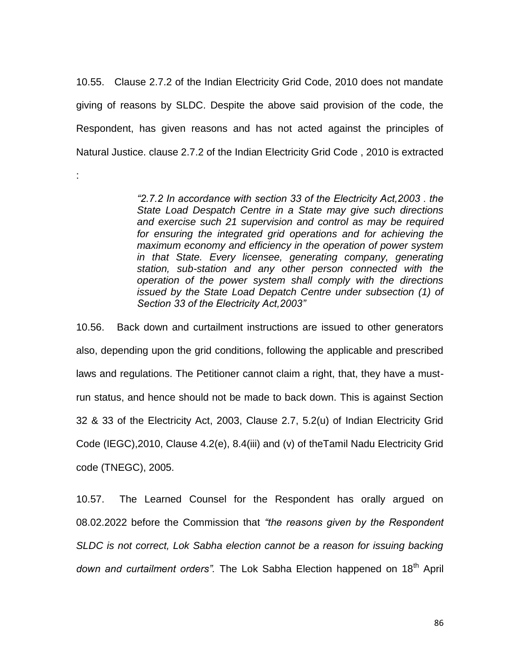10.55. Clause 2.7.2 of the Indian Electricity Grid Code, 2010 does not mandate giving of reasons by SLDC. Despite the above said provision of the code, the Respondent, has given reasons and has not acted against the principles of Natural Justice. clause 2.7.2 of the Indian Electricity Grid Code , 2010 is extracted

:

*"2.7.2 In accordance with section 33 of the Electricity Act,2003 . the State Load Despatch Centre in a State may give such directions and exercise such 21 supervision and control as may be required for ensuring the integrated grid operations and for achieving the maximum economy and efficiency in the operation of power system in that State. Every licensee, generating company, generating station, sub-station and any other person connected with the operation of the power system shall comply with the directions issued by the State Load Depatch Centre under subsection (1) of Section 33 of the Electricity Act,2003"* 

10.56. Back down and curtailment instructions are issued to other generators also, depending upon the grid conditions, following the applicable and prescribed laws and regulations. The Petitioner cannot claim a right, that, they have a mustrun status, and hence should not be made to back down. This is against Section 32 & 33 of the Electricity Act, 2003, Clause 2.7, 5.2(u) of Indian Electricity Grid Code (IEGC),2010, Clause 4.2(e), 8.4(iii) and (v) of theTamil Nadu Electricity Grid code (TNEGC), 2005.

10.57. The Learned Counsel for the Respondent has orally argued on 08.02.2022 before the Commission that *"the reasons given by the Respondent SLDC is not correct, Lok Sabha election cannot be a reason for issuing backing* down and curtailment orders". The Lok Sabha Election happened on 18<sup>th</sup> April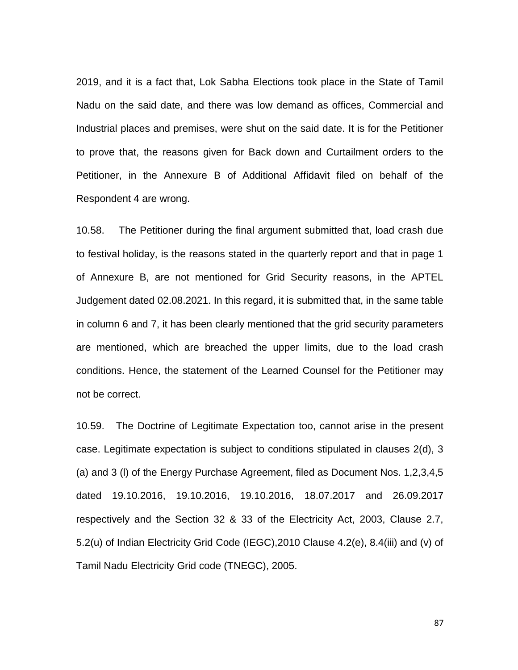2019, and it is a fact that, Lok Sabha Elections took place in the State of Tamil Nadu on the said date, and there was low demand as offices, Commercial and Industrial places and premises, were shut on the said date. It is for the Petitioner to prove that, the reasons given for Back down and Curtailment orders to the Petitioner, in the Annexure B of Additional Affidavit filed on behalf of the Respondent 4 are wrong.

10.58. The Petitioner during the final argument submitted that, load crash due to festival holiday, is the reasons stated in the quarterly report and that in page 1 of Annexure B, are not mentioned for Grid Security reasons, in the APTEL Judgement dated 02.08.2021. In this regard, it is submitted that, in the same table in column 6 and 7, it has been clearly mentioned that the grid security parameters are mentioned, which are breached the upper limits, due to the load crash conditions. Hence, the statement of the Learned Counsel for the Petitioner may not be correct.

10.59. The Doctrine of Legitimate Expectation too, cannot arise in the present case. Legitimate expectation is subject to conditions stipulated in clauses 2(d), 3 (a) and 3 (l) of the Energy Purchase Agreement, filed as Document Nos. 1,2,3,4,5 dated 19.10.2016, 19.10.2016, 19.10.2016, 18.07.2017 and 26.09.2017 respectively and the Section 32 & 33 of the Electricity Act, 2003, Clause 2.7, 5.2(u) of Indian Electricity Grid Code (IEGC),2010 Clause 4.2(e), 8.4(iii) and (v) of Tamil Nadu Electricity Grid code (TNEGC), 2005.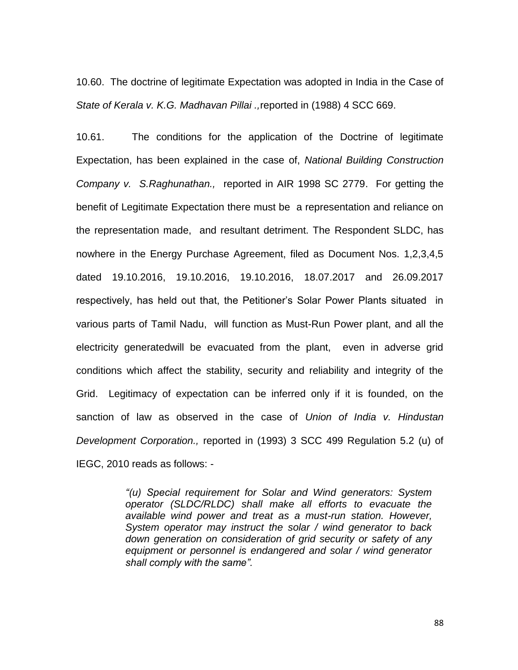10.60. The doctrine of legitimate Expectation was adopted in India in the Case of *State of Kerala v. K.G. Madhavan Pillai .,*reported in (1988) 4 SCC 669.

10.61. The conditions for the application of the Doctrine of legitimate Expectation, has been explained in the case of, *National Building Construction Company v. S.Raghunathan.,* reported in AIR 1998 SC 2779. For getting the benefit of Legitimate Expectation there must be a representation and reliance on the representation made, and resultant detriment. The Respondent SLDC, has nowhere in the Energy Purchase Agreement, filed as Document Nos. 1,2,3,4,5 dated 19.10.2016, 19.10.2016, 19.10.2016, 18.07.2017 and 26.09.2017 respectively, has held out that, the Petitioner"s Solar Power Plants situated in various parts of Tamil Nadu, will function as Must-Run Power plant, and all the electricity generatedwill be evacuated from the plant, even in adverse grid conditions which affect the stability, security and reliability and integrity of the Grid. Legitimacy of expectation can be inferred only if it is founded, on the sanction of law as observed in the case of *Union of India v. Hindustan Development Corporation.,* reported in (1993) 3 SCC 499 Regulation 5.2 (u) of IEGC, 2010 reads as follows: -

> *"(u) Special requirement for Solar and Wind generators: System operator (SLDC/RLDC) shall make all efforts to evacuate the available wind power and treat as a must-run station. However, System operator may instruct the solar / wind generator to back down generation on consideration of grid security or safety of any equipment or personnel is endangered and solar / wind generator shall comply with the same".*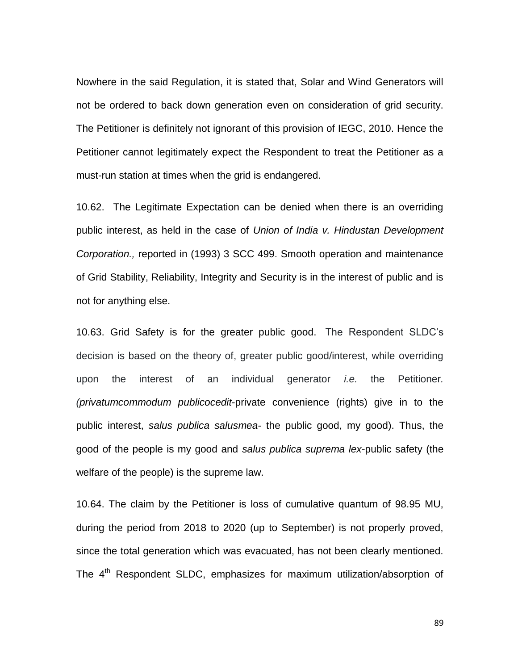Nowhere in the said Regulation, it is stated that, Solar and Wind Generators will not be ordered to back down generation even on consideration of grid security. The Petitioner is definitely not ignorant of this provision of IEGC, 2010. Hence the Petitioner cannot legitimately expect the Respondent to treat the Petitioner as a must-run station at times when the grid is endangered.

10.62. The Legitimate Expectation can be denied when there is an overriding public interest, as held in the case of *Union of India v. Hindustan Development Corporation.,* reported in (1993) 3 SCC 499. Smooth operation and maintenance of Grid Stability, Reliability, Integrity and Security is in the interest of public and is not for anything else.

10.63. Grid Safety is for the greater public good. The Respondent SLDC"s decision is based on the theory of, greater public good/interest, while overriding upon the interest of an individual generator *i.e.* the Petitioner*. (privatumcommodum publicocedit*-private convenience (rights) give in to the public interest, *salus publica salusmea*- the public good, my good). Thus, the good of the people is my good and *salus publica suprema lex*-public safety (the welfare of the people) is the supreme law.

10.64. The claim by the Petitioner is loss of cumulative quantum of 98.95 MU, during the period from 2018 to 2020 (up to September) is not properly proved, since the total generation which was evacuated, has not been clearly mentioned. The 4<sup>th</sup> Respondent SLDC, emphasizes for maximum utilization/absorption of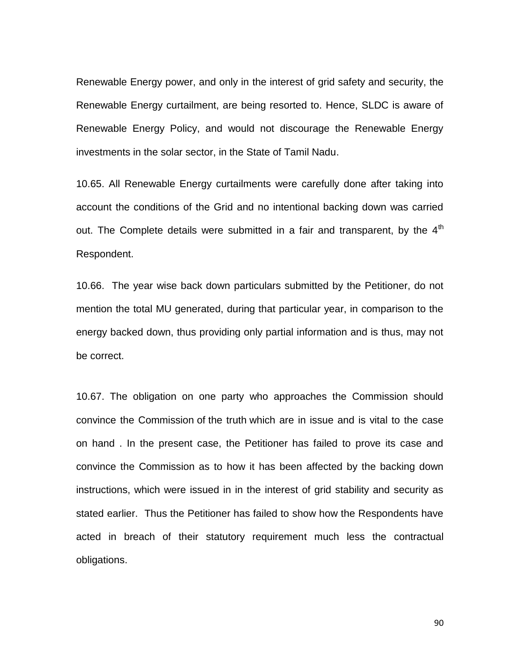Renewable Energy power, and only in the interest of grid safety and security, the Renewable Energy curtailment, are being resorted to. Hence, SLDC is aware of Renewable Energy Policy, and would not discourage the Renewable Energy investments in the solar sector, in the State of Tamil Nadu.

10.65. All Renewable Energy curtailments were carefully done after taking into account the conditions of the Grid and no intentional backing down was carried out. The Complete details were submitted in a fair and transparent, by the  $4<sup>th</sup>$ Respondent.

10.66. The year wise back down particulars submitted by the Petitioner, do not mention the total MU generated, during that particular year, in comparison to the energy backed down, thus providing only partial information and is thus, may not be correct.

10.67. The obligation on one party who approaches the Commission should convince the Commission of the truth which are in issue and is vital to the case on hand . In the present case, the Petitioner has failed to prove its case and convince the Commission as to how it has been affected by the backing down instructions, which were issued in in the interest of grid stability and security as stated earlier. Thus the Petitioner has failed to show how the Respondents have acted in breach of their statutory requirement much less the contractual obligations.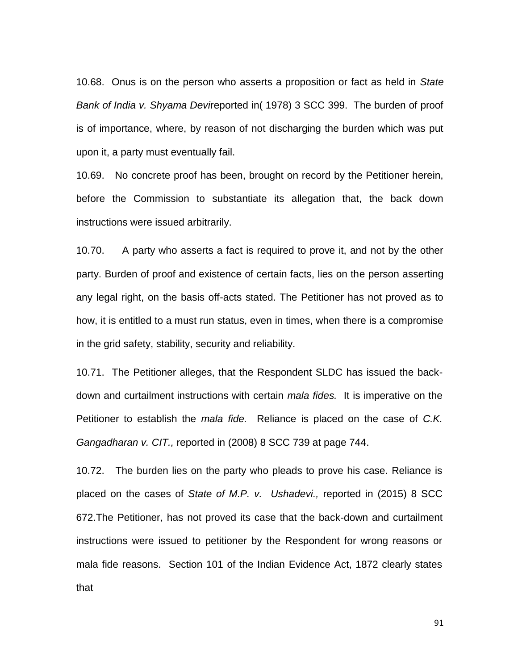10.68. Onus is on the person who asserts a proposition or fact as held in *State Bank of India v. Shyama Devi*reported in( 1978) 3 SCC 399. The burden of proof is of importance, where, by reason of not discharging the burden which was put upon it, a party must eventually fail.

10.69. No concrete proof has been, brought on record by the Petitioner herein, before the Commission to substantiate its allegation that, the back down instructions were issued arbitrarily.

10.70. A party who asserts a fact is required to prove it, and not by the other party. Burden of proof and existence of certain facts, lies on the person asserting any legal right, on the basis off-acts stated. The Petitioner has not proved as to how, it is entitled to a must run status, even in times, when there is a compromise in the grid safety, stability, security and reliability.

10.71. The Petitioner alleges, that the Respondent SLDC has issued the backdown and curtailment instructions with certain *mala fides.* It is imperative on the Petitioner to establish the *mala fide.* Reliance is placed on the case of *C.K. Gangadharan v. CIT.,* reported in (2008) 8 SCC 739 at page 744.

10.72. The burden lies on the party who pleads to prove his case. Reliance is placed on the cases of *State of M.P. v. Ushadevi.,* reported in (2015) 8 SCC 672.The Petitioner, has not proved its case that the back-down and curtailment instructions were issued to petitioner by the Respondent for wrong reasons or mala fide reasons. Section 101 of the Indian Evidence Act, 1872 clearly states that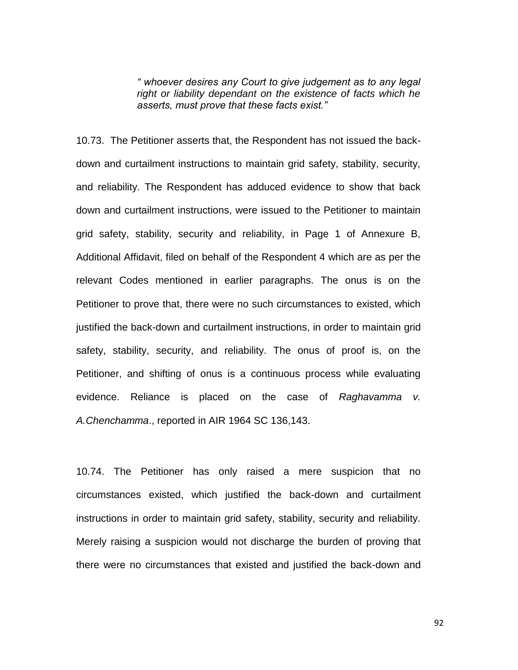*" whoever desires any Court to give judgement as to any legal right or liability dependant on the existence of facts which he asserts, must prove that these facts exist."*

10.73. The Petitioner asserts that, the Respondent has not issued the backdown and curtailment instructions to maintain grid safety, stability, security, and reliability. The Respondent has adduced evidence to show that back down and curtailment instructions, were issued to the Petitioner to maintain grid safety, stability, security and reliability, in Page 1 of Annexure B, Additional Affidavit, filed on behalf of the Respondent 4 which are as per the relevant Codes mentioned in earlier paragraphs. The onus is on the Petitioner to prove that, there were no such circumstances to existed, which justified the back-down and curtailment instructions, in order to maintain grid safety, stability, security, and reliability. The onus of proof is, on the Petitioner, and shifting of onus is a continuous process while evaluating evidence. Reliance is placed on the case of *Raghavamma v. A.Chenchamma*., reported in AIR 1964 SC 136,143.

10.74. The Petitioner has only raised a mere suspicion that no circumstances existed, which justified the back-down and curtailment instructions in order to maintain grid safety, stability, security and reliability. Merely raising a suspicion would not discharge the burden of proving that there were no circumstances that existed and justified the back-down and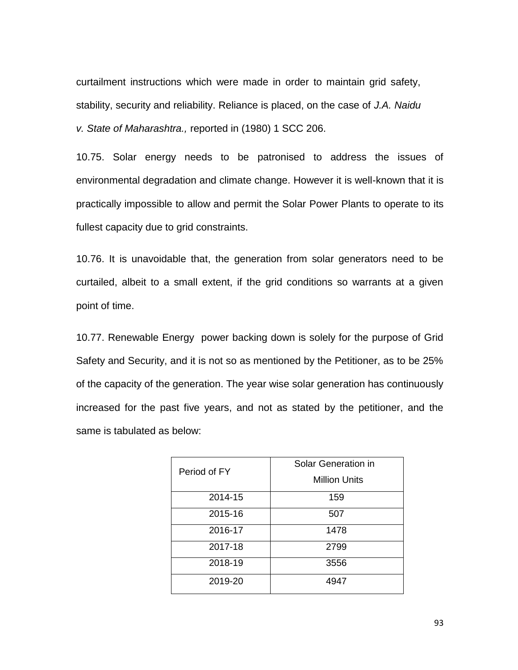curtailment instructions which were made in order to maintain grid safety, stability, security and reliability. Reliance is placed, on the case of *J.A. Naidu v. State of Maharashtra.,* reported in (1980) 1 SCC 206.

10.75. Solar energy needs to be patronised to address the issues of environmental degradation and climate change. However it is well-known that it is practically impossible to allow and permit the Solar Power Plants to operate to its fullest capacity due to grid constraints.

10.76. It is unavoidable that, the generation from solar generators need to be curtailed, albeit to a small extent, if the grid conditions so warrants at a given point of time.

10.77. Renewable Energy power backing down is solely for the purpose of Grid Safety and Security, and it is not so as mentioned by the Petitioner, as to be 25% of the capacity of the generation. The year wise solar generation has continuously increased for the past five years, and not as stated by the petitioner, and the same is tabulated as below:

| Period of FY | Solar Generation in<br><b>Million Units</b> |
|--------------|---------------------------------------------|
| 2014-15      | 159                                         |
| 2015-16      | 507                                         |
| 2016-17      | 1478                                        |
| 2017-18      | 2799                                        |
| 2018-19      | 3556                                        |
| 2019-20      | 4947                                        |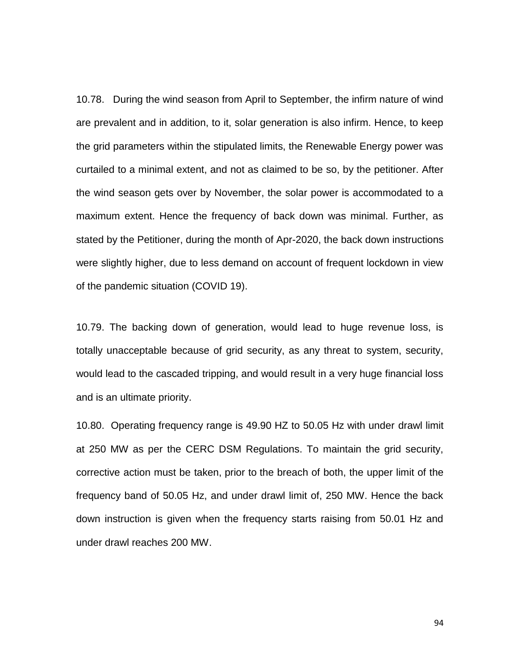10.78. During the wind season from April to September, the infirm nature of wind are prevalent and in addition, to it, solar generation is also infirm. Hence, to keep the grid parameters within the stipulated limits, the Renewable Energy power was curtailed to a minimal extent, and not as claimed to be so, by the petitioner. After the wind season gets over by November, the solar power is accommodated to a maximum extent. Hence the frequency of back down was minimal. Further, as stated by the Petitioner, during the month of Apr-2020, the back down instructions were slightly higher, due to less demand on account of frequent lockdown in view of the pandemic situation (COVID 19).

10.79. The backing down of generation, would lead to huge revenue loss, is totally unacceptable because of grid security, as any threat to system, security, would lead to the cascaded tripping, and would result in a very huge financial loss and is an ultimate priority.

10.80. Operating frequency range is 49.90 HZ to 50.05 Hz with under drawl limit at 250 MW as per the CERC DSM Regulations. To maintain the grid security, corrective action must be taken, prior to the breach of both, the upper limit of the frequency band of 50.05 Hz, and under drawl limit of, 250 MW. Hence the back down instruction is given when the frequency starts raising from 50.01 Hz and under drawl reaches 200 MW.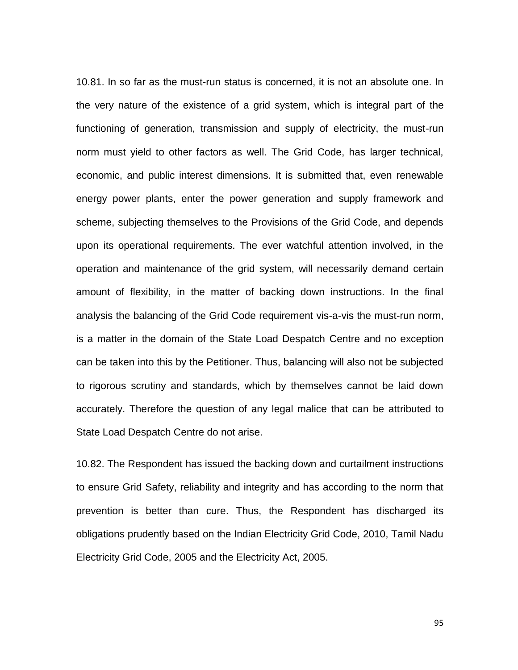10.81. In so far as the must-run status is concerned, it is not an absolute one. In the very nature of the existence of a grid system, which is integral part of the functioning of generation, transmission and supply of electricity, the must-run norm must yield to other factors as well. The Grid Code, has larger technical, economic, and public interest dimensions. It is submitted that, even renewable energy power plants, enter the power generation and supply framework and scheme, subjecting themselves to the Provisions of the Grid Code, and depends upon its operational requirements. The ever watchful attention involved, in the operation and maintenance of the grid system, will necessarily demand certain amount of flexibility, in the matter of backing down instructions. In the final analysis the balancing of the Grid Code requirement vis-a-vis the must-run norm, is a matter in the domain of the State Load Despatch Centre and no exception can be taken into this by the Petitioner. Thus, balancing will also not be subjected to rigorous scrutiny and standards, which by themselves cannot be laid down accurately. Therefore the question of any legal malice that can be attributed to State Load Despatch Centre do not arise.

10.82. The Respondent has issued the backing down and curtailment instructions to ensure Grid Safety, reliability and integrity and has according to the norm that prevention is better than cure. Thus, the Respondent has discharged its obligations prudently based on the Indian Electricity Grid Code, 2010, Tamil Nadu Electricity Grid Code, 2005 and the Electricity Act, 2005.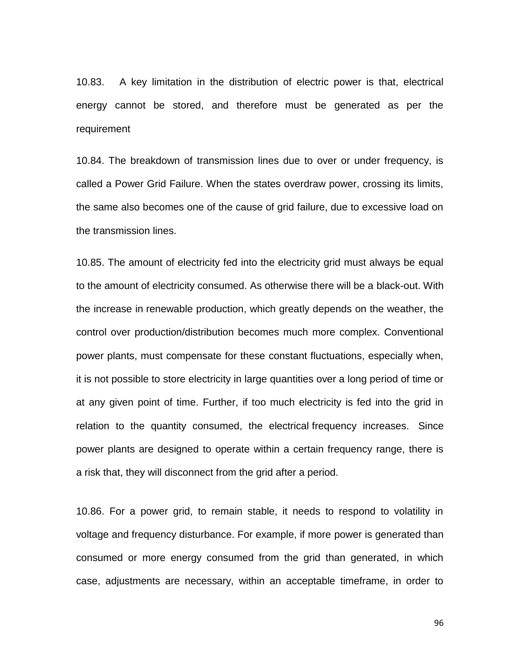10.83. A key limitation in the distribution of electric power is that, electrical energy cannot be stored, and therefore must be generated as per the requirement

10.84. The breakdown of transmission lines due to over or under frequency, is called a Power Grid Failure. When the states overdraw power, crossing its limits, the same also becomes one of the cause of grid failure, due to excessive load on the transmission lines.

10.85. The amount of electricity fed into the electricity grid must always be equal to the amount of electricity consumed. As otherwise there will be a [black-out.](https://www.energuide.be/en/questions-answers/what-is-a-blackout-what-is-a-selective-power-cut/439/) With the increase in [renewable production,](https://www.energuide.be/en/questions-answers/is-your-own-wind-turbine-a-good-alternative-for-solar-panels/341/) which greatly depends on the weather, the control over production/distribution becomes much more complex. Conventional power plants, must compensate for these constant fluctuations, especially when, it is not possible to store electricity in large quantities over a long period of time or at any given point of time. Further, if too much electricity is fed into the grid in relation to the quantity consumed, the electrical frequency increases. Since power plants are designed to operate within a certain frequency range, there is a risk that, they will disconnect from the grid after a period.

10.86. For a power grid, to remain stable, it needs to respond to volatility in voltage and frequency disturbance. For example, if more power is generated than consumed or more energy consumed from the grid than generated, in which case, adjustments are necessary, within an acceptable timeframe, in order to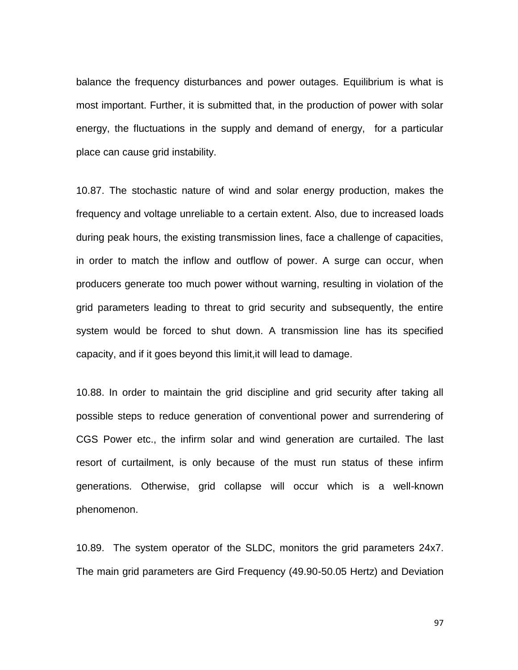balance the frequency disturbances and power outages. Equilibrium is what is most important. Further, it is submitted that, in the production of power with solar energy, the fluctuations in the supply and demand of energy, for a particular place can cause grid instability.

10.87. The stochastic nature of wind and solar energy production, makes the frequency and voltage unreliable to a certain extent. Also, due to increased loads during peak hours, the existing transmission lines, face a challenge of capacities, in order to match the inflow and outflow of power. A surge can occur, when producers generate too much power without warning, resulting in violation of the grid parameters leading to threat to grid security and subsequently, the entire system would be forced to shut down. A transmission line has its specified capacity, and if it goes beyond this limit,it will lead to damage.

10.88. In order to maintain the grid discipline and grid security after taking all possible steps to reduce generation of conventional power and surrendering of CGS Power etc., the infirm solar and wind generation are curtailed. The last resort of curtailment, is only because of the must run status of these infirm generations. Otherwise, grid collapse will occur which is a well-known phenomenon.

10.89. The system operator of the SLDC, monitors the grid parameters 24x7. The main grid parameters are Gird Frequency (49.90-50.05 Hertz) and Deviation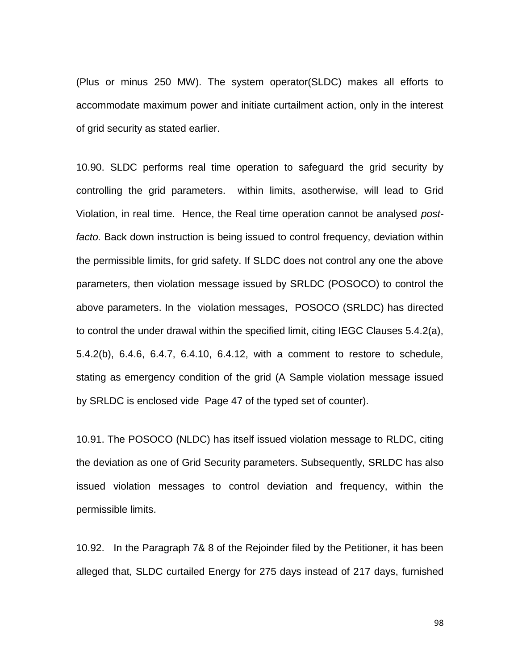(Plus or minus 250 MW). The system operator(SLDC) makes all efforts to accommodate maximum power and initiate curtailment action, only in the interest of grid security as stated earlier.

10.90. SLDC performs real time operation to safeguard the grid security by controlling the grid parameters. within limits, asotherwise, will lead to Grid Violation, in real time. Hence, the Real time operation cannot be analysed *postfacto.* Back down instruction is being issued to control frequency, deviation within the permissible limits, for grid safety. If SLDC does not control any one the above parameters, then violation message issued by SRLDC (POSOCO) to control the above parameters. In the violation messages, POSOCO (SRLDC) has directed to control the under drawal within the specified limit, citing IEGC Clauses 5.4.2(a), 5.4.2(b), 6.4.6, 6.4.7, 6.4.10, 6.4.12, with a comment to restore to schedule, stating as emergency condition of the grid (A Sample violation message issued by SRLDC is enclosed vide Page 47 of the typed set of counter).

10.91. The POSOCO (NLDC) has itself issued violation message to RLDC, citing the deviation as one of Grid Security parameters. Subsequently, SRLDC has also issued violation messages to control deviation and frequency, within the permissible limits.

10.92. In the Paragraph 7& 8 of the Rejoinder filed by the Petitioner, it has been alleged that, SLDC curtailed Energy for 275 days instead of 217 days, furnished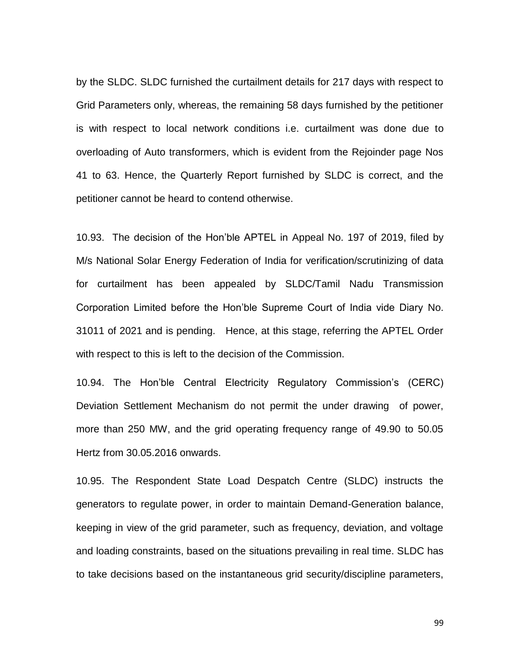by the SLDC. SLDC furnished the curtailment details for 217 days with respect to Grid Parameters only, whereas, the remaining 58 days furnished by the petitioner is with respect to local network conditions i.e. curtailment was done due to overloading of Auto transformers, which is evident from the Rejoinder page Nos 41 to 63. Hence, the Quarterly Report furnished by SLDC is correct, and the petitioner cannot be heard to contend otherwise.

10.93. The decision of the Hon"ble APTEL in Appeal No. 197 of 2019, filed by M/s National Solar Energy Federation of India for verification/scrutinizing of data for curtailment has been appealed by SLDC/Tamil Nadu Transmission Corporation Limited before the Hon"ble Supreme Court of India vide Diary No. 31011 of 2021 and is pending. Hence, at this stage, referring the APTEL Order with respect to this is left to the decision of the Commission.

10.94. The Hon"ble Central Electricity Regulatory Commission"s (CERC) Deviation Settlement Mechanism do not permit the under drawing of power, more than 250 MW, and the grid operating frequency range of 49.90 to 50.05 Hertz from 30.05.2016 onwards.

10.95. The Respondent State Load Despatch Centre (SLDC) instructs the generators to regulate power, in order to maintain Demand-Generation balance, keeping in view of the grid parameter, such as frequency, deviation, and voltage and loading constraints, based on the situations prevailing in real time. SLDC has to take decisions based on the instantaneous grid security/discipline parameters,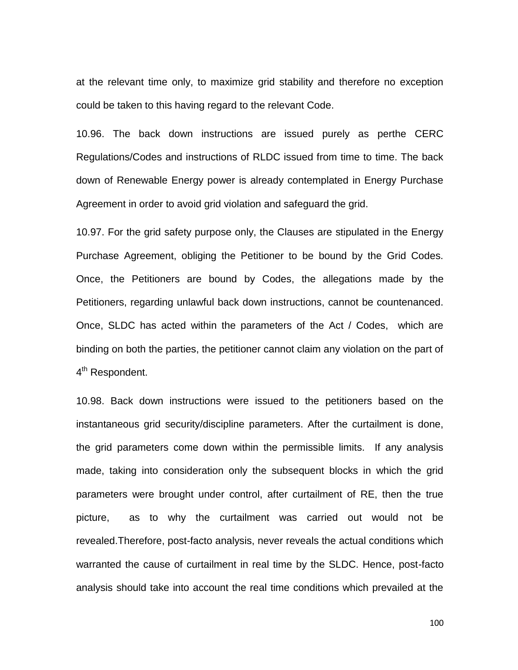at the relevant time only, to maximize grid stability and therefore no exception could be taken to this having regard to the relevant Code.

10.96. The back down instructions are issued purely as perthe CERC Regulations/Codes and instructions of RLDC issued from time to time. The back down of Renewable Energy power is already contemplated in Energy Purchase Agreement in order to avoid grid violation and safeguard the grid.

10.97. For the grid safety purpose only, the Clauses are stipulated in the Energy Purchase Agreement, obliging the Petitioner to be bound by the Grid Codes. Once, the Petitioners are bound by Codes, the allegations made by the Petitioners, regarding unlawful back down instructions, cannot be countenanced. Once, SLDC has acted within the parameters of the Act / Codes, which are binding on both the parties, the petitioner cannot claim any violation on the part of 4<sup>th</sup> Respondent.

10.98. Back down instructions were issued to the petitioners based on the instantaneous grid security/discipline parameters. After the curtailment is done, the grid parameters come down within the permissible limits. If any analysis made, taking into consideration only the subsequent blocks in which the grid parameters were brought under control, after curtailment of RE, then the true picture, as to why the curtailment was carried out would not be revealed.Therefore, post-facto analysis, never reveals the actual conditions which warranted the cause of curtailment in real time by the SLDC. Hence, post-facto analysis should take into account the real time conditions which prevailed at the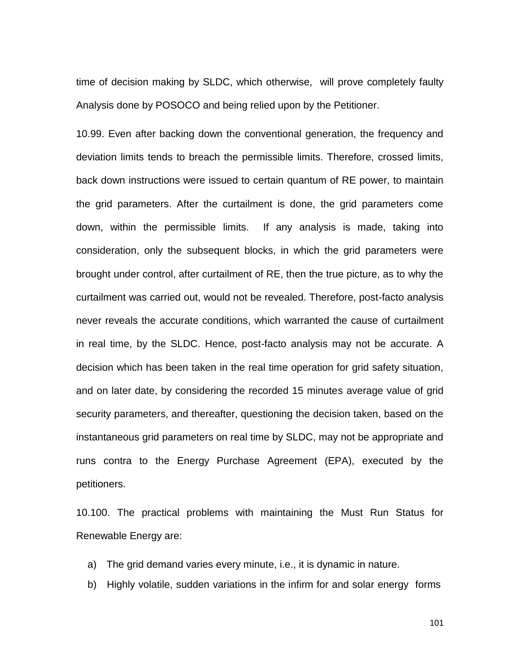time of decision making by SLDC, which otherwise, will prove completely faulty Analysis done by POSOCO and being relied upon by the Petitioner.

10.99. Even after backing down the conventional generation, the frequency and deviation limits tends to breach the permissible limits. Therefore, crossed limits, back down instructions were issued to certain quantum of RE power, to maintain the grid parameters. After the curtailment is done, the grid parameters come down, within the permissible limits. If any analysis is made, taking into consideration, only the subsequent blocks, in which the grid parameters were brought under control, after curtailment of RE, then the true picture, as to why the curtailment was carried out, would not be revealed. Therefore, post-facto analysis never reveals the accurate conditions, which warranted the cause of curtailment in real time, by the SLDC. Hence, post-facto analysis may not be accurate. A decision which has been taken in the real time operation for grid safety situation, and on later date, by considering the recorded 15 minutes average value of grid security parameters, and thereafter, questioning the decision taken, based on the instantaneous grid parameters on real time by SLDC, may not be appropriate and runs contra to the Energy Purchase Agreement (EPA), executed by the petitioners.

10.100. The practical problems with maintaining the Must Run Status for Renewable Energy are:

a) The grid demand varies every minute, i.e., it is dynamic in nature.

b) Highly volatile, sudden variations in the infirm for and solar energy forms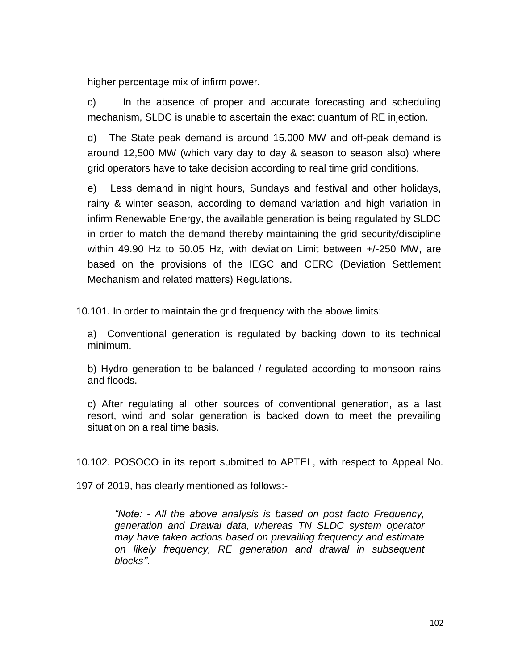higher percentage mix of infirm power.

c) In the absence of proper and accurate forecasting and scheduling mechanism, SLDC is unable to ascertain the exact quantum of RE injection.

d) The State peak demand is around 15,000 MW and off-peak demand is around 12,500 MW (which vary day to day & season to season also) where grid operators have to take decision according to real time grid conditions.

e) Less demand in night hours, Sundays and festival and other holidays, rainy & winter season, according to demand variation and high variation in infirm Renewable Energy, the available generation is being regulated by SLDC in order to match the demand thereby maintaining the grid security/discipline within 49.90 Hz to 50.05 Hz, with deviation Limit between +/-250 MW, are based on the provisions of the IEGC and CERC (Deviation Settlement Mechanism and related matters) Regulations.

10.101. In order to maintain the grid frequency with the above limits:

a) Conventional generation is regulated by backing down to its technical minimum.

b) Hydro generation to be balanced / regulated according to monsoon rains and floods.

c) After regulating all other sources of conventional generation, as a last resort, wind and solar generation is backed down to meet the prevailing situation on a real time basis.

10.102. POSOCO in its report submitted to APTEL, with respect to Appeal No.

197 of 2019, has clearly mentioned as follows:-

*"Note: - All the above analysis is based on post facto Frequency, generation and Drawal data, whereas TN SLDC system operator may have taken actions based on prevailing frequency and estimate on likely frequency, RE generation and drawal in subsequent blocks".*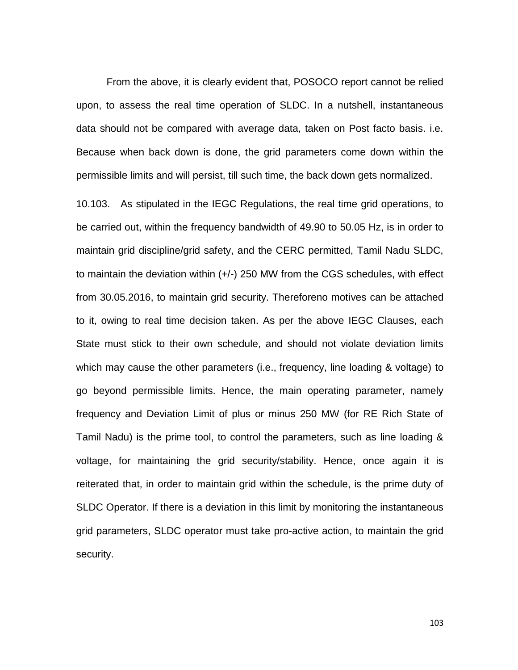From the above, it is clearly evident that, POSOCO report cannot be relied upon, to assess the real time operation of SLDC. In a nutshell, instantaneous data should not be compared with average data, taken on Post facto basis. i.e. Because when back down is done, the grid parameters come down within the permissible limits and will persist, till such time, the back down gets normalized.

10.103. As stipulated in the IEGC Regulations, the real time grid operations, to be carried out, within the frequency bandwidth of 49.90 to 50.05 Hz, is in order to maintain grid discipline/grid safety, and the CERC permitted, Tamil Nadu SLDC, to maintain the deviation within (+/-) 250 MW from the CGS schedules, with effect from 30.05.2016, to maintain grid security. Thereforeno motives can be attached to it, owing to real time decision taken. As per the above IEGC Clauses, each State must stick to their own schedule, and should not violate deviation limits which may cause the other parameters (i.e., frequency, line loading & voltage) to go beyond permissible limits. Hence, the main operating parameter, namely frequency and Deviation Limit of plus or minus 250 MW (for RE Rich State of Tamil Nadu) is the prime tool, to control the parameters, such as line loading & voltage, for maintaining the grid security/stability. Hence, once again it is reiterated that, in order to maintain grid within the schedule, is the prime duty of SLDC Operator. If there is a deviation in this limit by monitoring the instantaneous grid parameters, SLDC operator must take pro-active action, to maintain the grid security.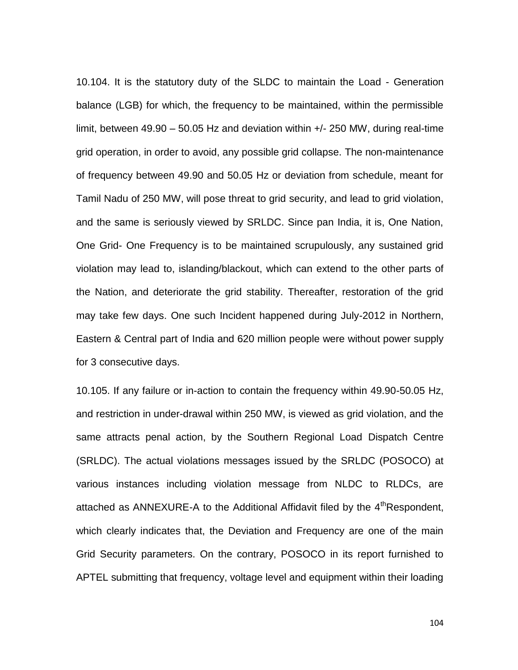10.104. It is the statutory duty of the SLDC to maintain the Load - Generation balance (LGB) for which, the frequency to be maintained, within the permissible limit, between 49.90 – 50.05 Hz and deviation within +/- 250 MW, during real-time grid operation, in order to avoid, any possible grid collapse. The non-maintenance of frequency between 49.90 and 50.05 Hz or deviation from schedule, meant for Tamil Nadu of 250 MW, will pose threat to grid security, and lead to grid violation, and the same is seriously viewed by SRLDC. Since pan India, it is, One Nation, One Grid- One Frequency is to be maintained scrupulously, any sustained grid violation may lead to, islanding/blackout, which can extend to the other parts of the Nation, and deteriorate the grid stability. Thereafter, restoration of the grid may take few days. One such Incident happened during July-2012 in Northern, Eastern & Central part of India and 620 million people were without power supply for 3 consecutive days.

10.105. If any failure or in-action to contain the frequency within 49.90-50.05 Hz, and restriction in under-drawal within 250 MW, is viewed as grid violation, and the same attracts penal action, by the Southern Regional Load Dispatch Centre (SRLDC). The actual violations messages issued by the SRLDC (POSOCO) at various instances including violation message from NLDC to RLDCs, are attached as ANNEXURE-A to the Additional Affidavit filed by the  $4<sup>th</sup>$ Respondent, which clearly indicates that, the Deviation and Frequency are one of the main Grid Security parameters. On the contrary, POSOCO in its report furnished to APTEL submitting that frequency, voltage level and equipment within their loading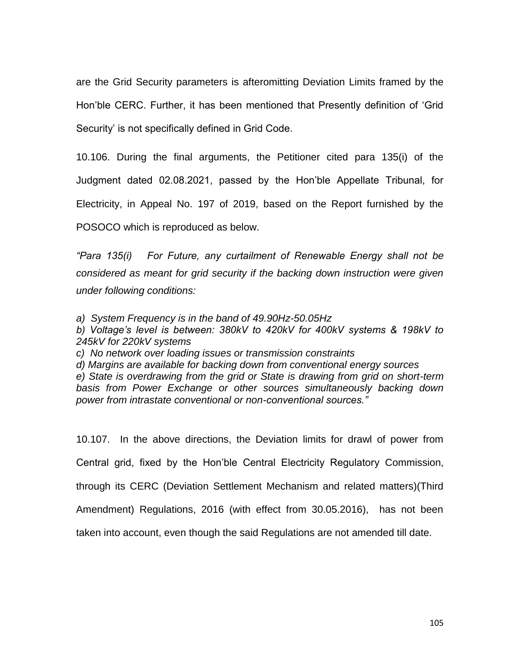are the Grid Security parameters is afteromitting Deviation Limits framed by the Hon"ble CERC. Further, it has been mentioned that Presently definition of "Grid Security' is not specifically defined in Grid Code.

10.106. During the final arguments, the Petitioner cited para 135(i) of the Judgment dated 02.08.2021, passed by the Hon"ble Appellate Tribunal, for Electricity, in Appeal No. 197 of 2019, based on the Report furnished by the POSOCO which is reproduced as below.

*"Para 135(i) For Future, any curtailment of Renewable Energy shall not be considered as meant for grid security if the backing down instruction were given under following conditions:*

*a) System Frequency is in the band of 49.90Hz-50.05Hz*

*b) Voltage"s level is between: 380kV to 420kV for 400kV systems & 198kV to 245kV for 220kV systems*

*c) No network over loading issues or transmission constraints*

*d) Margins are available for backing down from conventional energy sources e) State is overdrawing from the grid or State is drawing from grid on short-term basis from Power Exchange or other sources simultaneously backing down power from intrastate conventional or non-conventional sources."* 

10.107. In the above directions, the Deviation limits for drawl of power from Central grid, fixed by the Hon"ble Central Electricity Regulatory Commission, through its CERC (Deviation Settlement Mechanism and related matters)(Third Amendment) Regulations, 2016 (with effect from 30.05.2016), has not been taken into account, even though the said Regulations are not amended till date.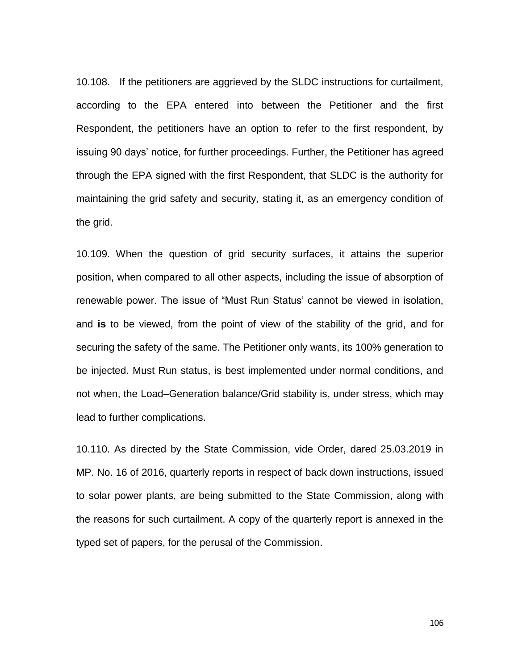10.108. If the petitioners are aggrieved by the SLDC instructions for curtailment, according to the EPA entered into between the Petitioner and the first Respondent, the petitioners have an option to refer to the first respondent, by issuing 90 days' notice, for further proceedings. Further, the Petitioner has agreed through the EPA signed with the first Respondent, that SLDC is the authority for maintaining the grid safety and security, stating it, as an emergency condition of the grid.

10.109. When the question of grid security surfaces, it attains the superior position, when compared to all other aspects, including the issue of absorption of renewable power. The issue of "Must Run Status" cannot be viewed in isolation, and **is** to be viewed, from the point of view of the stability of the grid, and for securing the safety of the same. The Petitioner only wants, its 100% generation to be injected. Must Run status, is best implemented under normal conditions, and not when, the Load–Generation balance/Grid stability is, under stress, which may lead to further complications.

10.110. As directed by the State Commission, vide Order, dared 25.03.2019 in MP. No. 16 of 2016, quarterly reports in respect of back down instructions, issued to solar power plants, are being submitted to the State Commission, along with the reasons for such curtailment. A copy of the quarterly report is annexed in the typed set of papers, for the perusal of the Commission.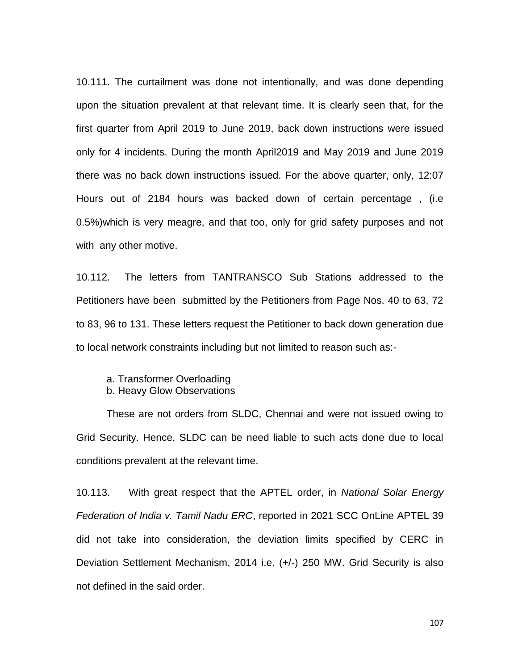10.111. The curtailment was done not intentionally, and was done depending upon the situation prevalent at that relevant time. It is clearly seen that, for the first quarter from April 2019 to June 2019, back down instructions were issued only for 4 incidents. During the month April2019 and May 2019 and June 2019 there was no back down instructions issued. For the above quarter, only, 12:07 Hours out of 2184 hours was backed down of certain percentage , (i.e 0.5%)which is very meagre, and that too, only for grid safety purposes and not with any other motive.

10.112. The letters from TANTRANSCO Sub Stations addressed to the Petitioners have been submitted by the Petitioners from Page Nos. 40 to 63, 72 to 83, 96 to 131. These letters request the Petitioner to back down generation due to local network constraints including but not limited to reason such as:-

a. Transformer Overloading b. Heavy Glow Observations

These are not orders from SLDC, Chennai and were not issued owing to Grid Security. Hence, SLDC can be need liable to such acts done due to local conditions prevalent at the relevant time.

10.113. With great respect that the APTEL order, in *National Solar Energy Federation of India v. Tamil Nadu ERC*, reported in 2021 SCC OnLine APTEL 39 did not take into consideration, the deviation limits specified by CERC in Deviation Settlement Mechanism, 2014 i.e. (+/-) 250 MW. Grid Security is also not defined in the said order.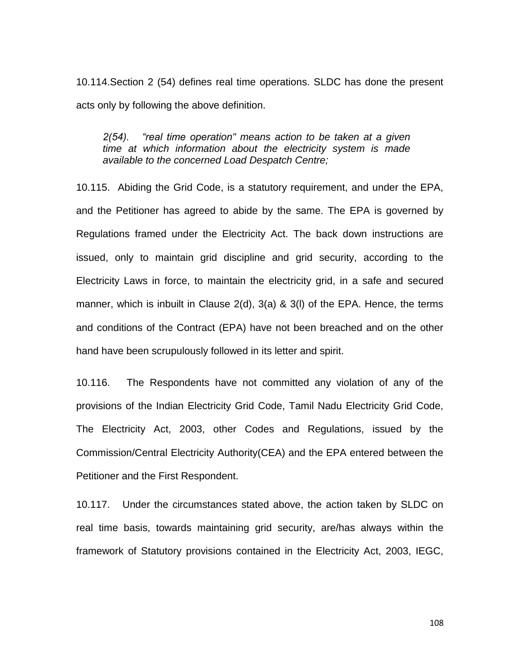10.114.Section 2 (54) defines real time operations. SLDC has done the present acts only by following the above definition.

## *2(54). "real time operation" means action to be taken at a given time at which information about the electricity system is made available to the concerned Load Despatch Centre;*

10.115. Abiding the Grid Code, is a statutory requirement, and under the EPA, and the Petitioner has agreed to abide by the same. The EPA is governed by Regulations framed under the Electricity Act. The back down instructions are issued, only to maintain grid discipline and grid security, according to the Electricity Laws in force, to maintain the electricity grid, in a safe and secured manner, which is inbuilt in Clause 2(d), 3(a) & 3(l) of the EPA. Hence, the terms and conditions of the Contract (EPA) have not been breached and on the other hand have been scrupulously followed in its letter and spirit.

10.116. The Respondents have not committed any violation of any of the provisions of the Indian Electricity Grid Code, Tamil Nadu Electricity Grid Code, The Electricity Act, 2003, other Codes and Regulations, issued by the Commission/Central Electricity Authority(CEA) and the EPA entered between the Petitioner and the First Respondent.

10.117. Under the circumstances stated above, the action taken by SLDC on real time basis, towards maintaining grid security, are/has always within the framework of Statutory provisions contained in the Electricity Act, 2003, IEGC,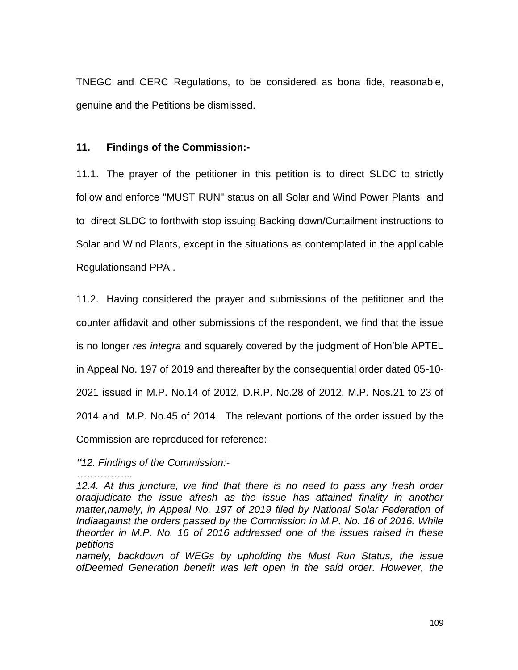TNEGC and CERC Regulations, to be considered as bona fide, reasonable, genuine and the Petitions be dismissed.

## **11. Findings of the Commission:-**

11.1. The prayer of the petitioner in this petition is to direct SLDC to strictly follow and enforce "MUST RUN" status on all Solar and Wind Power Plants and to direct SLDC to forthwith stop issuing Backing down/Curtailment instructions to Solar and Wind Plants, except in the situations as contemplated in the applicable Regulationsand PPA .

11.2. Having considered the prayer and submissions of the petitioner and the counter affidavit and other submissions of the respondent, we find that the issue is no longer *res integra* and squarely covered by the judgment of Hon"ble APTEL in Appeal No. 197 of 2019 and thereafter by the consequential order dated 05-10- 2021 issued in M.P. No.14 of 2012, D.R.P. No.28 of 2012, M.P. Nos.21 to 23 of 2014 and M.P. No.45 of 2014. The relevant portions of the order issued by the Commission are reproduced for reference:-

## *"12. Findings of the Commission:-*

*……………..* 12.4. At this juncture, we find that there is no need to pass any fresh order *oradjudicate the issue afresh as the issue has attained finality in another matter,namely, in Appeal No. 197 of 2019 filed by National Solar Federation of Indiaagainst the orders passed by the Commission in M.P. No. 16 of 2016. While theorder in M.P. No. 16 of 2016 addressed one of the issues raised in these petitions*

*namely, backdown of WEGs by upholding the Must Run Status, the issue ofDeemed Generation benefit was left open in the said order. However, the*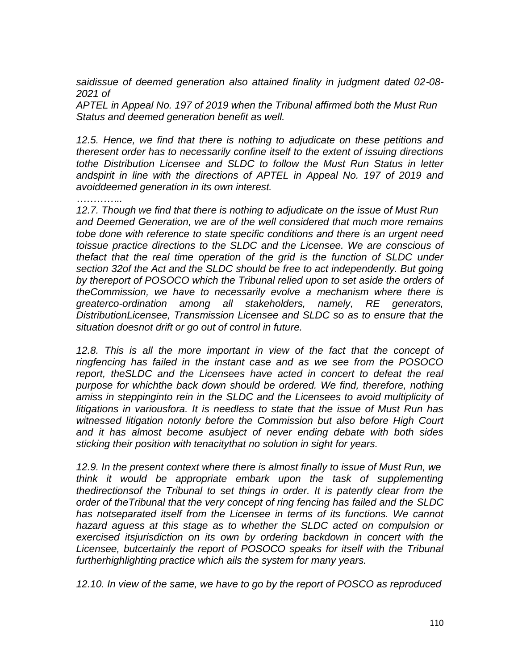*saidissue of deemed generation also attained finality in judgment dated 02-08- 2021 of*

*APTEL in Appeal No. 197 of 2019 when the Tribunal affirmed both the Must Run Status and deemed generation benefit as well.*

*12.5. Hence, we find that there is nothing to adjudicate on these petitions and theresent order has to necessarily confine itself to the extent of issuing directions tothe Distribution Licensee and SLDC to follow the Must Run Status in letter andspirit in line with the directions of APTEL in Appeal No. 197 of 2019 and avoiddeemed generation in its own interest.*

*…………..*

*12.7. Though we find that there is nothing to adjudicate on the issue of Must Run and Deemed Generation, we are of the well considered that much more remains tobe done with reference to state specific conditions and there is an urgent need toissue practice directions to the SLDC and the Licensee. We are conscious of thefact that the real time operation of the grid is the function of SLDC under section 32of the Act and the SLDC should be free to act independently. But going by thereport of POSOCO which the Tribunal relied upon to set aside the orders of theCommission, we have to necessarily evolve a mechanism where there is greaterco-ordination among all stakeholders, namely, RE generators, DistributionLicensee, Transmission Licensee and SLDC so as to ensure that the situation doesnot drift or go out of control in future.*

12.8. This is all the more important in view of the fact that the concept of *ringfencing has failed in the instant case and as we see from the POSOCO report, theSLDC and the Licensees have acted in concert to defeat the real purpose for whichthe back down should be ordered. We find, therefore, nothing amiss in steppinginto rein in the SLDC and the Licensees to avoid multiplicity of litigations in variousfora. It is needless to state that the issue of Must Run has witnessed litigation notonly before the Commission but also before High Court and it has almost become asubject of never ending debate with both sides sticking their position with tenacitythat no solution in sight for years.*

*12.9. In the present context where there is almost finally to issue of Must Run, we think it would be appropriate embark upon the task of supplementing thedirectionsof the Tribunal to set things in order. It is patently clear from the order of theTribunal that the very concept of ring fencing has failed and the SLDC has notseparated itself from the Licensee in terms of its functions. We cannot hazard aguess at this stage as to whether the SLDC acted on compulsion or exercised itsjurisdiction on its own by ordering backdown in concert with the Licensee, butcertainly the report of POSOCO speaks for itself with the Tribunal furtherhighlighting practice which ails the system for many years.*

*12.10. In view of the same, we have to go by the report of POSCO as reproduced*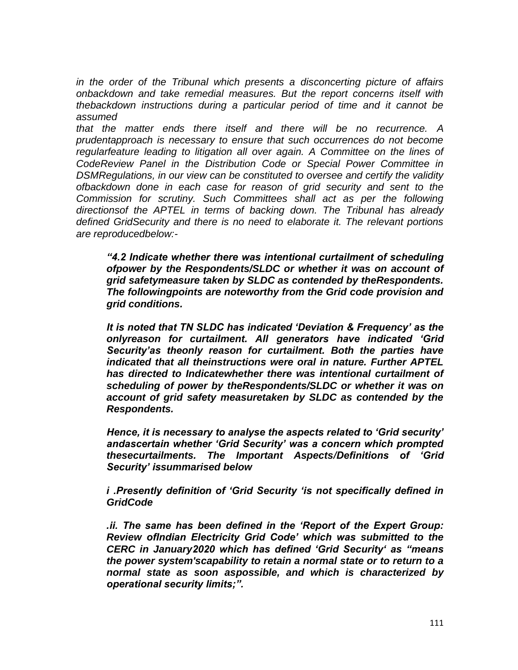*in the order of the Tribunal which presents a disconcerting picture of affairs onbackdown and take remedial measures. But the report concerns itself with thebackdown instructions during a particular period of time and it cannot be assumed*

*that the matter ends there itself and there will be no recurrence. A prudentapproach is necessary to ensure that such occurrences do not become regularfeature leading to litigation all over again. A Committee on the lines of CodeReview Panel in the Distribution Code or Special Power Committee in DSMRegulations, in our view can be constituted to oversee and certify the validity ofbackdown done in each case for reason of grid security and sent to the Commission for scrutiny. Such Committees shall act as per the following directionsof the APTEL in terms of backing down. The Tribunal has already defined GridSecurity and there is no need to elaborate it. The relevant portions are reproducedbelow:-*

*"4.2 Indicate whether there was intentional curtailment of scheduling ofpower by the Respondents/SLDC or whether it was on account of grid safetymeasure taken by SLDC as contended by theRespondents. The followingpoints are noteworthy from the Grid code provision and grid conditions.*

*It is noted that TN SLDC has indicated "Deviation & Frequency" as the onlyreason for curtailment. All generators have indicated "Grid Security"as theonly reason for curtailment. Both the parties have indicated that all theinstructions were oral in nature. Further APTEL has directed to Indicatewhether there was intentional curtailment of scheduling of power by theRespondents/SLDC or whether it was on account of grid safety measuretaken by SLDC as contended by the Respondents.*

*Hence, it is necessary to analyse the aspects related to "Grid security" andascertain whether "Grid Security" was a concern which prompted thesecurtailments. The Important Aspects/Definitions of "Grid Security" issummarised below*

*i .Presently definition of "Grid Security "is not specifically defined in GridCode*

*.ii. The same has been defined in the "Report of the Expert Group: Review ofIndian Electricity Grid Code" which was submitted to the CERC in January2020 which has defined "Grid Security" as "means the power system'scapability to retain a normal state or to return to a normal state as soon aspossible, and which is characterized by operational security limits;".*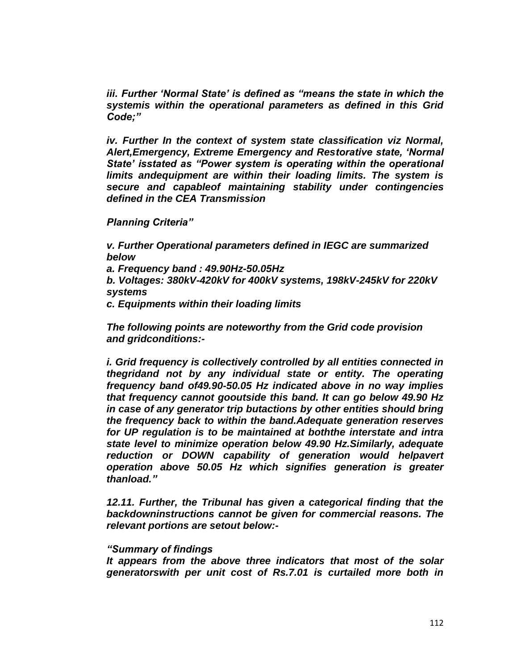*iii. Further "Normal State" is defined as "means the state in which the systemis within the operational parameters as defined in this Grid Code;"*

*iv. Further In the context of system state classification viz Normal, Alert,Emergency, Extreme Emergency and Restorative state, "Normal State" isstated as "Power system is operating within the operational limits andequipment are within their loading limits. The system is secure and capableof maintaining stability under contingencies defined in the CEA Transmission*

*Planning Criteria"*

*v. Further Operational parameters defined in IEGC are summarized below*

*a. Frequency band : 49.90Hz-50.05Hz*

*b. Voltages: 380kV-420kV for 400kV systems, 198kV-245kV for 220kV systems*

*c. Equipments within their loading limits*

*The following points are noteworthy from the Grid code provision and gridconditions:-*

*i. Grid frequency is collectively controlled by all entities connected in thegridand not by any individual state or entity. The operating frequency band of49.90-50.05 Hz indicated above in no way implies that frequency cannot gooutside this band. It can go below 49.90 Hz in case of any generator trip butactions by other entities should bring the frequency back to within the band.Adequate generation reserves for UP regulation is to be maintained at boththe interstate and intra state level to minimize operation below 49.90 Hz.Similarly, adequate reduction or DOWN capability of generation would helpavert operation above 50.05 Hz which signifies generation is greater thanload."*

*12.11. Further, the Tribunal has given a categorical finding that the backdowninstructions cannot be given for commercial reasons. The relevant portions are setout below:-*

## *"Summary of findings*

*It appears from the above three indicators that most of the solar generatorswith per unit cost of Rs.7.01 is curtailed more both in*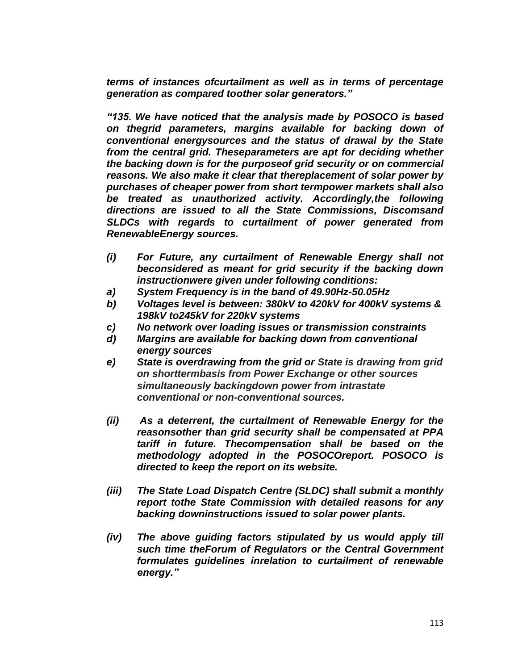*terms of instances ofcurtailment as well as in terms of percentage generation as compared toother solar generators."*

*"135. We have noticed that the analysis made by POSOCO is based on thegrid parameters, margins available for backing down of conventional energysources and the status of drawal by the State from the central grid. Theseparameters are apt for deciding whether the backing down is for the purposeof grid security or on commercial reasons. We also make it clear that thereplacement of solar power by purchases of cheaper power from short termpower markets shall also be treated as unauthorized activity. Accordingly,the following directions are issued to all the State Commissions, Discomsand SLDCs with regards to curtailment of power generated from RenewableEnergy sources.*

- *(i) For Future, any curtailment of Renewable Energy shall not beconsidered as meant for grid security if the backing down instructionwere given under following conditions:*
- *a) System Frequency is in the band of 49.90Hz-50.05Hz*
- *b) Voltages level is between: 380kV to 420kV for 400kV systems & 198kV to245kV for 220kV systems*
- *c) No network over loading issues or transmission constraints*
- *d) Margins are available for backing down from conventional energy sources*
- *e) State is overdrawing from the grid or State is drawing from grid on shorttermbasis from Power Exchange or other sources simultaneously backingdown power from intrastate conventional or non-conventional sources.*
- *(ii) As a deterrent, the curtailment of Renewable Energy for the reasonsother than grid security shall be compensated at PPA tariff in future. Thecompensation shall be based on the methodology adopted in the POSOCOreport. POSOCO is directed to keep the report on its website.*
- *(iii) The State Load Dispatch Centre (SLDC) shall submit a monthly report tothe State Commission with detailed reasons for any backing downinstructions issued to solar power plants.*
- *(iv) The above guiding factors stipulated by us would apply till such time theForum of Regulators or the Central Government formulates guidelines inrelation to curtailment of renewable energy."*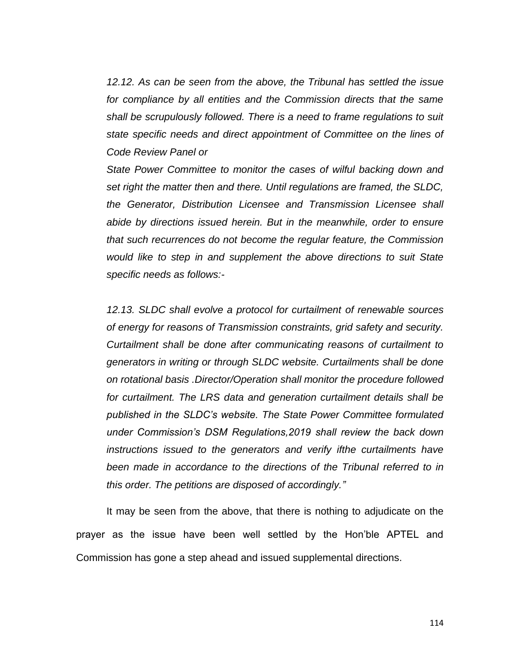*12.12. As can be seen from the above, the Tribunal has settled the issue for compliance by all entities and the Commission directs that the same shall be scrupulously followed. There is a need to frame regulations to suit state specific needs and direct appointment of Committee on the lines of Code Review Panel or*

*State Power Committee to monitor the cases of wilful backing down and set right the matter then and there. Until regulations are framed, the SLDC, the Generator, Distribution Licensee and Transmission Licensee shall abide by directions issued herein. But in the meanwhile, order to ensure that such recurrences do not become the regular feature, the Commission would like to step in and supplement the above directions to suit State specific needs as follows:-*

*12.13. SLDC shall evolve a protocol for curtailment of renewable sources of energy for reasons of Transmission constraints, grid safety and security. Curtailment shall be done after communicating reasons of curtailment to generators in writing or through SLDC website. Curtailments shall be done on rotational basis .Director/Operation shall monitor the procedure followed for curtailment. The LRS data and generation curtailment details shall be published in the SLDC"s website. The State Power Committee formulated under Commission"s DSM Regulations,2019 shall review the back down instructions issued to the generators and verify ifthe curtailments have been made in accordance to the directions of the Tribunal referred to in this order. The petitions are disposed of accordingly."*

It may be seen from the above, that there is nothing to adjudicate on the prayer as the issue have been well settled by the Hon"ble APTEL and Commission has gone a step ahead and issued supplemental directions.